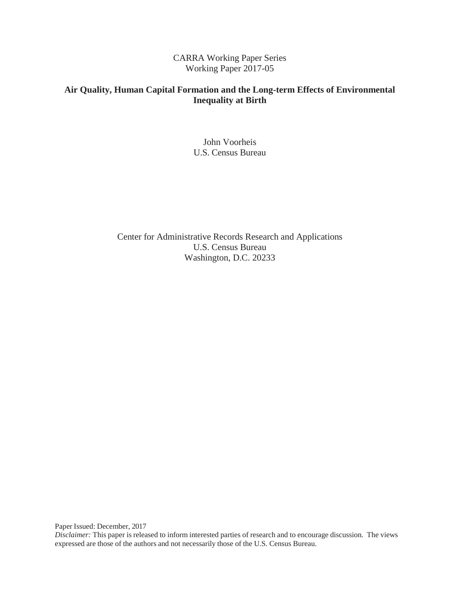### CARRA Working Paper Series Working Paper 2017-05

### **Air Quality, Human Capital Formation and the Long-term Effects of Environmental Inequality at Birth**

John Voorheis U.S. Census Bureau

Center for Administrative Records Research and Applications U.S. Census Bureau Washington, D.C. 20233

Paper Issued: December, 2017

*Disclaimer:* This paper is released to inform interested parties of research and to encourage discussion. The views expressed are those of the authors and not necessarily those of the U.S. Census Bureau.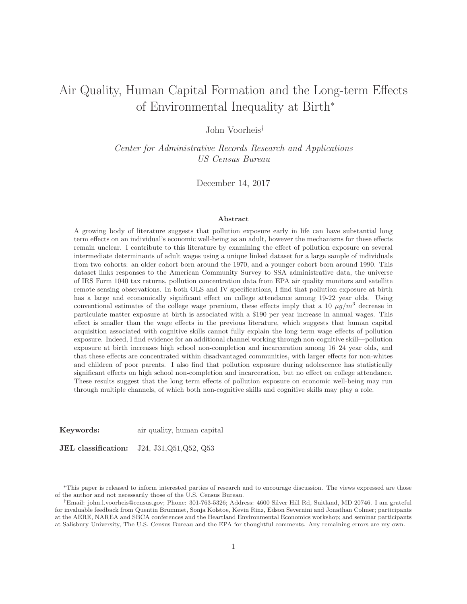# Air Quality, Human Capital Formation and the Long-term Effects of Environmental Inequality at Birth<sup>∗</sup>

John Voorheis†

Center for Administrative Records Research and Applications US Census Bureau

December 14, 2017

#### **Abstract**

A growing body of literature suggests that pollution exposure early in life can have substantial long term effects on an individual's economic well-being as an adult, however the mechanisms for these effects remain unclear. I contribute to this literature by examining the effect of pollution exposure on several intermediate determinants of adult wages using a unique linked dataset for a large sample of individuals from two cohorts: an older cohort born around the 1970, and a younger cohort born around 1990. This dataset links responses to the American Community Survey to SSA administrative data, the universe of IRS Form 1040 tax returns, pollution concentration data from EPA air quality monitors and satellite remote sensing observations. In both OLS and IV specifications, I find that pollution exposure at birth has a large and economically significant effect on college attendance among 19-22 year olds. Using conventional estimates of the college wage premium, these effects imply that a 10  $\mu g/m^3$  decrease in particulate matter exposure at birth is associated with a \$190 per year increase in annual wages. This effect is smaller than the wage effects in the previous literature, which suggests that human capital acquisition associated with cognitive skills cannot fully explain the long term wage effects of pollution exposure. Indeed, I find evidence for an additional channel working through non-cognitive skill—pollution exposure at birth increases high school non-completion and incarceration among 16–24 year olds, and that these effects are concentrated within disadvantaged communities, with larger effects for non-whites and children of poor parents. I also find that pollution exposure during adolescence has statistically significant effects on high school non-completion and incarceration, but no effect on college attendance. These results suggest that the long term effects of pollution exposure on economic well-being may run through multiple channels, of which both non-cognitive skills and cognitive skills may play a role.

**Keywords:** air quality, human capital

**JEL classification:** J24, J31,Q51,Q52, Q53

<sup>∗</sup>This paper is released to inform interested parties of research and to encourage discussion. The views expressed are those of the author and not necessarily those of the U.S. Census Bureau.

<sup>†</sup>Email: john.l.voorheis@census.gov; Phone: 301-763-5326; Address: 4600 Silver Hill Rd, Suitland, MD 20746. I am grateful for invaluable feedback from Quentin Brummet, Sonja Kolstoe, Kevin Rinz, Edson Severnini and Jonathan Colmer; participants at the AERE, NAREA and SBCA conferences and the Heartland Environmental Economics workshop; and seminar participants at Salisbury University, The U.S. Census Bureau and the EPA for thoughtful comments. Any remaining errors are my own.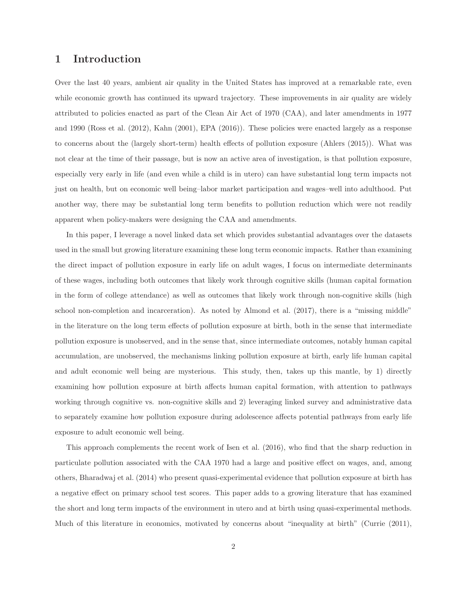### **1 Introduction**

Over the last 40 years, ambient air quality in the United States has improved at a remarkable rate, even while economic growth has continued its upward trajectory. These improvements in air quality are widely attributed to policies enacted as part of the Clean Air Act of 1970 (CAA), and later amendments in 1977 and 1990 (Ross et al. (2012), Kahn (2001), EPA (2016)). These policies were enacted largely as a response to concerns about the (largely short-term) health effects of pollution exposure (Ahlers (2015)). What was not clear at the time of their passage, but is now an active area of investigation, is that pollution exposure, especially very early in life (and even while a child is in utero) can have substantial long term impacts not just on health, but on economic well being–labor market participation and wages–well into adulthood. Put another way, there may be substantial long term benefits to pollution reduction which were not readily apparent when policy-makers were designing the CAA and amendments.

In this paper, I leverage a novel linked data set which provides substantial advantages over the datasets used in the small but growing literature examining these long term economic impacts. Rather than examining the direct impact of pollution exposure in early life on adult wages, I focus on intermediate determinants of these wages, including both outcomes that likely work through cognitive skills (human capital formation in the form of college attendance) as well as outcomes that likely work through non-cognitive skills (high school non-completion and incarceration). As noted by Almond et al. (2017), there is a "missing middle" in the literature on the long term effects of pollution exposure at birth, both in the sense that intermediate pollution exposure is unobserved, and in the sense that, since intermediate outcomes, notably human capital accumulation, are unobserved, the mechanisms linking pollution exposure at birth, early life human capital and adult economic well being are mysterious. This study, then, takes up this mantle, by 1) directly examining how pollution exposure at birth affects human capital formation, with attention to pathways working through cognitive vs. non-cognitive skills and 2) leveraging linked survey and administrative data to separately examine how pollution exposure during adolescence affects potential pathways from early life exposure to adult economic well being.

This approach complements the recent work of Isen et al. (2016), who find that the sharp reduction in particulate pollution associated with the CAA 1970 had a large and positive effect on wages, and, among others, Bharadwaj et al. (2014) who present quasi-experimental evidence that pollution exposure at birth has a negative effect on primary school test scores. This paper adds to a growing literature that has examined the short and long term impacts of the environment in utero and at birth using quasi-experimental methods. Much of this literature in economics, motivated by concerns about "inequality at birth" (Currie (2011),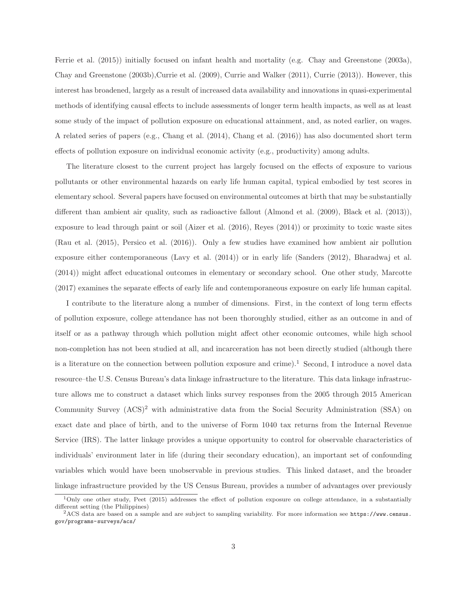Ferrie et al. (2015)) initially focused on infant health and mortality (e.g. Chay and Greenstone (2003a), Chay and Greenstone (2003b),Currie et al. (2009), Currie and Walker (2011), Currie (2013)). However, this interest has broadened, largely as a result of increased data availability and innovations in quasi-experimental methods of identifying causal effects to include assessments of longer term health impacts, as well as at least some study of the impact of pollution exposure on educational attainment, and, as noted earlier, on wages. A related series of papers (e.g., Chang et al. (2014), Chang et al. (2016)) has also documented short term effects of pollution exposure on individual economic activity (e.g., productivity) among adults.

The literature closest to the current project has largely focused on the effects of exposure to various pollutants or other environmental hazards on early life human capital, typical embodied by test scores in elementary school. Several papers have focused on environmental outcomes at birth that may be substantially different than ambient air quality, such as radioactive fallout (Almond et al. (2009), Black et al. (2013)), exposure to lead through paint or soil (Aizer et al. (2016), Reyes (2014)) or proximity to toxic waste sites (Rau et al. (2015), Persico et al. (2016)). Only a few studies have examined how ambient air pollution exposure either contemporaneous (Lavy et al. (2014)) or in early life (Sanders (2012), Bharadwaj et al. (2014)) might affect educational outcomes in elementary or secondary school. One other study, Marcotte (2017) examines the separate effects of early life and contemporaneous exposure on early life human capital.

I contribute to the literature along a number of dimensions. First, in the context of long term effects of pollution exposure, college attendance has not been thoroughly studied, either as an outcome in and of itself or as a pathway through which pollution might affect other economic outcomes, while high school non-completion has not been studied at all, and incarceration has not been directly studied (although there is a literature on the connection between pollution exposure and crime).<sup>1</sup> Second, I introduce a novel data resource–the U.S. Census Bureau's data linkage infrastructure to the literature. This data linkage infrastructure allows me to construct a dataset which links survey responses from the 2005 through 2015 American Community Survey  $(ACS)^2$  with administrative data from the Social Security Administration (SSA) on exact date and place of birth, and to the universe of Form 1040 tax returns from the Internal Revenue Service (IRS). The latter linkage provides a unique opportunity to control for observable characteristics of individuals' environment later in life (during their secondary education), an important set of confounding variables which would have been unobservable in previous studies. This linked dataset, and the broader linkage infrastructure provided by the US Census Bureau, provides a number of advantages over previously

<sup>1</sup>Only one other study, Peet (2015) addresses the effect of pollution exposure on college attendance, in a substantially different setting (the Philippines)

 ${}^{2}$ ACS data are based on a sample and are subject to sampling variability. For more information see https://www.census. gov/programs-surveys/acs/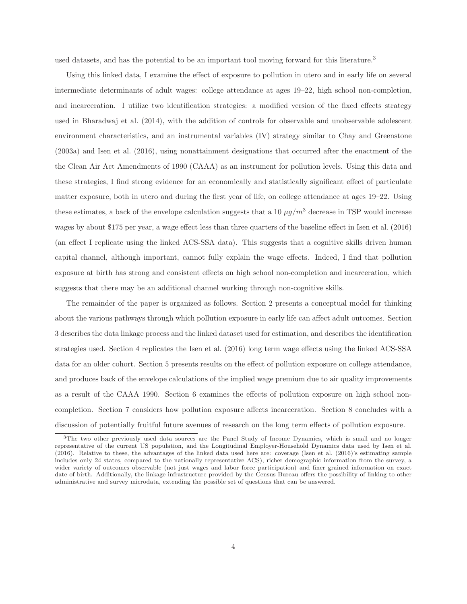used datasets, and has the potential to be an important tool moving forward for this literature.<sup>3</sup>

Using this linked data, I examine the effect of exposure to pollution in utero and in early life on several intermediate determinants of adult wages: college attendance at ages 19–22, high school non-completion, and incarceration. I utilize two identification strategies: a modified version of the fixed effects strategy used in Bharadwaj et al. (2014), with the addition of controls for observable and unobservable adolescent environment characteristics, and an instrumental variables (IV) strategy similar to Chay and Greenstone (2003a) and Isen et al. (2016), using nonattainment designations that occurred after the enactment of the the Clean Air Act Amendments of 1990 (CAAA) as an instrument for pollution levels. Using this data and these strategies, I find strong evidence for an economically and statistically significant effect of particulate matter exposure, both in utero and during the first year of life, on college attendance at ages 19–22. Using these estimates, a back of the envelope calculation suggests that a 10  $\mu g/m^3$  decrease in TSP would increase wages by about \$175 per year, a wage effect less than three quarters of the baseline effect in Isen et al. (2016) (an effect I replicate using the linked ACS-SSA data). This suggests that a cognitive skills driven human capital channel, although important, cannot fully explain the wage effects. Indeed, I find that pollution exposure at birth has strong and consistent effects on high school non-completion and incarceration, which suggests that there may be an additional channel working through non-cognitive skills.

The remainder of the paper is organized as follows. Section 2 presents a conceptual model for thinking about the various pathways through which pollution exposure in early life can affect adult outcomes. Section 3 describes the data linkage process and the linked dataset used for estimation, and describes the identification strategies used. Section 4 replicates the Isen et al. (2016) long term wage effects using the linked ACS-SSA data for an older cohort. Section 5 presents results on the effect of pollution exposure on college attendance, and produces back of the envelope calculations of the implied wage premium due to air quality improvements as a result of the CAAA 1990. Section 6 examines the effects of pollution exposure on high school noncompletion. Section 7 considers how pollution exposure affects incarceration. Section 8 concludes with a discussion of potentially fruitful future avenues of research on the long term effects of pollution exposure.

<sup>&</sup>lt;sup>3</sup>The two other previously used data sources are the Panel Study of Income Dynamics, which is small and no longer representative of the current US population, and the Longitudinal Employer-Household Dynamics data used by Isen et al. (2016). Relative to these, the advantages of the linked data used here are: coverage (Isen et al. (2016)'s estimating sample includes only 24 states, compared to the nationally representative ACS), richer demographic information from the survey, a wider variety of outcomes observable (not just wages and labor force participation) and finer grained information on exact date of birth. Additionally, the linkage infrastructure provided by the Census Bureau offers the possibility of linking to other administrative and survey microdata, extending the possible set of questions that can be answered.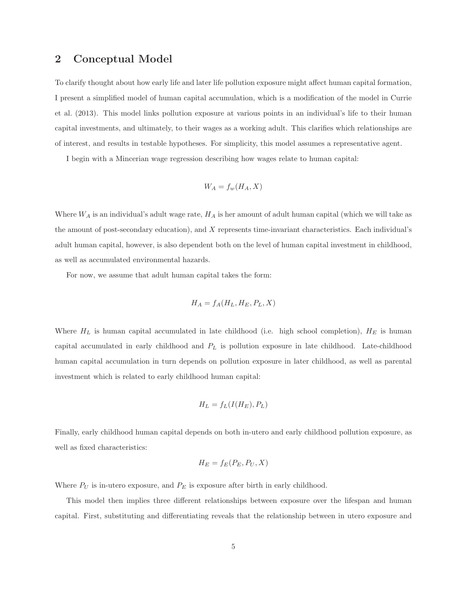#### **2 Conceptual Model**

To clarify thought about how early life and later life pollution exposure might affect human capital formation, I present a simplified model of human capital accumulation, which is a modification of the model in Currie et al. (2013). This model links pollution exposure at various points in an individual's life to their human capital investments, and ultimately, to their wages as a working adult. This clarifies which relationships are of interest, and results in testable hypotheses. For simplicity, this model assumes a representative agent.

I begin with a Mincerian wage regression describing how wages relate to human capital:

$$
W_A = f_w(H_A, X)
$$

Where  $W_A$  is an individual's adult wage rate,  $H_A$  is her amount of adult human capital (which we will take as the amount of post-secondary education), and X represents time-invariant characteristics. Each individual's adult human capital, however, is also dependent both on the level of human capital investment in childhood, as well as accumulated environmental hazards.

For now, we assume that adult human capital takes the form:

$$
H_A = f_A(H_L, H_E, P_L, X)
$$

Where  $H_L$  is human capital accumulated in late childhood (i.e. high school completion),  $H_E$  is human capital accumulated in early childhood and  $P<sub>L</sub>$  is pollution exposure in late childhood. Late-childhood human capital accumulation in turn depends on pollution exposure in later childhood, as well as parental investment which is related to early childhood human capital:

$$
H_L = f_L(I(H_E), P_L)
$$

Finally, early childhood human capital depends on both in-utero and early childhood pollution exposure, as well as fixed characteristics:

$$
H_E = f_E(P_E, P_U, X)
$$

Where  $P_U$  is in-utero exposure, and  $P_E$  is exposure after birth in early childhood.

This model then implies three different relationships between exposure over the lifespan and human capital. First, substituting and differentiating reveals that the relationship between in utero exposure and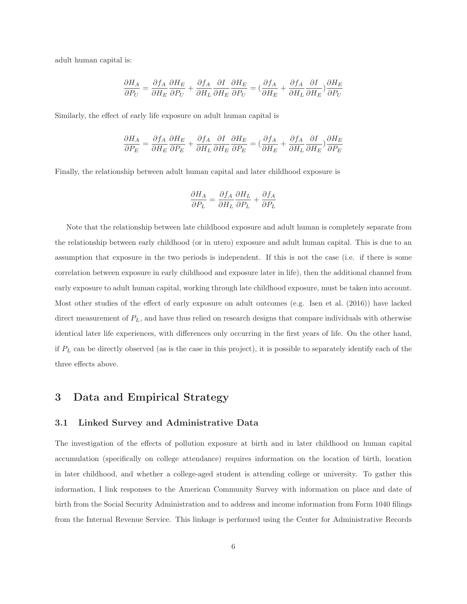adult human capital is:

$$
\frac{\partial H_A}{\partial P_U} = \frac{\partial f_A}{\partial H_E} \frac{\partial H_E}{\partial P_U} + \frac{\partial f_A}{\partial H_L} \frac{\partial I}{\partial H_E} \frac{\partial H_E}{\partial P_U} = (\frac{\partial f_A}{\partial H_E} + \frac{\partial f_A}{\partial H_L} \frac{\partial I}{\partial H_E}) \frac{\partial H_E}{\partial P_U}
$$

Similarly, the effect of early life exposure on adult human capital is

$$
\frac{\partial H_A}{\partial P_E} = \frac{\partial f_A}{\partial H_E} \frac{\partial H_E}{\partial P_E} + \frac{\partial f_A}{\partial H_L} \frac{\partial I}{\partial H_E} \frac{\partial H_E}{\partial P_E} = \big( \frac{\partial f_A}{\partial H_E} + \frac{\partial f_A}{\partial H_L} \frac{\partial I}{\partial H_E} \big) \frac{\partial H_E}{\partial P_E}
$$

Finally, the relationship between adult human capital and later childhood exposure is

$$
\frac{\partial H_A}{\partial P_L} = \frac{\partial f_A}{\partial H_L} \frac{\partial H_L}{\partial P_L} + \frac{\partial f_A}{\partial P_L}
$$

Note that the relationship between late childhood exposure and adult human is completely separate from the relationship between early childhood (or in utero) exposure and adult human capital. This is due to an assumption that exposure in the two periods is independent. If this is not the case (i.e. if there is some correlation between exposure in early childhood and exposure later in life), then the additional channel from early exposure to adult human capital, working through late childhood exposure, must be taken into account. Most other studies of the effect of early exposure on adult outcomes (e.g. Isen et al. (2016)) have lacked direct measurement of  $P_L$ , and have thus relied on research designs that compare individuals with otherwise identical later life experiences, with differences only occurring in the first years of life. On the other hand, if  $P<sub>L</sub>$  can be directly observed (as is the case in this project), it is possible to separately identify each of the three effects above.

#### **3 Data and Empirical Strategy**

#### **3.1 Linked Survey and Administrative Data**

The investigation of the effects of pollution exposure at birth and in later childhood on human capital accumulation (specifically on college attendance) requires information on the location of birth, location in later childhood, and whether a college-aged student is attending college or university. To gather this information, I link responses to the American Community Survey with information on place and date of birth from the Social Security Administration and to address and income information from Form 1040 filings from the Internal Revenue Service. This linkage is performed using the Center for Administrative Records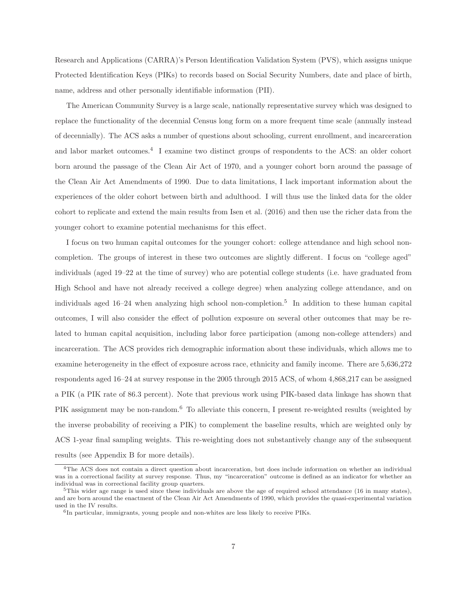Research and Applications (CARRA)'s Person Identification Validation System (PVS), which assigns unique Protected Identification Keys (PIKs) to records based on Social Security Numbers, date and place of birth, name, address and other personally identifiable information (PII).

The American Community Survey is a large scale, nationally representative survey which was designed to replace the functionality of the decennial Census long form on a more frequent time scale (annually instead of decennially). The ACS asks a number of questions about schooling, current enrollment, and incarceration and labor market outcomes.<sup>4</sup> I examine two distinct groups of respondents to the ACS: an older cohort born around the passage of the Clean Air Act of 1970, and a younger cohort born around the passage of the Clean Air Act Amendments of 1990. Due to data limitations, I lack important information about the experiences of the older cohort between birth and adulthood. I will thus use the linked data for the older cohort to replicate and extend the main results from Isen et al. (2016) and then use the richer data from the younger cohort to examine potential mechanisms for this effect.

I focus on two human capital outcomes for the younger cohort: college attendance and high school noncompletion. The groups of interest in these two outcomes are slightly different. I focus on "college aged" individuals (aged 19–22 at the time of survey) who are potential college students (i.e. have graduated from High School and have not already received a college degree) when analyzing college attendance, and on individuals aged  $16-24$  when analyzing high school non-completion.<sup>5</sup> In addition to these human capital outcomes, I will also consider the effect of pollution exposure on several other outcomes that may be related to human capital acquisition, including labor force participation (among non-college attenders) and incarceration. The ACS provides rich demographic information about these individuals, which allows me to examine heterogeneity in the effect of exposure across race, ethnicity and family income. There are 5,636,272 respondents aged 16–24 at survey response in the 2005 through 2015 ACS, of whom 4,868,217 can be assigned a PIK (a PIK rate of 86.3 percent). Note that previous work using PIK-based data linkage has shown that PIK assignment may be non-random.<sup>6</sup> To alleviate this concern, I present re-weighted results (weighted by the inverse probability of receiving a PIK) to complement the baseline results, which are weighted only by ACS 1-year final sampling weights. This re-weighting does not substantively change any of the subsequent results (see Appendix B for more details).

<sup>&</sup>lt;sup>4</sup>The ACS does not contain a direct question about incarceration, but does include information on whether an individual was in a correctional facility at survey response. Thus, my "incarceration" outcome is defined as an indicator for whether an individual was in correctional facility group quarters.

 $5$ This wider age range is used since these individuals are above the age of required school attendance (16 in many states), and are born around the enactment of the Clean Air Act Amendments of 1990, which provides the quasi-experimental variation used in the IV results.

 ${}^{6}$ In particular, immigrants, young people and non-whites are less likely to receive PIKs.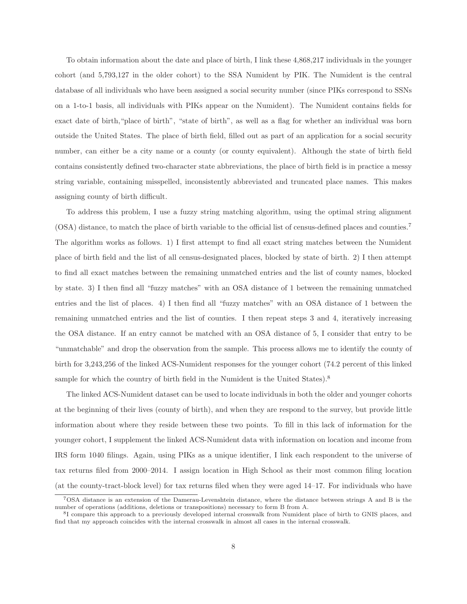To obtain information about the date and place of birth, I link these 4,868,217 individuals in the younger cohort (and 5,793,127 in the older cohort) to the SSA Numident by PIK. The Numident is the central database of all individuals who have been assigned a social security number (since PIKs correspond to SSNs on a 1-to-1 basis, all individuals with PIKs appear on the Numident). The Numident contains fields for exact date of birth,"place of birth", "state of birth", as well as a flag for whether an individual was born outside the United States. The place of birth field, filled out as part of an application for a social security number, can either be a city name or a county (or county equivalent). Although the state of birth field contains consistently defined two-character state abbreviations, the place of birth field is in practice a messy string variable, containing misspelled, inconsistently abbreviated and truncated place names. This makes assigning county of birth difficult.

To address this problem, I use a fuzzy string matching algorithm, using the optimal string alignment (OSA) distance, to match the place of birth variable to the official list of census-defined places and counties.<sup>7</sup> The algorithm works as follows. 1) I first attempt to find all exact string matches between the Numident place of birth field and the list of all census-designated places, blocked by state of birth. 2) I then attempt to find all exact matches between the remaining unmatched entries and the list of county names, blocked by state. 3) I then find all "fuzzy matches" with an OSA distance of 1 between the remaining unmatched entries and the list of places. 4) I then find all "fuzzy matches" with an OSA distance of 1 between the remaining unmatched entries and the list of counties. I then repeat steps 3 and 4, iteratively increasing the OSA distance. If an entry cannot be matched with an OSA distance of 5, I consider that entry to be "unmatchable" and drop the observation from the sample. This process allows me to identify the county of birth for 3,243,256 of the linked ACS-Numident responses for the younger cohort (74.2 percent of this linked sample for which the country of birth field in the Numident is the United States).<sup>8</sup>

The linked ACS-Numident dataset can be used to locate individuals in both the older and younger cohorts at the beginning of their lives (county of birth), and when they are respond to the survey, but provide little information about where they reside between these two points. To fill in this lack of information for the younger cohort, I supplement the linked ACS-Numident data with information on location and income from IRS form 1040 filings. Again, using PIKs as a unique identifier, I link each respondent to the universe of tax returns filed from 2000–2014. I assign location in High School as their most common filing location (at the county-tract-block level) for tax returns filed when they were aged 14–17. For individuals who have

<sup>7</sup>OSA distance is an extension of the Damerau-Levenshtein distance, where the distance between strings A and B is the number of operations (additions, deletions or transpositions) necessary to form B from A.

<sup>&</sup>lt;sup>8</sup>I compare this approach to a previously developed internal crosswalk from Numident place of birth to GNIS places, and find that my approach coincides with the internal crosswalk in almost all cases in the internal crosswalk.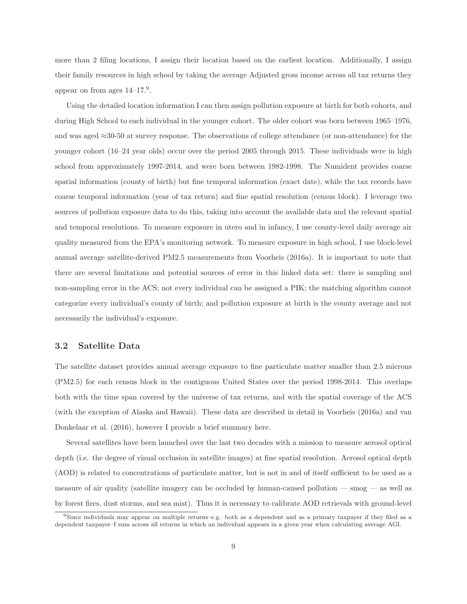more than 2 filing locations, I assign their location based on the earliest location. Additionally, I assign their family resources in high school by taking the average Adjusted gross income across all tax returns they appear on from ages  $14-17.9$ .

Using the detailed location information I can then assign pollution exposure at birth for both cohorts, and during High School to each individual in the younger cohort. The older cohort was born between 1965–1976, and was aged ≈30-50 at survey response. The observations of college attendance (or non-attendance) for the younger cohort (16–24 year olds) occur over the period 2005 through 2015. These individuals were in high school from approximately 1997-2014, and were born between 1982-1998. The Numident provides coarse spatial information (county of birth) but fine temporal information (exact date), while the tax records have coarse temporal information (year of tax return) and fine spatial resolution (census block). I leverage two sources of pollution exposure data to do this, taking into account the available data and the relevant spatial and temporal resolutions. To measure exposure in utero and in infancy, I use county-level daily average air quality measured from the EPA's monitoring network. To measure exposure in high school, I use block-level annual average satellite-derived PM2.5 measurements from Voorheis (2016a). It is important to note that there are several limitations and potential sources of error in this linked data set: there is sampling and non-sampling error in the ACS; not every individual can be assigned a PIK; the matching algorithm cannot categorize every individual's county of birth; and pollution exposure at birth is the county average and not necessarily the individual's exposure.

#### **3.2 Satellite Data**

The satellite dataset provides annual average exposure to fine particulate matter smaller than 2.5 microns (PM2.5) for each census block in the contiguous United States over the period 1998-2014. This overlaps both with the time span covered by the universe of tax returns, and with the spatial coverage of the ACS (with the exception of Alaska and Hawaii). These data are described in detail in Voorheis (2016a) and van Donkelaar et al. (2016), however I provide a brief summary here.

Several satellites have been launched over the last two decades with a mission to measure aerosol optical depth (i.e. the degree of visual occlusion in satellite images) at fine spatial resolution. Aerosol optical depth (AOD) is related to concentrations of particulate matter, but is not in and of itself sufficient to be used as a measure of air quality (satellite imagery can be occluded by human-caused pollution — smog — as well as by forest fires, dust storms, and sea mist). Thus it is necessary to calibrate AOD retrievals with ground-level

<sup>9</sup>Since individuals may appear on multiple returns–e.g. both as a dependent and as a primary taxpayer if they filed as a dependent taxpayer–I sum across all returns in which an individual appears in a given year when calculating average AGI.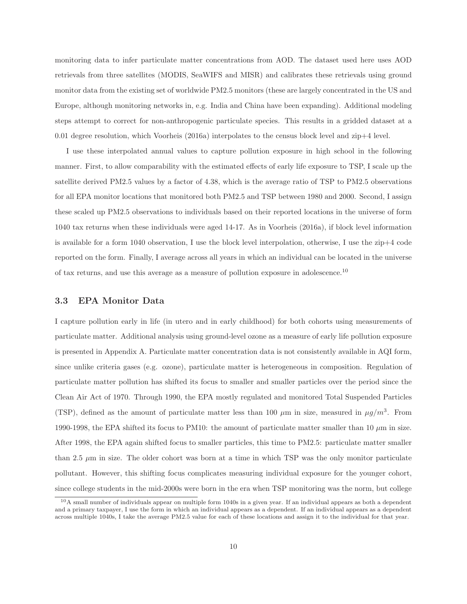monitoring data to infer particulate matter concentrations from AOD. The dataset used here uses AOD retrievals from three satellites (MODIS, SeaWIFS and MISR) and calibrates these retrievals using ground monitor data from the existing set of worldwide PM2.5 monitors (these are largely concentrated in the US and Europe, although monitoring networks in, e.g. India and China have been expanding). Additional modeling steps attempt to correct for non-anthropogenic particulate species. This results in a gridded dataset at a 0.01 degree resolution, which Voorheis (2016a) interpolates to the census block level and zip+4 level.

I use these interpolated annual values to capture pollution exposure in high school in the following manner. First, to allow comparability with the estimated effects of early life exposure to TSP, I scale up the satellite derived PM2.5 values by a factor of 4.38, which is the average ratio of TSP to PM2.5 observations for all EPA monitor locations that monitored both PM2.5 and TSP between 1980 and 2000. Second, I assign these scaled up PM2.5 observations to individuals based on their reported locations in the universe of form 1040 tax returns when these individuals were aged 14-17. As in Voorheis (2016a), if block level information is available for a form 1040 observation, I use the block level interpolation, otherwise, I use the zip+4 code reported on the form. Finally, I average across all years in which an individual can be located in the universe of tax returns, and use this average as a measure of pollution exposure in adolescence.<sup>10</sup>

#### **3.3 EPA Monitor Data**

I capture pollution early in life (in utero and in early childhood) for both cohorts using measurements of particulate matter. Additional analysis using ground-level ozone as a measure of early life pollution exposure is presented in Appendix A. Particulate matter concentration data is not consistently available in AQI form, since unlike criteria gases (e.g. ozone), particulate matter is heterogeneous in composition. Regulation of particulate matter pollution has shifted its focus to smaller and smaller particles over the period since the Clean Air Act of 1970. Through 1990, the EPA mostly regulated and monitored Total Suspended Particles (TSP), defined as the amount of particulate matter less than 100  $\mu$ m in size, measured in  $\mu q/m^3$ . From 1990-1998, the EPA shifted its focus to PM10: the amount of particulate matter smaller than 10  $\mu$ m in size. After 1998, the EPA again shifted focus to smaller particles, this time to PM2.5: particulate matter smaller than 2.5  $\mu$ m in size. The older cohort was born at a time in which TSP was the only monitor particulate pollutant. However, this shifting focus complicates measuring individual exposure for the younger cohort, since college students in the mid-2000s were born in the era when TSP monitoring was the norm, but college

<sup>&</sup>lt;sup>10</sup>A small number of individuals appear on multiple form 1040s in a given year. If an individual appears as both a dependent and a primary taxpayer, I use the form in which an individual appears as a dependent. If an individual appears as a dependent across multiple 1040s, I take the average PM2.5 value for each of these locations and assign it to the individual for that year.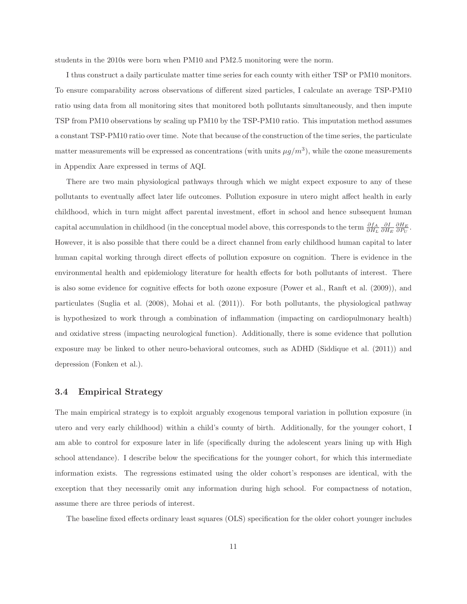students in the 2010s were born when PM10 and PM2.5 monitoring were the norm.

I thus construct a daily particulate matter time series for each county with either TSP or PM10 monitors. To ensure comparability across observations of different sized particles, I calculate an average TSP-PM10 ratio using data from all monitoring sites that monitored both pollutants simultaneously, and then impute TSP from PM10 observations by scaling up PM10 by the TSP-PM10 ratio. This imputation method assumes a constant TSP-PM10 ratio over time. Note that because of the construction of the time series, the particulate matter measurements will be expressed as concentrations (with units  $\mu g/m^3$ ), while the ozone measurements in Appendix Aare expressed in terms of AQI.

There are two main physiological pathways through which we might expect exposure to any of these pollutants to eventually affect later life outcomes. Pollution exposure in utero might affect health in early childhood, which in turn might affect parental investment, effort in school and hence subsequent human capital accumulation in childhood (in the conceptual model above, this corresponds to the term  $\frac{\partial f_A}{\partial H_L}$   $\frac{\partial I}{\partial H_E}$   $\frac{\partial H_E}{\partial P_U}$ However, it is also possible that there could be a direct channel from early childhood human capital to later human capital working through direct effects of pollution exposure on cognition. There is evidence in the environmental health and epidemiology literature for health effects for both pollutants of interest. There is also some evidence for cognitive effects for both ozone exposure (Power et al., Ranft et al. (2009)), and particulates (Suglia et al. (2008), Mohai et al. (2011)). For both pollutants, the physiological pathway is hypothesized to work through a combination of inflammation (impacting on cardiopulmonary health) and oxidative stress (impacting neurological function). Additionally, there is some evidence that pollution exposure may be linked to other neuro-behavioral outcomes, such as ADHD (Siddique et al. (2011)) and depression (Fonken et al.).

#### **3.4 Empirical Strategy**

The main empirical strategy is to exploit arguably exogenous temporal variation in pollution exposure (in utero and very early childhood) within a child's county of birth. Additionally, for the younger cohort, I am able to control for exposure later in life (specifically during the adolescent years lining up with High school attendance). I describe below the specifications for the younger cohort, for which this intermediate information exists. The regressions estimated using the older cohort's responses are identical, with the exception that they necessarily omit any information during high school. For compactness of notation, assume there are three periods of interest.

The baseline fixed effects ordinary least squares (OLS) specification for the older cohort younger includes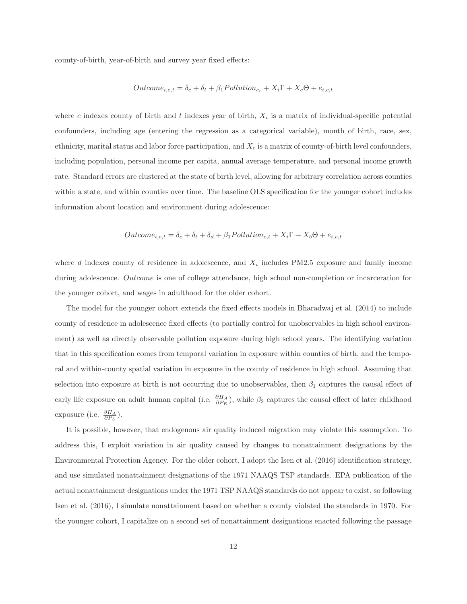county-of-birth, year-of-birth and survey year fixed effects:

$$
Outcome_{i,c,t} = \delta_c + \delta_t + \beta_1 Pollution_{c_t} + X_i\Gamma + X_c\Theta + e_{i,c,t}
$$

where c indexes county of birth and t indexes year of birth,  $X_i$  is a matrix of individual-specific potential confounders, including age (entering the regression as a categorical variable), month of birth, race, sex, ethnicity, marital status and labor force participation, and  $X_c$  is a matrix of county-of-birth level confounders, including population, personal income per capita, annual average temperature, and personal income growth rate. Standard errors are clustered at the state of birth level, allowing for arbitrary correlation across counties within a state, and within counties over time. The baseline OLS specification for the younger cohort includes information about location and environment during adolescence:

$$
Outcome_{i,c,t} = \delta_c + \delta_t + \delta_d + \beta_1 Pollution_{c,t} + X_i \Gamma + X_b \Theta + e_{i,c,t}
$$

where  $d$  indexes county of residence in adolescence, and  $X_i$  includes PM2.5 exposure and family income during adolescence. Outcome is one of college attendance, high school non-completion or incarceration for the younger cohort, and wages in adulthood for the older cohort.

The model for the younger cohort extends the fixed effects models in Bharadwaj et al. (2014) to include county of residence in adolescence fixed effects (to partially control for unobservables in high school environment) as well as directly observable pollution exposure during high school years. The identifying variation that in this specification comes from temporal variation in exposure within counties of birth, and the temporal and within-county spatial variation in exposure in the county of residence in high school. Assuming that selection into exposure at birth is not occurring due to unobservables, then  $\beta_1$  captures the causal effect of early life exposure on adult human capital (i.e.  $\frac{\partial H_A}{\partial P_E}$ ), while  $\beta_2$  captures the causal effect of later childhood exposure (i.e.  $\frac{\partial H_A}{\partial P_L}$ ).

It is possible, however, that endogenous air quality induced migration may violate this assumption. To address this, I exploit variation in air quality caused by changes to nonattainment designations by the Environmental Protection Agency. For the older cohort, I adopt the Isen et al. (2016) identification strategy, and use simulated nonattainment designations of the 1971 NAAQS TSP standards. EPA publication of the actual nonattainment designations under the 1971 TSP NAAQS standards do not appear to exist, so following Isen et al. (2016), I simulate nonattainment based on whether a county violated the standards in 1970. For the younger cohort, I capitalize on a second set of nonattainment designations enacted following the passage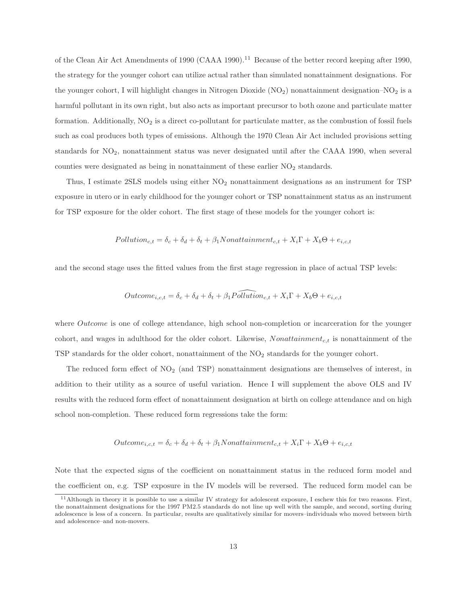of the Clean Air Act Amendments of 1990 (CAAA 1990).<sup>11</sup> Because of the better record keeping after 1990, the strategy for the younger cohort can utilize actual rather than simulated nonattainment designations. For the younger cohort, I will highlight changes in Nitrogen Dioxide  $(NO_2)$  nonattainment designation– $NO_2$  is a harmful pollutant in its own right, but also acts as important precursor to both ozone and particulate matter formation. Additionally,  $NO<sub>2</sub>$  is a direct co-pollutant for particulate matter, as the combustion of fossil fuels such as coal produces both types of emissions. Although the 1970 Clean Air Act included provisions setting standards for  $NO<sub>2</sub>$ , nonattainment status was never designated until after the CAAA 1990, when several counties were designated as being in nonattainment of these earlier  $NO<sub>2</sub>$  standards.

Thus, I estimate  $2SLS$  models using either  $NO<sub>2</sub>$  nonattainment designations as an instrument for TSP exposure in utero or in early childhood for the younger cohort or TSP nonattainment status as an instrument for TSP exposure for the older cohort. The first stage of these models for the younger cohort is:

$$
Pollution_{c,t} = \delta_c + \delta_d + \delta_t + \beta_1 Nonattainment_{c,t} + X_i \Gamma + X_b \Theta + e_{i,c,t}
$$

and the second stage uses the fitted values from the first stage regression in place of actual TSP levels:

$$
Outcome_{i,c,t} = \delta_c + \delta_d + \delta_t + \beta_1 \widehat{Polution}_{c,t} + X_i \Gamma + X_b \Theta + e_{i,c,t}
$$

where *Outcome* is one of college attendance, high school non-completion or incarceration for the younger cohort, and wages in adulthood for the older cohort. Likewise,  $Nonattainment_{c,t}$  is nonattainment of the TSP standards for the older cohort, nonattainment of the  $NO<sub>2</sub>$  standards for the younger cohort.

The reduced form effect of  $NO<sub>2</sub>$  (and TSP) nonattainment designations are themselves of interest, in addition to their utility as a source of useful variation. Hence I will supplement the above OLS and IV results with the reduced form effect of nonattainment designation at birth on college attendance and on high school non-completion. These reduced form regressions take the form:

$$
Outcome_{i,c,t} = \delta_c + \delta_d + \delta_t + \beta_1 N onattainment_{c,t} + X_i \Gamma + X_b \Theta + e_{i,c,t}
$$

Note that the expected signs of the coefficient on nonattainment status in the reduced form model and the coefficient on, e.g. TSP exposure in the IV models will be reversed. The reduced form model can be

<sup>11</sup>Although in theory it is possible to use a similar IV strategy for adolescent exposure, I eschew this for two reasons. First, the nonattainment designations for the 1997 PM2.5 standards do not line up well with the sample, and second, sorting during adolescence is less of a concern. In particular, results are qualitatively similar for movers–individuals who moved between birth and adolescence–and non-movers.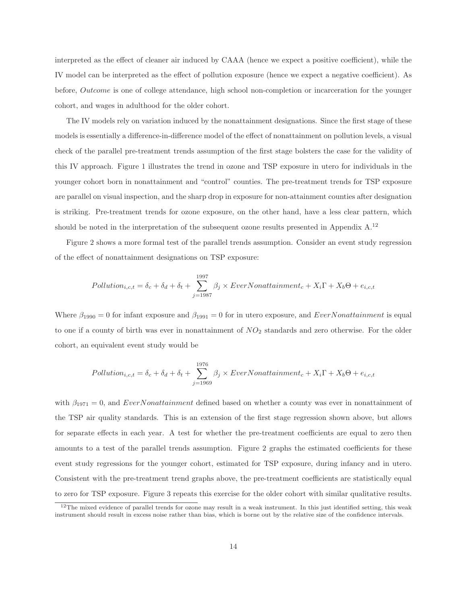interpreted as the effect of cleaner air induced by CAAA (hence we expect a positive coefficient), while the IV model can be interpreted as the effect of pollution exposure (hence we expect a negative coefficient). As before, Outcome is one of college attendance, high school non-completion or incarceration for the younger cohort, and wages in adulthood for the older cohort.

The IV models rely on variation induced by the nonattainment designations. Since the first stage of these models is essentially a difference-in-difference model of the effect of nonattainment on pollution levels, a visual check of the parallel pre-treatment trends assumption of the first stage bolsters the case for the validity of this IV approach. Figure 1 illustrates the trend in ozone and TSP exposure in utero for individuals in the younger cohort born in nonattainment and "control" counties. The pre-treatment trends for TSP exposure are parallel on visual inspection, and the sharp drop in exposure for non-attainment counties after designation is striking. Pre-treatment trends for ozone exposure, on the other hand, have a less clear pattern, which should be noted in the interpretation of the subsequent ozone results presented in Appendix A.<sup>12</sup>

Figure 2 shows a more formal test of the parallel trends assumption. Consider an event study regression of the effect of nonattainment designations on TSP exposure:

$$
Pollution_{i,c,t} = \delta_c + \delta_d + \delta_t + \sum_{j=1987}^{1997} \beta_j \times EverNonattainment_c + X_i \Gamma + X_b \Theta + e_{i,c,t}
$$

Where  $\beta_{1990} = 0$  for infant exposure and  $\beta_{1991} = 0$  for in utero exposure, and EverNonattainment is equal to one if a county of birth was ever in nonattainment of  $NO<sub>2</sub>$  standards and zero otherwise. For the older cohort, an equivalent event study would be

$$
Pollution_{i,c,t} = \delta_c + \delta_d + \delta_t + \sum_{j=1969}^{1976} \beta_j \times EverNonattainment_c + X_i \Gamma + X_b \Theta + e_{i,c,t}
$$

with  $\beta_{1971} = 0$ , and *EverNonattainment* defined based on whether a county was ever in nonattainment of the TSP air quality standards. This is an extension of the first stage regression shown above, but allows for separate effects in each year. A test for whether the pre-treatment coefficients are equal to zero then amounts to a test of the parallel trends assumption. Figure 2 graphs the estimated coefficients for these event study regressions for the younger cohort, estimated for TSP exposure, during infancy and in utero. Consistent with the pre-treatment trend graphs above, the pre-treatment coefficients are statistically equal to zero for TSP exposure. Figure 3 repeats this exercise for the older cohort with similar qualitative results.

 $12$ The mixed evidence of parallel trends for ozone may result in a weak instrument. In this just identified setting, this weak instrument should result in excess noise rather than bias, which is borne out by the relative size of the confidence intervals.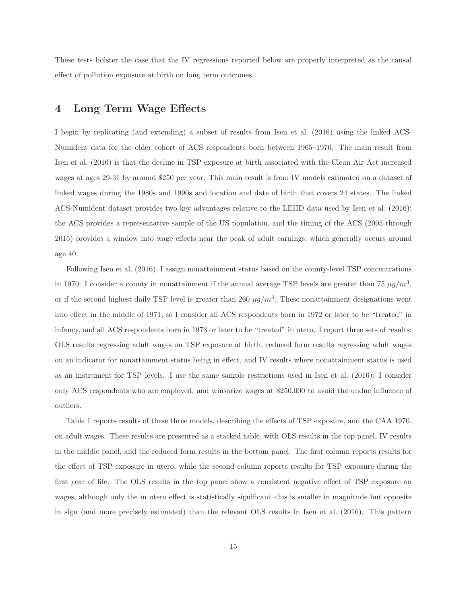These tests bolster the case that the IV regressions reported below are properly interpreted as the causal effect of pollution exposure at birth on long term outcomes.

### **4 Long Term Wage Effects**

I begin by replicating (and extending) a subset of results from Isen et al. (2016) using the linked ACS-Numident data for the older cohort of ACS respondents born between 1965–1976. The main result from Isen et al. (2016) is that the decline in TSP exposure at birth associated with the Clean Air Act increased wages at ages 29-31 by around \$250 per year. This main result is from IV models estimated on a dataset of linked wages during the 1980s and 1990s and location and date of birth that covers 24 states. The linked ACS-Numident dataset provides two key advantages relative to the LEHD data used by Isen et al. (2016): the ACS provides a representative sample of the US population, and the timing of the ACS (2005 through 2015) provides a window into wage effects near the peak of adult earnings, which generally occurs around age 40.

Following Isen et al. (2016), I assign nonattainment status based on the county-level TSP concentrations in 1970: I consider a county in nonattainment if the annual average TSP levels are greater than 75  $\mu g/m^3$ , or if the second highest daily TSP level is greater than 260  $\mu g/m^3$ . These nonattainment designations went into effect in the middle of 1971, so I consider all ACS respondents born in 1972 or later to be "treated" in infancy, and all ACS respondents born in 1973 or later to be "treated" in utero. I report three sets of results: OLS results regressing adult wages on TSP exposure at birth, reduced form results regressing adult wages on an indicator for nonattainment status being in effect, and IV results where nonattainment status is used as an instrument for TSP levels. I use the same sample restrictions used in Isen et al. (2016): I consider only ACS respondents who are employed, and winsorize wages at \$250,000 to avoid the undue influence of outliers.

Table 1 reports results of these three models, describing the effects of TSP exposure, and the CAA 1970, on adult wages. These results are presented as a stacked table, with OLS results in the top panel, IV results in the middle panel, and the reduced form results in the bottom panel. The first column reports results for the effect of TSP exposure in utero, while the second column reports results for TSP exposure during the first year of life. The OLS results in the top panel show a consistent negative effect of TSP exposure on wages, although only the in utero effect is statistically significant–this is smaller in magnitude but opposite in sign (and more precisely estimated) than the relevant OLS results in Isen et al. (2016). This pattern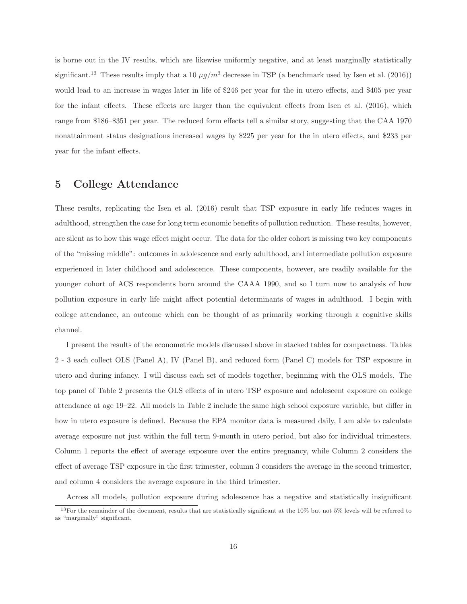is borne out in the IV results, which are likewise uniformly negative, and at least marginally statistically significant.<sup>13</sup> These results imply that a 10  $\mu g/m^3$  decrease in TSP (a benchmark used by Isen et al. (2016)) would lead to an increase in wages later in life of \$246 per year for the in utero effects, and \$405 per year for the infant effects. These effects are larger than the equivalent effects from Isen et al. (2016), which range from \$186–\$351 per year. The reduced form effects tell a similar story, suggesting that the CAA 1970 nonattainment status designations increased wages by \$225 per year for the in utero effects, and \$233 per year for the infant effects.

### **5 College Attendance**

These results, replicating the Isen et al. (2016) result that TSP exposure in early life reduces wages in adulthood, strengthen the case for long term economic benefits of pollution reduction. These results, however, are silent as to how this wage effect might occur. The data for the older cohort is missing two key components of the "missing middle": outcomes in adolescence and early adulthood, and intermediate pollution exposure experienced in later childhood and adolescence. These components, however, are readily available for the younger cohort of ACS respondents born around the CAAA 1990, and so I turn now to analysis of how pollution exposure in early life might affect potential determinants of wages in adulthood. I begin with college attendance, an outcome which can be thought of as primarily working through a cognitive skills channel.

I present the results of the econometric models discussed above in stacked tables for compactness. Tables 2 - 3 each collect OLS (Panel A), IV (Panel B), and reduced form (Panel C) models for TSP exposure in utero and during infancy. I will discuss each set of models together, beginning with the OLS models. The top panel of Table 2 presents the OLS effects of in utero TSP exposure and adolescent exposure on college attendance at age 19–22. All models in Table 2 include the same high school exposure variable, but differ in how in utero exposure is defined. Because the EPA monitor data is measured daily, I am able to calculate average exposure not just within the full term 9-month in utero period, but also for individual trimesters. Column 1 reports the effect of average exposure over the entire pregnancy, while Column 2 considers the effect of average TSP exposure in the first trimester, column 3 considers the average in the second trimester, and column 4 considers the average exposure in the third trimester.

Across all models, pollution exposure during adolescence has a negative and statistically insignificant

 $13$ For the remainder of the document, results that are statistically significant at the  $10\%$  but not  $5\%$  levels will be referred to as "marginally" significant.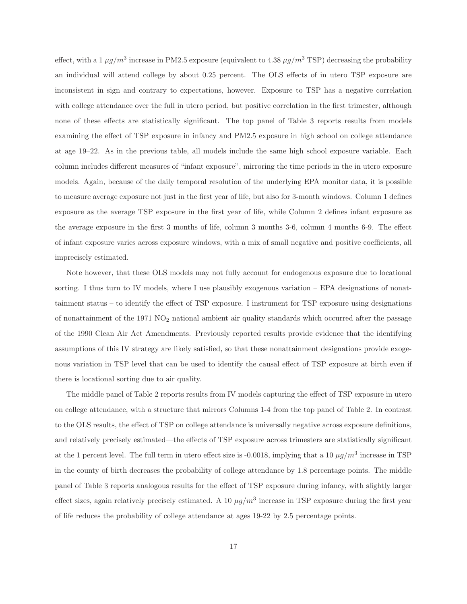effect, with a 1  $\mu q/m^3$  increase in PM2.5 exposure (equivalent to 4.38  $\mu q/m^3$  TSP) decreasing the probability an individual will attend college by about 0.25 percent. The OLS effects of in utero TSP exposure are inconsistent in sign and contrary to expectations, however. Exposure to TSP has a negative correlation with college attendance over the full in utero period, but positive correlation in the first trimester, although none of these effects are statistically significant. The top panel of Table 3 reports results from models examining the effect of TSP exposure in infancy and PM2.5 exposure in high school on college attendance at age 19–22. As in the previous table, all models include the same high school exposure variable. Each column includes different measures of "infant exposure", mirroring the time periods in the in utero exposure models. Again, because of the daily temporal resolution of the underlying EPA monitor data, it is possible to measure average exposure not just in the first year of life, but also for 3-month windows. Column 1 defines exposure as the average TSP exposure in the first year of life, while Column 2 defines infant exposure as the average exposure in the first 3 months of life, column 3 months 3-6, column 4 months 6-9. The effect of infant exposure varies across exposure windows, with a mix of small negative and positive coefficients, all imprecisely estimated.

Note however, that these OLS models may not fully account for endogenous exposure due to locational sorting. I thus turn to IV models, where I use plausibly exogenous variation – EPA designations of nonattainment status – to identify the effect of TSP exposure. I instrument for TSP exposure using designations of nonattainment of the  $1971$   $NO<sub>2</sub>$  national ambient air quality standards which occurred after the passage of the 1990 Clean Air Act Amendments. Previously reported results provide evidence that the identifying assumptions of this IV strategy are likely satisfied, so that these nonattainment designations provide exogenous variation in TSP level that can be used to identify the causal effect of TSP exposure at birth even if there is locational sorting due to air quality.

The middle panel of Table 2 reports results from IV models capturing the effect of TSP exposure in utero on college attendance, with a structure that mirrors Columns 1-4 from the top panel of Table 2. In contrast to the OLS results, the effect of TSP on college attendance is universally negative across exposure definitions, and relatively precisely estimated—the effects of TSP exposure across trimesters are statistically significant at the 1 percent level. The full term in utero effect size is -0.0018, implying that a 10  $\mu g/m^3$  increase in TSP in the county of birth decreases the probability of college attendance by 1.8 percentage points. The middle panel of Table 3 reports analogous results for the effect of TSP exposure during infancy, with slightly larger effect sizes, again relatively precisely estimated. A 10  $\mu q/m^3$  increase in TSP exposure during the first year of life reduces the probability of college attendance at ages 19-22 by 2.5 percentage points.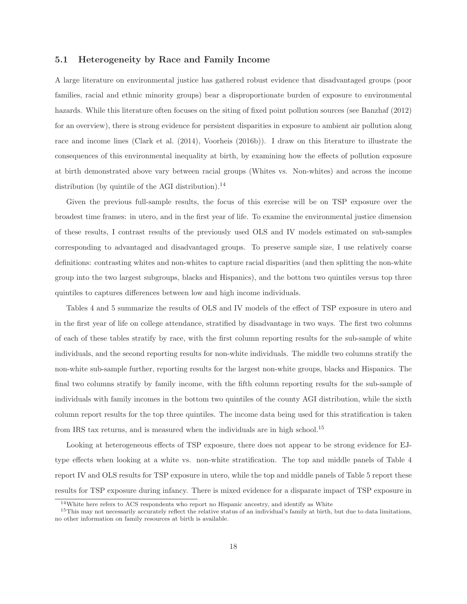#### **5.1 Heterogeneity by Race and Family Income**

A large literature on environmental justice has gathered robust evidence that disadvantaged groups (poor families, racial and ethnic minority groups) bear a disproportionate burden of exposure to environmental hazards. While this literature often focuses on the siting of fixed point pollution sources (see Banzhaf (2012) for an overview), there is strong evidence for persistent disparities in exposure to ambient air pollution along race and income lines (Clark et al. (2014), Voorheis (2016b)). I draw on this literature to illustrate the consequences of this environmental inequality at birth, by examining how the effects of pollution exposure at birth demonstrated above vary between racial groups (Whites vs. Non-whites) and across the income distribution (by quintile of the AGI distribution). $^{14}$ 

Given the previous full-sample results, the focus of this exercise will be on TSP exposure over the broadest time frames: in utero, and in the first year of life. To examine the environmental justice dimension of these results, I contrast results of the previously used OLS and IV models estimated on sub-samples corresponding to advantaged and disadvantaged groups. To preserve sample size, I use relatively coarse definitions: contrasting whites and non-whites to capture racial disparities (and then splitting the non-white group into the two largest subgroups, blacks and Hispanics), and the bottom two quintiles versus top three quintiles to captures differences between low and high income individuals.

Tables 4 and 5 summarize the results of OLS and IV models of the effect of TSP exposure in utero and in the first year of life on college attendance, stratified by disadvantage in two ways. The first two columns of each of these tables stratify by race, with the first column reporting results for the sub-sample of white individuals, and the second reporting results for non-white individuals. The middle two columns stratify the non-white sub-sample further, reporting results for the largest non-white groups, blacks and Hispanics. The final two columns stratify by family income, with the fifth column reporting results for the sub-sample of individuals with family incomes in the bottom two quintiles of the county AGI distribution, while the sixth column report results for the top three quintiles. The income data being used for this stratification is taken from IRS tax returns, and is measured when the individuals are in high school.<sup>15</sup>

Looking at heterogeneous effects of TSP exposure, there does not appear to be strong evidence for EJtype effects when looking at a white vs. non-white stratification. The top and middle panels of Table 4 report IV and OLS results for TSP exposure in utero, while the top and middle panels of Table 5 report these results for TSP exposure during infancy. There is mixed evidence for a disparate impact of TSP exposure in

 $14$ White here refers to ACS respondents who report no Hispanic ancestry, and identify as White

 $15$ This may not necessarily accurately reflect the relative status of an individual's family at birth, but due to data limitations, no other information on family resources at birth is available.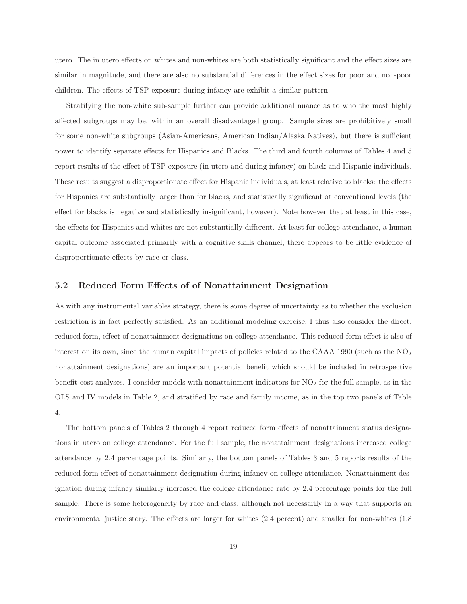utero. The in utero effects on whites and non-whites are both statistically significant and the effect sizes are similar in magnitude, and there are also no substantial differences in the effect sizes for poor and non-poor children. The effects of TSP exposure during infancy are exhibit a similar pattern.

Stratifying the non-white sub-sample further can provide additional nuance as to who the most highly affected subgroups may be, within an overall disadvantaged group. Sample sizes are prohibitively small for some non-white subgroups (Asian-Americans, American Indian/Alaska Natives), but there is sufficient power to identify separate effects for Hispanics and Blacks. The third and fourth columns of Tables 4 and 5 report results of the effect of TSP exposure (in utero and during infancy) on black and Hispanic individuals. These results suggest a disproportionate effect for Hispanic individuals, at least relative to blacks: the effects for Hispanics are substantially larger than for blacks, and statistically significant at conventional levels (the effect for blacks is negative and statistically insignificant, however). Note however that at least in this case, the effects for Hispanics and whites are not substantially different. At least for college attendance, a human capital outcome associated primarily with a cognitive skills channel, there appears to be little evidence of disproportionate effects by race or class.

#### **5.2 Reduced Form Effects of of Nonattainment Designation**

As with any instrumental variables strategy, there is some degree of uncertainty as to whether the exclusion restriction is in fact perfectly satisfied. As an additional modeling exercise, I thus also consider the direct, reduced form, effect of nonattainment designations on college attendance. This reduced form effect is also of interest on its own, since the human capital impacts of policies related to the CAAA 1990 (such as the  $NO<sub>2</sub>$ nonattainment designations) are an important potential benefit which should be included in retrospective benefit-cost analyses. I consider models with nonattainment indicators for  $NO<sub>2</sub>$  for the full sample, as in the OLS and IV models in Table 2, and stratified by race and family income, as in the top two panels of Table 4.

The bottom panels of Tables 2 through 4 report reduced form effects of nonattainment status designations in utero on college attendance. For the full sample, the nonattainment designations increased college attendance by 2.4 percentage points. Similarly, the bottom panels of Tables 3 and 5 reports results of the reduced form effect of nonattainment designation during infancy on college attendance. Nonattainment designation during infancy similarly increased the college attendance rate by 2.4 percentage points for the full sample. There is some heterogeneity by race and class, although not necessarily in a way that supports an environmental justice story. The effects are larger for whites (2.4 percent) and smaller for non-whites (1.8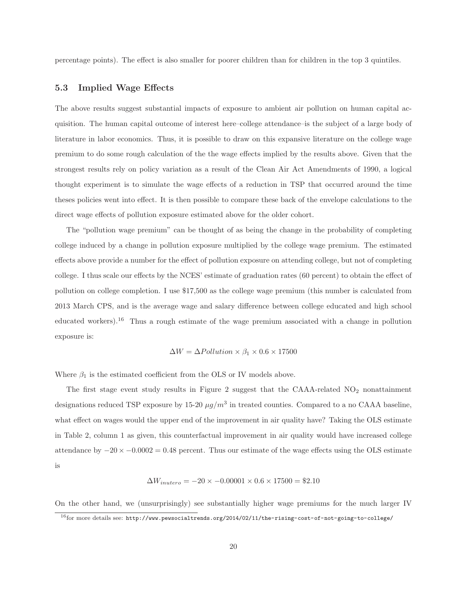percentage points). The effect is also smaller for poorer children than for children in the top 3 quintiles.

#### **5.3 Implied Wage Effects**

The above results suggest substantial impacts of exposure to ambient air pollution on human capital acquisition. The human capital outcome of interest here–college attendance–is the subject of a large body of literature in labor economics. Thus, it is possible to draw on this expansive literature on the college wage premium to do some rough calculation of the the wage effects implied by the results above. Given that the strongest results rely on policy variation as a result of the Clean Air Act Amendments of 1990, a logical thought experiment is to simulate the wage effects of a reduction in TSP that occurred around the time theses policies went into effect. It is then possible to compare these back of the envelope calculations to the direct wage effects of pollution exposure estimated above for the older cohort.

The "pollution wage premium" can be thought of as being the change in the probability of completing college induced by a change in pollution exposure multiplied by the college wage premium. The estimated effects above provide a number for the effect of pollution exposure on attending college, but not of completing college. I thus scale our effects by the NCES' estimate of graduation rates (60 percent) to obtain the effect of pollution on college completion. I use \$17,500 as the college wage premium (this number is calculated from 2013 March CPS, and is the average wage and salary difference between college educated and high school educated workers).<sup>16</sup> Thus a rough estimate of the wage premium associated with a change in pollution exposure is:

$$
\Delta W = \Delta Pollution \times \beta_1 \times 0.6 \times 17500
$$

Where  $\beta_1$  is the estimated coefficient from the OLS or IV models above.

The first stage event study results in Figure 2 suggest that the CAAA-related  $NO<sub>2</sub>$  nonattainment designations reduced TSP exposure by 15-20  $\mu g/m^3$  in treated counties. Compared to a no CAAA baseline, what effect on wages would the upper end of the improvement in air quality have? Taking the OLS estimate in Table 2, column 1 as given, this counterfactual improvement in air quality would have increased college attendance by  $-20 \times -0.0002 = 0.48$  percent. Thus our estimate of the wage effects using the OLS estimate is

$$
\Delta W_{inutero} = -20 \times -0.00001 \times 0.6 \times 17500 = \$2.10
$$

On the other hand, we (unsurprisingly) see substantially higher wage premiums for the much larger IV  $^{16}$ for more details see: http://www.pewsocialtrends.org/2014/02/11/the-rising-cost-of-not-going-to-college/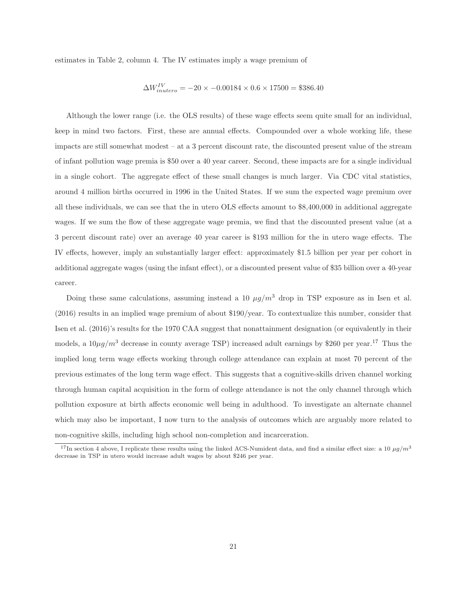estimates in Table 2, column 4. The IV estimates imply a wage premium of

$$
\Delta W_{inutero}^{IV} = -20 \times -0.00184 \times 0.6 \times 17500 = $386.40
$$

Although the lower range (i.e. the OLS results) of these wage effects seem quite small for an individual, keep in mind two factors. First, these are annual effects. Compounded over a whole working life, these impacts are still somewhat modest – at a 3 percent discount rate, the discounted present value of the stream of infant pollution wage premia is \$50 over a 40 year career. Second, these impacts are for a single individual in a single cohort. The aggregate effect of these small changes is much larger. Via CDC vital statistics, around 4 million births occurred in 1996 in the United States. If we sum the expected wage premium over all these individuals, we can see that the in utero OLS effects amount to \$8,400,000 in additional aggregate wages. If we sum the flow of these aggregate wage premia, we find that the discounted present value (at a 3 percent discount rate) over an average 40 year career is \$193 million for the in utero wage effects. The IV effects, however, imply an substantially larger effect: approximately \$1.5 billion per year per cohort in additional aggregate wages (using the infant effect), or a discounted present value of \$35 billion over a 40-year career.

Doing these same calculations, assuming instead a 10  $\mu g/m^3$  drop in TSP exposure as in Isen et al. (2016) results in an implied wage premium of about \$190/year. To contextualize this number, consider that Isen et al. (2016)'s results for the 1970 CAA suggest that nonattainment designation (or equivalently in their models, a  $10\mu g/m^3$  decrease in county average TSP) increased adult earnings by \$260 per year.<sup>17</sup> Thus the implied long term wage effects working through college attendance can explain at most 70 percent of the previous estimates of the long term wage effect. This suggests that a cognitive-skills driven channel working through human capital acquisition in the form of college attendance is not the only channel through which pollution exposure at birth affects economic well being in adulthood. To investigate an alternate channel which may also be important, I now turn to the analysis of outcomes which are arguably more related to non-cognitive skills, including high school non-completion and incarceration.

<sup>&</sup>lt;sup>17</sup>In section 4 above, I replicate these results using the linked ACS-Numident data, and find a similar effect size: a 10  $\mu g/m^3$ decrease in TSP in utero would increase adult wages by about \$246 per year.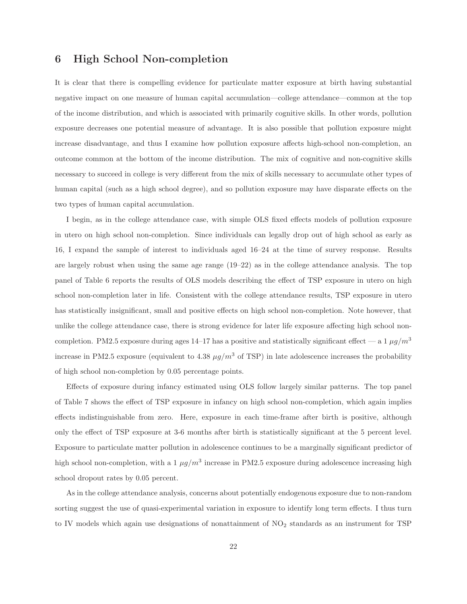### **6 High School Non-completion**

It is clear that there is compelling evidence for particulate matter exposure at birth having substantial negative impact on one measure of human capital accumulation—college attendance—common at the top of the income distribution, and which is associated with primarily cognitive skills. In other words, pollution exposure decreases one potential measure of advantage. It is also possible that pollution exposure might increase disadvantage, and thus I examine how pollution exposure affects high-school non-completion, an outcome common at the bottom of the income distribution. The mix of cognitive and non-cognitive skills necessary to succeed in college is very different from the mix of skills necessary to accumulate other types of human capital (such as a high school degree), and so pollution exposure may have disparate effects on the two types of human capital accumulation.

I begin, as in the college attendance case, with simple OLS fixed effects models of pollution exposure in utero on high school non-completion. Since individuals can legally drop out of high school as early as 16, I expand the sample of interest to individuals aged 16–24 at the time of survey response. Results are largely robust when using the same age range (19–22) as in the college attendance analysis. The top panel of Table 6 reports the results of OLS models describing the effect of TSP exposure in utero on high school non-completion later in life. Consistent with the college attendance results, TSP exposure in utero has statistically insignificant, small and positive effects on high school non-completion. Note however, that unlike the college attendance case, there is strong evidence for later life exposure affecting high school noncompletion. PM2.5 exposure during ages 14–17 has a positive and statistically significant effect — a 1  $\mu$ g/m<sup>3</sup> increase in PM2.5 exposure (equivalent to 4.38  $\mu g/m^3$  of TSP) in late adolescence increases the probability of high school non-completion by 0.05 percentage points.

Effects of exposure during infancy estimated using OLS follow largely similar patterns. The top panel of Table 7 shows the effect of TSP exposure in infancy on high school non-completion, which again implies effects indistinguishable from zero. Here, exposure in each time-frame after birth is positive, although only the effect of TSP exposure at 3-6 months after birth is statistically significant at the 5 percent level. Exposure to particulate matter pollution in adolescence continues to be a marginally significant predictor of high school non-completion, with a 1  $\mu q/m^3$  increase in PM2.5 exposure during adolescence increasing high school dropout rates by 0.05 percent.

As in the college attendance analysis, concerns about potentially endogenous exposure due to non-random sorting suggest the use of quasi-experimental variation in exposure to identify long term effects. I thus turn to IV models which again use designations of nonattainment of  $NO<sub>2</sub>$  standards as an instrument for TSP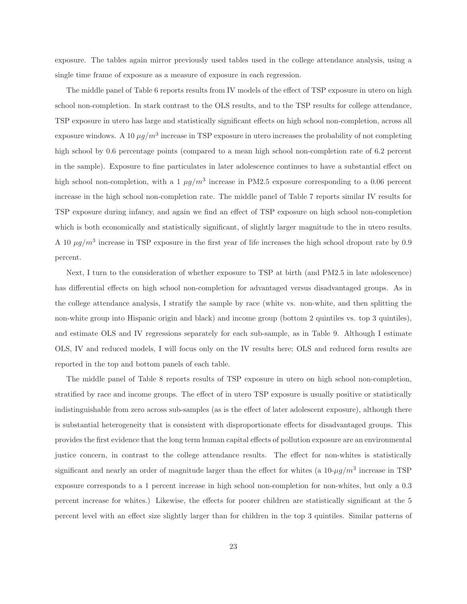exposure. The tables again mirror previously used tables used in the college attendance analysis, using a single time frame of exposure as a measure of exposure in each regression.

The middle panel of Table 6 reports results from IV models of the effect of TSP exposure in utero on high school non-completion. In stark contrast to the OLS results, and to the TSP results for college attendance, TSP exposure in utero has large and statistically significant effects on high school non-completion, across all exposure windows. A 10  $\mu g/m^3$  increase in TSP exposure in utero increases the probability of not completing high school by 0.6 percentage points (compared to a mean high school non-completion rate of 6.2 percent in the sample). Exposure to fine particulates in later adolescence continues to have a substantial effect on high school non-completion, with a 1  $\mu g/m^3$  increase in PM2.5 exposure corresponding to a 0.06 percent increase in the high school non-completion rate. The middle panel of Table 7 reports similar IV results for TSP exposure during infancy, and again we find an effect of TSP exposure on high school non-completion which is both economically and statistically significant, of slightly larger magnitude to the in utero results. A 10  $\mu$ g/m<sup>3</sup> increase in TSP exposure in the first year of life increases the high school dropout rate by 0.9 percent.

Next, I turn to the consideration of whether exposure to TSP at birth (and PM2.5 in late adolescence) has differential effects on high school non-completion for advantaged versus disadvantaged groups. As in the college attendance analysis, I stratify the sample by race (white vs. non-white, and then splitting the non-white group into Hispanic origin and black) and income group (bottom 2 quintiles vs. top 3 quintiles), and estimate OLS and IV regressions separately for each sub-sample, as in Table 9. Although I estimate OLS, IV and reduced models, I will focus only on the IV results here; OLS and reduced form results are reported in the top and bottom panels of each table.

The middle panel of Table 8 reports results of TSP exposure in utero on high school non-completion, stratified by race and income groups. The effect of in utero TSP exposure is usually positive or statistically indistinguishable from zero across sub-samples (as is the effect of later adolescent exposure), although there is substantial heterogeneity that is consistent with disproportionate effects for disadvantaged groups. This provides the first evidence that the long term human capital effects of pollution exposure are an environmental justice concern, in contrast to the college attendance results. The effect for non-whites is statistically significant and nearly an order of magnitude larger than the effect for whites (a  $10-\mu g/m^3$  increase in TSP exposure corresponds to a 1 percent increase in high school non-completion for non-whites, but only a 0.3 percent increase for whites.) Likewise, the effects for poorer children are statistically significant at the 5 percent level with an effect size slightly larger than for children in the top 3 quintiles. Similar patterns of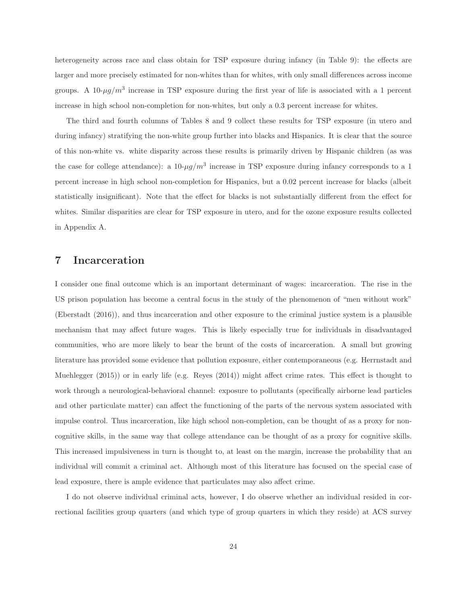heterogeneity across race and class obtain for TSP exposure during infancy (in Table 9): the effects are larger and more precisely estimated for non-whites than for whites, with only small differences across income groups. A 10- $\mu$ g/m<sup>3</sup> increase in TSP exposure during the first year of life is associated with a 1 percent increase in high school non-completion for non-whites, but only a 0.3 percent increase for whites.

The third and fourth columns of Tables 8 and 9 collect these results for TSP exposure (in utero and during infancy) stratifying the non-white group further into blacks and Hispanics. It is clear that the source of this non-white vs. white disparity across these results is primarily driven by Hispanic children (as was the case for college attendance): a  $10-\mu g/m^3$  increase in TSP exposure during infancy corresponds to a 1 percent increase in high school non-completion for Hispanics, but a 0.02 percent increase for blacks (albeit statistically insignificant). Note that the effect for blacks is not substantially different from the effect for whites. Similar disparities are clear for TSP exposure in utero, and for the ozone exposure results collected in Appendix A.

#### **7 Incarceration**

I consider one final outcome which is an important determinant of wages: incarceration. The rise in the US prison population has become a central focus in the study of the phenomenon of "men without work" (Eberstadt (2016)), and thus incarceration and other exposure to the criminal justice system is a plausible mechanism that may affect future wages. This is likely especially true for individuals in disadvantaged communities, who are more likely to bear the brunt of the costs of incarceration. A small but growing literature has provided some evidence that pollution exposure, either contemporaneous (e.g. Herrnstadt and Muehlegger (2015)) or in early life (e.g. Reyes (2014)) might affect crime rates. This effect is thought to work through a neurological-behavioral channel: exposure to pollutants (specifically airborne lead particles and other particulate matter) can affect the functioning of the parts of the nervous system associated with impulse control. Thus incarceration, like high school non-completion, can be thought of as a proxy for noncognitive skills, in the same way that college attendance can be thought of as a proxy for cognitive skills. This increased impulsiveness in turn is thought to, at least on the margin, increase the probability that an individual will commit a criminal act. Although most of this literature has focused on the special case of lead exposure, there is ample evidence that particulates may also affect crime.

I do not observe individual criminal acts, however, I do observe whether an individual resided in correctional facilities group quarters (and which type of group quarters in which they reside) at ACS survey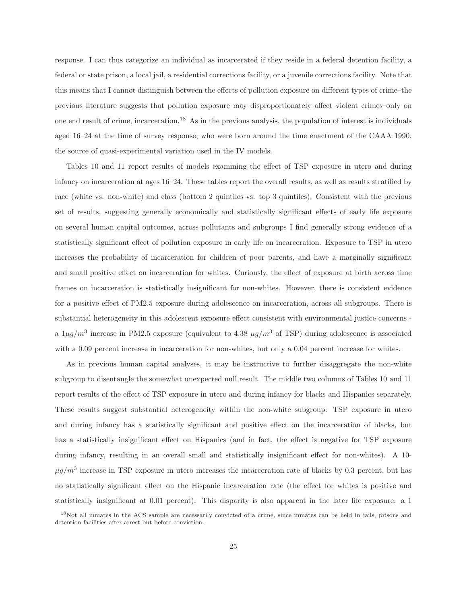response. I can thus categorize an individual as incarcerated if they reside in a federal detention facility, a federal or state prison, a local jail, a residential corrections facility, or a juvenile corrections facility. Note that this means that I cannot distinguish between the effects of pollution exposure on different types of crime–the previous literature suggests that pollution exposure may disproportionately affect violent crimes–only on one end result of crime, incarceration.<sup>18</sup> As in the previous analysis, the population of interest is individuals aged 16–24 at the time of survey response, who were born around the time enactment of the CAAA 1990, the source of quasi-experimental variation used in the IV models.

Tables 10 and 11 report results of models examining the effect of TSP exposure in utero and during infancy on incarceration at ages 16–24. These tables report the overall results, as well as results stratified by race (white vs. non-white) and class (bottom 2 quintiles vs. top 3 quintiles). Consistent with the previous set of results, suggesting generally economically and statistically significant effects of early life exposure on several human capital outcomes, across pollutants and subgroups I find generally strong evidence of a statistically significant effect of pollution exposure in early life on incarceration. Exposure to TSP in utero increases the probability of incarceration for children of poor parents, and have a marginally significant and small positive effect on incarceration for whites. Curiously, the effect of exposure at birth across time frames on incarceration is statistically insignificant for non-whites. However, there is consistent evidence for a positive effect of PM2.5 exposure during adolescence on incarceration, across all subgroups. There is substantial heterogeneity in this adolescent exposure effect consistent with environmental justice concerns a  $1\mu g/m^3$  increase in PM2.5 exposure (equivalent to 4.38  $\mu g/m^3$  of TSP) during adolescence is associated with a 0.09 percent increase in incarceration for non-whites, but only a 0.04 percent increase for whites.

As in previous human capital analyses, it may be instructive to further disaggregate the non-white subgroup to disentangle the somewhat unexpected null result. The middle two columns of Tables 10 and 11 report results of the effect of TSP exposure in utero and during infancy for blacks and Hispanics separately. These results suggest substantial heterogeneity within the non-white subgroup: TSP exposure in utero and during infancy has a statistically significant and positive effect on the incarceration of blacks, but has a statistically insignificant effect on Hispanics (and in fact, the effect is negative for TSP exposure during infancy, resulting in an overall small and statistically insignificant effect for non-whites). A 10-  $\mu g/m^3$  increase in TSP exposure in utero increases the incarceration rate of blacks by 0.3 percent, but has no statistically significant effect on the Hispanic incarceration rate (the effect for whites is positive and statistically insignificant at 0.01 percent). This disparity is also apparent in the later life exposure: a 1

<sup>&</sup>lt;sup>18</sup>Not all inmates in the ACS sample are necessarily convicted of a crime, since inmates can be held in jails, prisons and detention facilities after arrest but before conviction.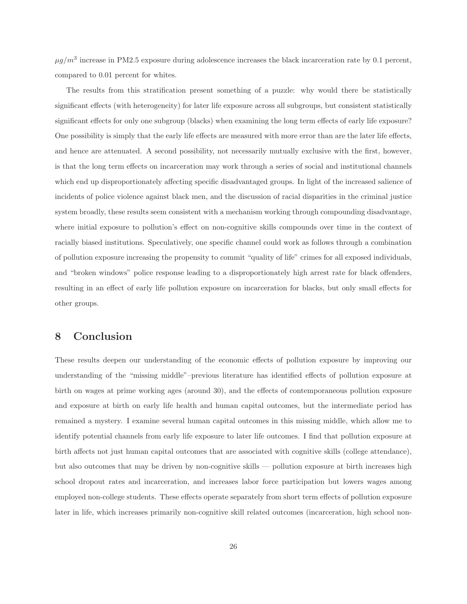$\mu q/m^3$  increase in PM2.5 exposure during adolescence increases the black incarceration rate by 0.1 percent, compared to 0.01 percent for whites.

The results from this stratification present something of a puzzle: why would there be statistically significant effects (with heterogeneity) for later life exposure across all subgroups, but consistent statistically significant effects for only one subgroup (blacks) when examining the long term effects of early life exposure? One possibility is simply that the early life effects are measured with more error than are the later life effects, and hence are attenuated. A second possibility, not necessarily mutually exclusive with the first, however, is that the long term effects on incarceration may work through a series of social and institutional channels which end up disproportionately affecting specific disadvantaged groups. In light of the increased salience of incidents of police violence against black men, and the discussion of racial disparities in the criminal justice system broadly, these results seem consistent with a mechanism working through compounding disadvantage, where initial exposure to pollution's effect on non-cognitive skills compounds over time in the context of racially biased institutions. Speculatively, one specific channel could work as follows through a combination of pollution exposure increasing the propensity to commit "quality of life" crimes for all exposed individuals, and "broken windows" police response leading to a disproportionately high arrest rate for black offenders, resulting in an effect of early life pollution exposure on incarceration for blacks, but only small effects for other groups.

### **8 Conclusion**

These results deepen our understanding of the economic effects of pollution exposure by improving our understanding of the "missing middle"–previous literature has identified effects of pollution exposure at birth on wages at prime working ages (around 30), and the effects of contemporaneous pollution exposure and exposure at birth on early life health and human capital outcomes, but the intermediate period has remained a mystery. I examine several human capital outcomes in this missing middle, which allow me to identify potential channels from early life exposure to later life outcomes. I find that pollution exposure at birth affects not just human capital outcomes that are associated with cognitive skills (college attendance), but also outcomes that may be driven by non-cognitive skills — pollution exposure at birth increases high school dropout rates and incarceration, and increases labor force participation but lowers wages among employed non-college students. These effects operate separately from short term effects of pollution exposure later in life, which increases primarily non-cognitive skill related outcomes (incarceration, high school non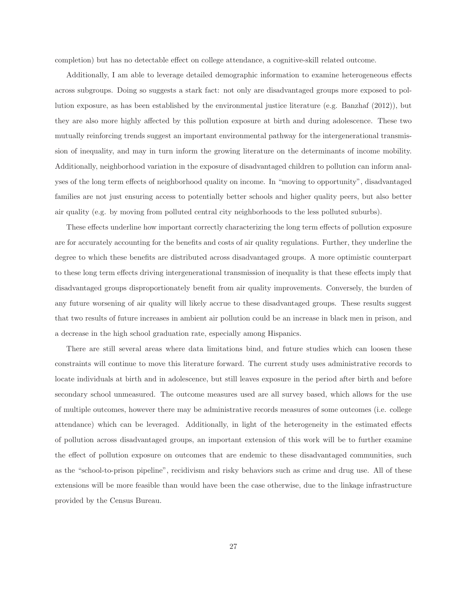completion) but has no detectable effect on college attendance, a cognitive-skill related outcome.

Additionally, I am able to leverage detailed demographic information to examine heterogeneous effects across subgroups. Doing so suggests a stark fact: not only are disadvantaged groups more exposed to pollution exposure, as has been established by the environmental justice literature (e.g. Banzhaf (2012)), but they are also more highly affected by this pollution exposure at birth and during adolescence. These two mutually reinforcing trends suggest an important environmental pathway for the intergenerational transmission of inequality, and may in turn inform the growing literature on the determinants of income mobility. Additionally, neighborhood variation in the exposure of disadvantaged children to pollution can inform analyses of the long term effects of neighborhood quality on income. In "moving to opportunity", disadvantaged families are not just ensuring access to potentially better schools and higher quality peers, but also better air quality (e.g. by moving from polluted central city neighborhoods to the less polluted suburbs).

These effects underline how important correctly characterizing the long term effects of pollution exposure are for accurately accounting for the benefits and costs of air quality regulations. Further, they underline the degree to which these benefits are distributed across disadvantaged groups. A more optimistic counterpart to these long term effects driving intergenerational transmission of inequality is that these effects imply that disadvantaged groups disproportionately benefit from air quality improvements. Conversely, the burden of any future worsening of air quality will likely accrue to these disadvantaged groups. These results suggest that two results of future increases in ambient air pollution could be an increase in black men in prison, and a decrease in the high school graduation rate, especially among Hispanics.

There are still several areas where data limitations bind, and future studies which can loosen these constraints will continue to move this literature forward. The current study uses administrative records to locate individuals at birth and in adolescence, but still leaves exposure in the period after birth and before secondary school unmeasured. The outcome measures used are all survey based, which allows for the use of multiple outcomes, however there may be administrative records measures of some outcomes (i.e. college attendance) which can be leveraged. Additionally, in light of the heterogeneity in the estimated effects of pollution across disadvantaged groups, an important extension of this work will be to further examine the effect of pollution exposure on outcomes that are endemic to these disadvantaged communities, such as the "school-to-prison pipeline", recidivism and risky behaviors such as crime and drug use. All of these extensions will be more feasible than would have been the case otherwise, due to the linkage infrastructure provided by the Census Bureau.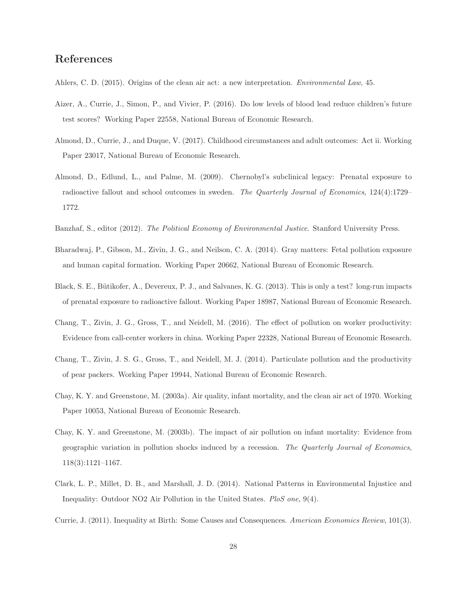### **References**

- Ahlers, C. D. (2015). Origins of the clean air act: a new interpretation. Environmental Law, 45.
- Aizer, A., Currie, J., Simon, P., and Vivier, P. (2016). Do low levels of blood lead reduce children's future test scores? Working Paper 22558, National Bureau of Economic Research.
- Almond, D., Currie, J., and Duque, V. (2017). Childhood circumstances and adult outcomes: Act ii. Working Paper 23017, National Bureau of Economic Research.
- Almond, D., Edlund, L., and Palme, M. (2009). Chernobyl's subclinical legacy: Prenatal exposure to radioactive fallout and school outcomes in sweden. The Quarterly Journal of Economics, 124(4):1729– 1772.
- Banzhaf, S., editor (2012). The Political Economy of Environmental Justice. Stanford University Press.
- Bharadwaj, P., Gibson, M., Zivin, J. G., and Neilson, C. A. (2014). Gray matters: Fetal pollution exposure and human capital formation. Working Paper 20662, National Bureau of Economic Research.
- Black, S. E., Bütikofer, A., Devereux, P. J., and Salvanes, K. G. (2013). This is only a test? long-run impacts of prenatal exposure to radioactive fallout. Working Paper 18987, National Bureau of Economic Research.
- Chang, T., Zivin, J. G., Gross, T., and Neidell, M. (2016). The effect of pollution on worker productivity: Evidence from call-center workers in china. Working Paper 22328, National Bureau of Economic Research.
- Chang, T., Zivin, J. S. G., Gross, T., and Neidell, M. J. (2014). Particulate pollution and the productivity of pear packers. Working Paper 19944, National Bureau of Economic Research.
- Chay, K. Y. and Greenstone, M. (2003a). Air quality, infant mortality, and the clean air act of 1970. Working Paper 10053, National Bureau of Economic Research.
- Chay, K. Y. and Greenstone, M. (2003b). The impact of air pollution on infant mortality: Evidence from geographic variation in pollution shocks induced by a recession. The Quarterly Journal of Economics, 118(3):1121–1167.
- Clark, L. P., Millet, D. B., and Marshall, J. D. (2014). National Patterns in Environmental Injustice and Inequality: Outdoor NO2 Air Pollution in the United States. PloS one, 9(4).
- Currie, J. (2011). Inequality at Birth: Some Causes and Consequences. American Economics Review, 101(3).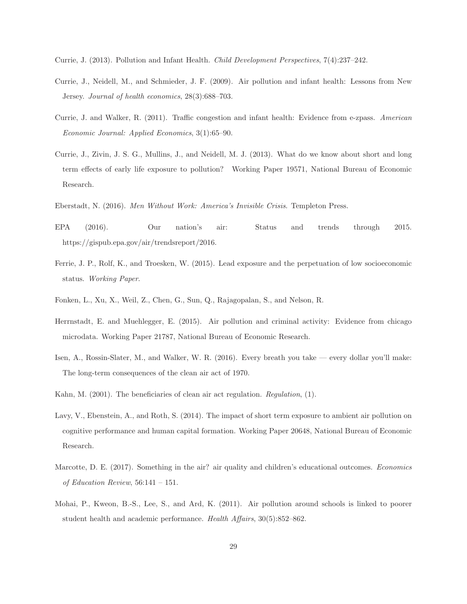- Currie, J. (2013). Pollution and Infant Health. Child Development Perspectives, 7(4):237–242.
- Currie, J., Neidell, M., and Schmieder, J. F. (2009). Air pollution and infant health: Lessons from New Jersey. Journal of health economics, 28(3):688–703.
- Currie, J. and Walker, R. (2011). Traffic congestion and infant health: Evidence from e-zpass. American Economic Journal: Applied Economics, 3(1):65–90.
- Currie, J., Zivin, J. S. G., Mullins, J., and Neidell, M. J. (2013). What do we know about short and long term effects of early life exposure to pollution? Working Paper 19571, National Bureau of Economic Research.
- Eberstadt, N. (2016). Men Without Work: America's Invisible Crisis. Templeton Press.
- EPA (2016). Our nation's air: Status and trends through 2015. https://gispub.epa.gov/air/trendsreport/2016.
- Ferrie, J. P., Rolf, K., and Troesken, W. (2015). Lead exposure and the perpetuation of low socioeconomic status. Working Paper.
- Fonken, L., Xu, X., Weil, Z., Chen, G., Sun, Q., Rajagopalan, S., and Nelson, R.
- Herrnstadt, E. and Muehlegger, E. (2015). Air pollution and criminal activity: Evidence from chicago microdata. Working Paper 21787, National Bureau of Economic Research.
- Isen, A., Rossin-Slater, M., and Walker, W. R. (2016). Every breath you take every dollar you'll make: The long-term consequences of the clean air act of 1970.
- Kahn, M. (2001). The beneficiaries of clean air act regulation. Regulation, (1).
- Lavy, V., Ebenstein, A., and Roth, S. (2014). The impact of short term exposure to ambient air pollution on cognitive performance and human capital formation. Working Paper 20648, National Bureau of Economic Research.
- Marcotte, D. E. (2017). Something in the air? air quality and children's educational outcomes. Economics of Education Review, 56:141 – 151.
- Mohai, P., Kweon, B.-S., Lee, S., and Ard, K. (2011). Air pollution around schools is linked to poorer student health and academic performance. Health Affairs, 30(5):852–862.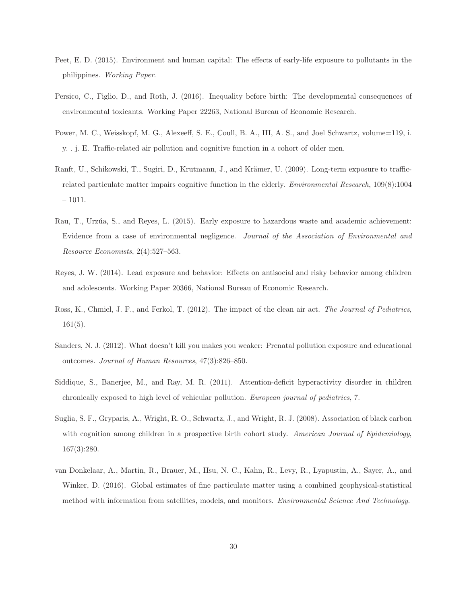- Peet, E. D. (2015). Environment and human capital: The effects of early-life exposure to pollutants in the philippines. Working Paper.
- Persico, C., Figlio, D., and Roth, J. (2016). Inequality before birth: The developmental consequences of environmental toxicants. Working Paper 22263, National Bureau of Economic Research.
- Power, M. C., Weisskopf, M. G., Alexeeff, S. E., Coull, B. A., III, A. S., and Joel Schwartz, volume=119, i. y. . j. E. Traffic-related air pollution and cognitive function in a cohort of older men.
- Ranft, U., Schikowski, T., Sugiri, D., Krutmann, J., and Krämer, U. (2009). Long-term exposure to trafficrelated particulate matter impairs cognitive function in the elderly. *Environmental Research*, 109(8):1004 – 1011.
- Rau, T., Urzúa, S., and Reyes, L. (2015). Early exposure to hazardous waste and academic achievement: Evidence from a case of environmental negligence. Journal of the Association of Environmental and Resource Economists, 2(4):527–563.
- Reyes, J. W. (2014). Lead exposure and behavior: Effects on antisocial and risky behavior among children and adolescents. Working Paper 20366, National Bureau of Economic Research.
- Ross, K., Chmiel, J. F., and Ferkol, T. (2012). The impact of the clean air act. The Journal of Pediatrics,  $161(5)$ .
- Sanders, N. J. (2012). What doesn't kill you makes you weaker: Prenatal pollution exposure and educational outcomes. Journal of Human Resources, 47(3):826–850.
- Siddique, S., Banerjee, M., and Ray, M. R. (2011). Attention-deficit hyperactivity disorder in children chronically exposed to high level of vehicular pollution. European journal of pediatrics, 7.
- Suglia, S. F., Gryparis, A., Wright, R. O., Schwartz, J., and Wright, R. J. (2008). Association of black carbon with cognition among children in a prospective birth cohort study. American Journal of Epidemiology, 167(3):280.
- van Donkelaar, A., Martin, R., Brauer, M., Hsu, N. C., Kahn, R., Levy, R., Lyapustin, A., Sayer, A., and Winker, D. (2016). Global estimates of fine particulate matter using a combined geophysical-statistical method with information from satellites, models, and monitors. *Environmental Science And Technology*.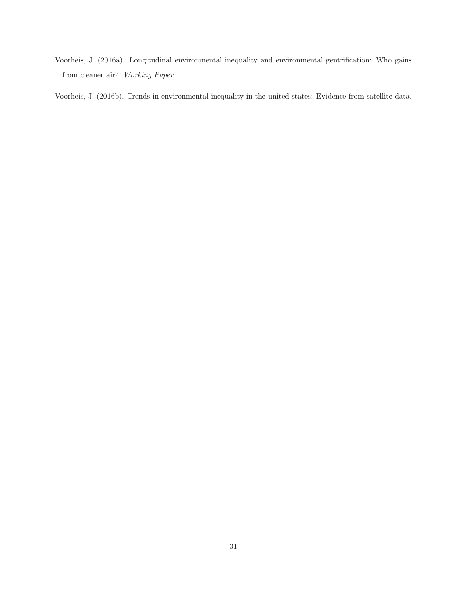Voorheis, J. (2016a). Longitudinal environmental inequality and environmental gentrification: Who gains from cleaner air? Working Paper.

Voorheis, J. (2016b). Trends in environmental inequality in the united states: Evidence from satellite data.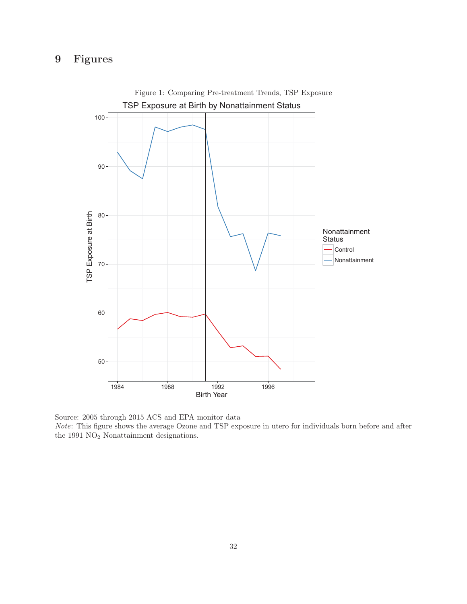## **9 Figures**



Figure 1: Comparing Pre-treatment Trends, TSP Exposure

Source: 2005 through 2015 ACS and EPA monitor data

Note: This figure shows the average Ozone and TSP exposure in utero for individuals born before and after the 1991  $\rm NO_2$  Nonattainment designations.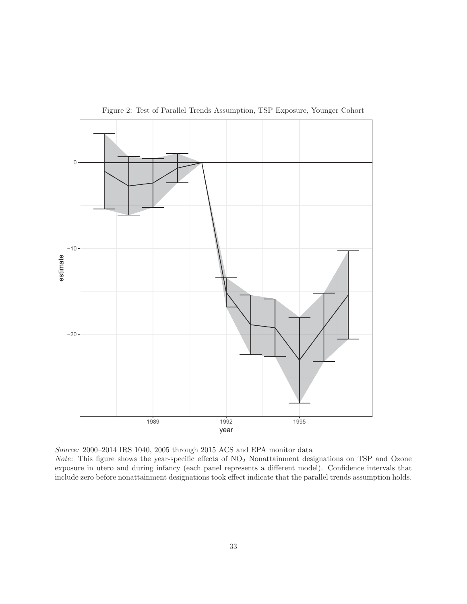

Figure 2: Test of Parallel Trends Assumption, TSP Exposure, Younger Cohort

Source: 2000–2014 IRS 1040, 2005 through 2015 ACS and EPA monitor data Note: This figure shows the year-specific effects of  $NO<sub>2</sub>$  Nonattainment designations on TSP and Ozone exposure in utero and during infancy (each panel represents a different model). Confidence intervals that include zero before nonattainment designations took effect indicate that the parallel trends assumption holds.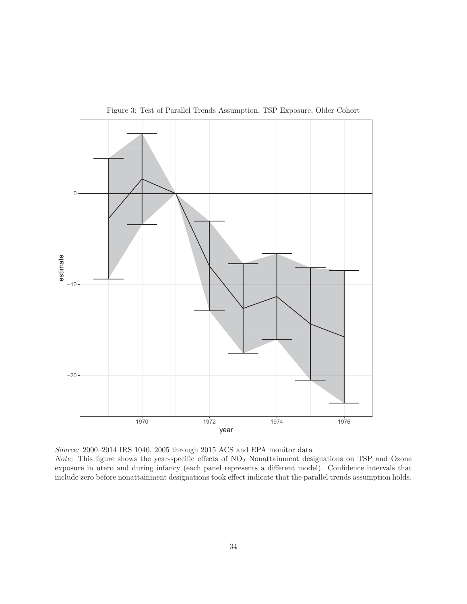

Figure 3: Test of Parallel Trends Assumption, TSP Exposure, Older Cohort

Source: 2000–2014 IRS 1040, 2005 through 2015 ACS and EPA monitor data Note: This figure shows the year-specific effects of  $NO<sub>2</sub>$  Nonattainment designations on TSP and Ozone exposure in utero and during infancy (each panel represents a different model). Confidence intervals that include zero before nonattainment designations took effect indicate that the parallel trends assumption holds.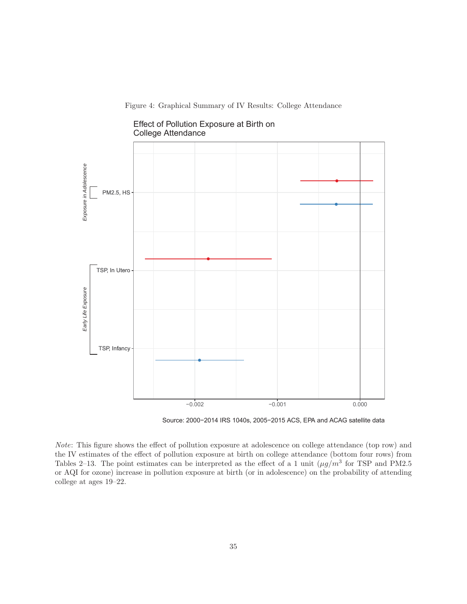Figure 4: Graphical Summary of IV Results: College Attendance



Effect of Pollution Exposure at Birth on College Attendance

Source: 2000−2014 IRS 1040s, 2005−2015 ACS, EPA and ACAG satellite data

Note: This figure shows the effect of pollution exposure at adolescence on college attendance (top row) and the IV estimates of the effect of pollution exposure at birth on college attendance (bottom four rows) from Tables 2–13. The point estimates can be interpreted as the effect of a 1 unit  $(\mu g/m^3$  for TSP and PM2.5 or AQI for ozone) increase in pollution exposure at birth (or in adolescence) on the probability of attending college at ages 19–22.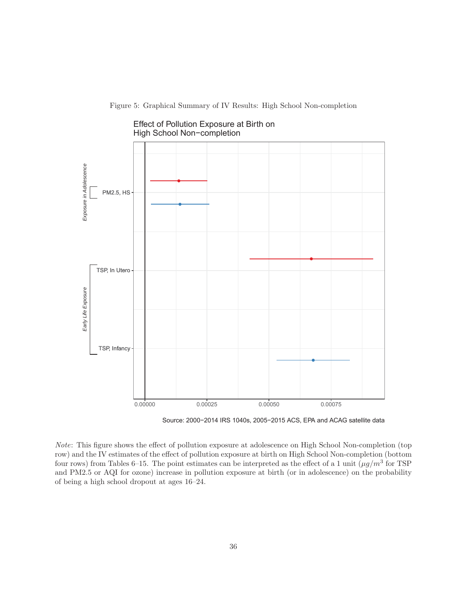





Source: 2000−2014 IRS 1040s, 2005−2015 ACS, EPA and ACAG satellite data

Note: This figure shows the effect of pollution exposure at adolescence on High School Non-completion (top row) and the IV estimates of the effect of pollution exposure at birth on High School Non-completion (bottom four rows) from Tables 6–15. The point estimates can be interpreted as the effect of a 1 unit  $(\mu g/m^3$  for TSP and PM2.5 or AQI for ozone) increase in pollution exposure at birth (or in adolescence) on the probability of being a high school dropout at ages 16–24.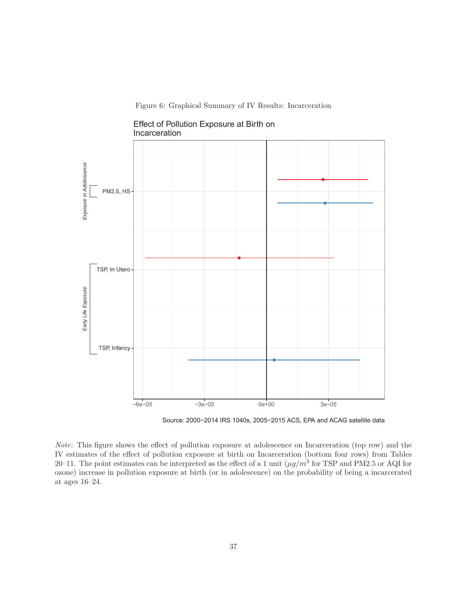Figure 6: Graphical Summary of IV Results: Incarceration



Effect of Pollution Exposure at Birth on Incarceration

Source: 2000−2014 IRS 1040s, 2005−2015 ACS, EPA and ACAG satellite data

Note: This figure shows the effect of pollution exposure at adolescence on Incarceration (top row) and the IV estimates of the effect of pollution exposure at birth on Incarceration (bottom four rows) from Tables 20–11. The point estimates can be interpreted as the effect of a 1 unit  $(\mu g/m^3$  for TSP and PM2.5 or AQI for ozone) increase in pollution exposure at birth (or in adolescence) on the probability of being a incarcerated at ages 16–24.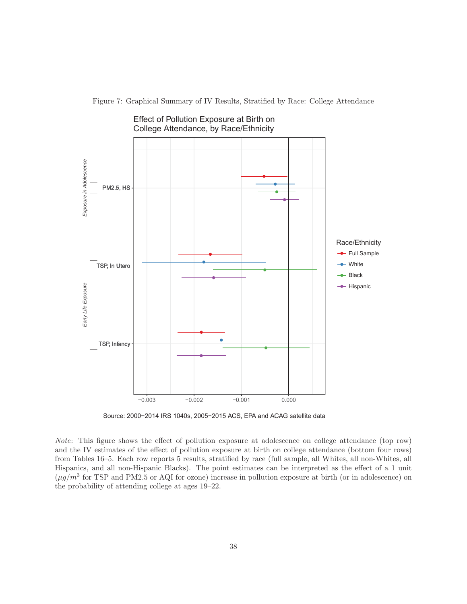College Attendance, by Race/Ethnicity Exposure in Adolescence *Exposure in Adolescence* ● ● PM2.5, HS ● ● Race/Ethnicity ● Full Sample ● ● TSP, In Utero <sup>●</sup> White ● **←** Black ● Early Life Exposure *Early Life Exposure* **←** Hispanic ● ● TSP, Infancy ● ● −0.003 −0.002 −0.001 0.000

Effect of Pollution Exposure at Birth on

Figure 7: Graphical Summary of IV Results, Stratified by Race: College Attendance

Source: 2000−2014 IRS 1040s, 2005−2015 ACS, EPA and ACAG satellite data

Note: This figure shows the effect of pollution exposure at adolescence on college attendance (top row) and the IV estimates of the effect of pollution exposure at birth on college attendance (bottom four rows) from Tables 16–5. Each row reports 5 results, stratified by race (full sample, all Whites, all non-Whites, all Hispanics, and all non-Hispanic Blacks). The point estimates can be interpreted as the effect of a 1 unit  $(\mu g/m^3$  for TSP and PM2.5 or AQI for ozone) increase in pollution exposure at birth (or in adolescence) on the probability of attending college at ages 19–22.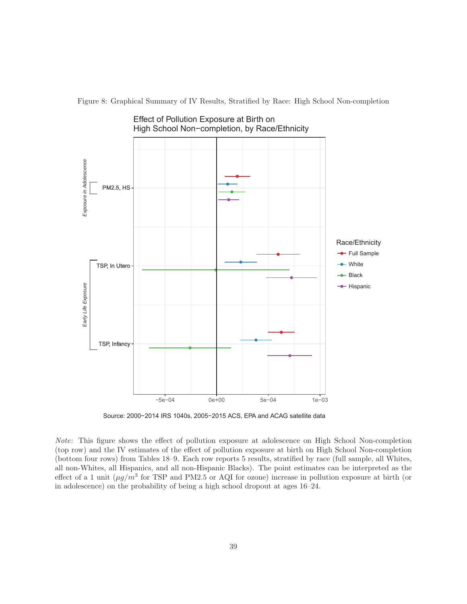

Figure 8: Graphical Summary of IV Results, Stratified by Race: High School Non-completion

Source: 2000−2014 IRS 1040s, 2005−2015 ACS, EPA and ACAG satellite data

Note: This figure shows the effect of pollution exposure at adolescence on High School Non-completion (top row) and the IV estimates of the effect of pollution exposure at birth on High School Non-completion (bottom four rows) from Tables 18–9. Each row reports 5 results, stratified by race (full sample, all Whites, all non-Whites, all Hispanics, and all non-Hispanic Blacks). The point estimates can be interpreted as the effect of a 1 unit  $(\mu g/m^3$  for TSP and PM2.5 or AQI for ozone) increase in pollution exposure at birth (or in adolescence) on the probability of being a high school dropout at ages 16–24.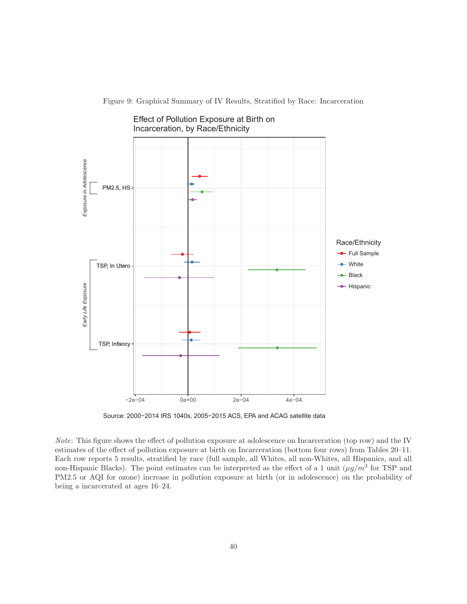

Effect of Pollution Exposure at Birth on

Figure 9: Graphical Summary of IV Results, Stratified by Race: Incarceration

Source: 2000−2014 IRS 1040s, 2005−2015 ACS, EPA and ACAG satellite data

Note: This figure shows the effect of pollution exposure at adolescence on Incarceration (top row) and the IV estimates of the effect of pollution exposure at birth on Incarceration (bottom four rows) from Tables 20–11. Each row reports 5 results, stratified by race (full sample, all Whites, all non-Whites, all Hispanics, and all non-Hispanic Blacks). The point estimates can be interpreted as the effect of a 1 unit  $(\mu g/m^3$  for TSP and PM2.5 or AQI for ozone) increase in pollution exposure at birth (or in adolescence) on the probability of being a incarcerated at ages 16–24.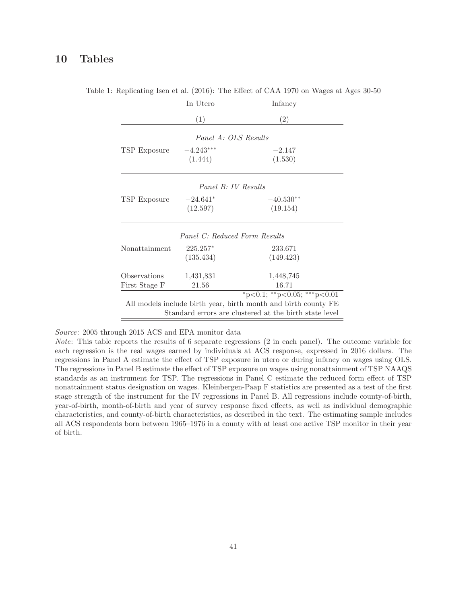# **10 Tables**

|               | In Utero    | Infancy                                                                                                                  |
|---------------|-------------|--------------------------------------------------------------------------------------------------------------------------|
|               | (1)         | (2)                                                                                                                      |
|               |             | Panel A: OLS Results                                                                                                     |
| TSP Exposure  | $-4.243***$ | $-2.147$                                                                                                                 |
|               | (1.444)     | (1.530)                                                                                                                  |
|               |             | Panel B: IV Results                                                                                                      |
| TSP Exposure  | $-24.641*$  | $-40.530**$                                                                                                              |
|               | (12.597)    | (19.154)                                                                                                                 |
|               |             | Panel C: Reduced Form Results                                                                                            |
| Nonattainment | $225.257*$  | 233.671                                                                                                                  |
|               | (135.434)   | (149.423)                                                                                                                |
| Observations  | 1,431,831   | 1,448,745                                                                                                                |
| First Stage F | 21.56       | 16.71                                                                                                                    |
|               |             | *p<0.1; **p<0.05; ***p<0.01                                                                                              |
|               |             | All models include birth year, birth month and birth county FE<br>Standard errors are clustered at the birth state level |
|               |             |                                                                                                                          |

Table 1: Replicating Isen et al. (2016): The Effect of CAA 1970 on Wages at Ages 30-50

Source: 2005 through 2015 ACS and EPA monitor data

Note: This table reports the results of 6 separate regressions (2 in each panel). The outcome variable for each regression is the real wages earned by individuals at ACS response, expressed in 2016 dollars. The regressions in Panel A estimate the effect of TSP exposure in utero or during infancy on wages using OLS. The regressions in Panel B estimate the effect of TSP exposure on wages using nonattainment of TSP NAAQS standards as an instrument for TSP. The regressions in Panel C estimate the reduced form effect of TSP nonattainment status designation on wages. Kleinbergen-Paap F statistics are presented as a test of the first stage strength of the instrument for the IV regressions in Panel B. All regressions include county-of-birth, year-of-birth, month-of-birth and year of survey response fixed effects, as well as individual demographic characteristics, and county-of-birth characteristics, as described in the text. The estimating sample includes all ACS respondents born between 1965–1976 in a county with at least one active TSP monitor in their year of birth.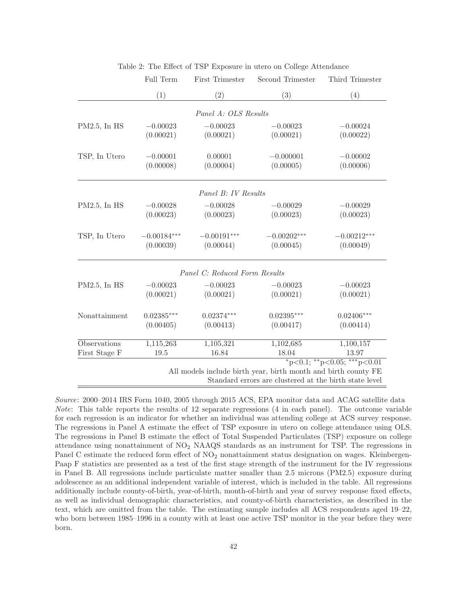|                     | Full Term     | First Trimester               | Second Trimester                                               | Third Trimester                         |
|---------------------|---------------|-------------------------------|----------------------------------------------------------------|-----------------------------------------|
|                     | (1)           | (2)                           | (3)                                                            | (4)                                     |
|                     |               | Panel A: OLS Results          |                                                                |                                         |
| $PM2.5$ , In HS     | $-0.00023$    | $-0.00023$                    | $-0.00023$                                                     | $-0.00024$                              |
|                     | (0.00021)     | (0.00021)                     | (0.00021)                                                      | (0.00022)                               |
| TSP, In Utero       | $-0.00001$    | 0.00001                       | $-0.000001$                                                    | $-0.00002$                              |
|                     | (0.00008)     | (0.00004)                     | (0.00005)                                                      | (0.00006)                               |
|                     |               | Panel B: IV Results           |                                                                |                                         |
| $PM2.5$ , In HS     | $-0.00028$    | $-0.00028$                    | $-0.00029$                                                     | $-0.00029$                              |
|                     | (0.00023)     | (0.00023)                     | (0.00023)                                                      | (0.00023)                               |
| TSP, In Utero       | $-0.00184***$ | $-0.00191***$                 | $-0.00202***$                                                  | $-0.00212***$                           |
|                     | (0.00039)     | (0.00044)                     | (0.00045)                                                      | (0.00049)                               |
|                     |               | Panel C: Reduced Form Results |                                                                |                                         |
| $PM2.5$ , In HS     | $-0.00023$    | $-0.00023$                    | $-0.00023$                                                     | $-0.00023$                              |
|                     | (0.00021)     | (0.00021)                     | (0.00021)                                                      | (0.00021)                               |
| Nonattainment       | $0.02385***$  | $0.02374***$                  | $0.02395***$                                                   | $0.02406***$                            |
|                     | (0.00405)     | (0.00413)                     | (0.00417)                                                      | (0.00414)                               |
| <b>Observations</b> | 1,115,263     | 1,105,321                     | 1,102,685                                                      | 1,100,157                               |
| First Stage F       | 19.5          | 16.84                         | 18.04                                                          | 13.97                                   |
|                     |               |                               |                                                                | $*_{p<0.1;}$ $*_{p<0.05;}$ $*_{p<0.01}$ |
|                     |               |                               | All models include birth year, birth month and birth county FE |                                         |
|                     |               |                               | Standard errors are clustered at the birth state level         |                                         |

Table 2: The Effect of TSP Exposure in utero on College Attendance

Source: 2000–2014 IRS Form 1040, 2005 through 2015 ACS, EPA monitor data and ACAG satellite data Note: This table reports the results of 12 separate regressions (4 in each panel). The outcome variable for each regression is an indicator for whether an individual was attending college at ACS survey response. The regressions in Panel A estimate the effect of TSP exposure in utero on college attendance using OLS. The regressions in Panel B estimate the effect of Total Suspended Particulates (TSP) exposure on college attendance using nonattainment of NO<sup>2</sup> NAAQS standards as an instrument for TSP. The regressions in Panel C estimate the reduced form effect of  $NO<sub>2</sub>$  nonattainment status designation on wages. Kleinbergen-Paap F statistics are presented as a test of the first stage strength of the instrument for the IV regressions in Panel B. All regressions include particulate matter smaller than 2.5 microns (PM2.5) exposure during adolescence as an additional independent variable of interest, which is included in the table. All regressions additionally include county-of-birth, year-of-birth, month-of-birth and year of survey response fixed effects, as well as individual demographic characteristics, and county-of-birth characteristics, as described in the text, which are omitted from the table. The estimating sample includes all ACS respondents aged 19–22, who born between 1985–1996 in a county with at least one active TSP monitor in the year before they were born.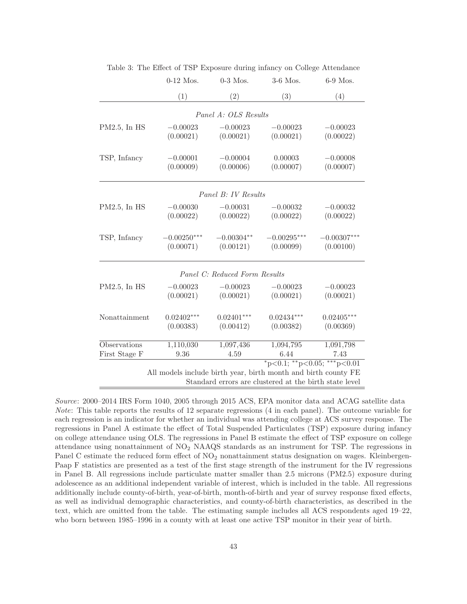|                 | $0-12$ Mos.       | $0-3$ Mos.                    | 3-6 Mos.                                                       | 6-9 Mos.          |
|-----------------|-------------------|-------------------------------|----------------------------------------------------------------|-------------------|
|                 | (1)               | (2)                           | (3)                                                            | (4)               |
|                 |                   | Panel A: OLS Results          |                                                                |                   |
| $PM2.5$ , In HS | $-0.00023$        | $-0.00023$                    | $-0.00023$                                                     | $-0.00023$        |
|                 | (0.00021)         | (0.00021)                     | (0.00021)                                                      | (0.00022)         |
|                 |                   |                               |                                                                |                   |
| TSP, Infancy    | $-0.00001$        | $-0.00004$                    | 0.00003                                                        | $-0.00008$        |
|                 | (0.00009)         | (0.00006)                     | (0.00007)                                                      | (0.00007)         |
|                 |                   |                               |                                                                |                   |
|                 |                   |                               |                                                                |                   |
|                 |                   | Panel B: IV Results           |                                                                |                   |
| $PM2.5$ , In HS | $-0.00030$        | $-0.00031$                    | $-0.00032$                                                     | $-0.00032$        |
|                 | (0.00022)         | (0.00022)                     | (0.00022)                                                      | (0.00022)         |
| TSP, Infancy    | $-0.00250***$     | $-0.00304**$                  | $-0.00295***$                                                  | $-0.00307***$     |
|                 | (0.00071)         | (0.00121)                     | (0.00099)                                                      | (0.00100)         |
|                 |                   | Panel C: Reduced Form Results |                                                                |                   |
| $PM2.5$ , In HS | $-0.00023$        | $-0.00023$                    | $-0.00023$                                                     | $-0.00023$        |
|                 | (0.00021)         | (0.00021)                     | (0.00021)                                                      | (0.00021)         |
| Nonattainment   | $0.02402***$      | $0.02401***$                  | $0.02434***$                                                   | $0.02405***$      |
|                 | (0.00383)         | (0.00412)                     | (0.00382)                                                      | (0.00369)         |
|                 |                   |                               |                                                                |                   |
| Observations    | 1,110,030<br>9.36 | 1,097,436                     | 1,094,795<br>6.44                                              | 1,091,798<br>7.43 |
| First Stage F   |                   | 4.59                          | $*_{p<0.1;}$ $*_{p<0.05;}$ $*_{p<0.01}$                        |                   |
|                 |                   |                               | All models include birth year, birth month and birth county FE |                   |
|                 |                   |                               | Standard errors are clustered at the birth state level         |                   |

Table 3: The Effect of TSP Exposure during infancy on College Attendance

Source: 2000–2014 IRS Form 1040, 2005 through 2015 ACS, EPA monitor data and ACAG satellite data Note: This table reports the results of 12 separate regressions (4 in each panel). The outcome variable for each regression is an indicator for whether an individual was attending college at ACS survey response. The regressions in Panel A estimate the effect of Total Suspended Particulates (TSP) exposure during infancy on college attendance using OLS. The regressions in Panel B estimate the effect of TSP exposure on college attendance using nonattainment of NO<sup>2</sup> NAAQS standards as an instrument for TSP. The regressions in Panel C estimate the reduced form effect of  $NO<sub>2</sub>$  nonattainment status designation on wages. Kleinbergen-Paap F statistics are presented as a test of the first stage strength of the instrument for the IV regressions in Panel B. All regressions include particulate matter smaller than 2.5 microns (PM2.5) exposure during adolescence as an additional independent variable of interest, which is included in the table. All regressions additionally include county-of-birth, year-of-birth, month-of-birth and year of survey response fixed effects, as well as individual demographic characteristics, and county-of-birth characteristics, as described in the text, which are omitted from the table. The estimating sample includes all ACS respondents aged 19–22, who born between 1985–1996 in a county with at least one active TSP monitor in their year of birth.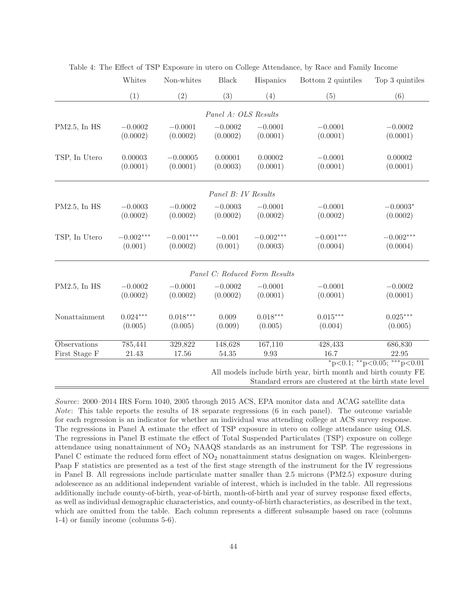|                 | Whites      | Non-whites  | <b>Black</b>         | Hispanics                     | Bottom 2 quintiles                                             | Top 3 quintiles                         |
|-----------------|-------------|-------------|----------------------|-------------------------------|----------------------------------------------------------------|-----------------------------------------|
|                 | (1)         | (2)         | (3)                  | (4)                           | (5)                                                            | (6)                                     |
|                 |             |             | Panel A: OLS Results |                               |                                                                |                                         |
|                 |             |             |                      |                               |                                                                |                                         |
| $PM2.5$ , In HS | $-0.0002$   | $-0.0001$   | $-0.0002$            | $-0.0001$                     | $-0.0001$                                                      | $-0.0002$                               |
|                 | (0.0002)    | (0.0002)    | (0.0002)             | (0.0001)                      | (0.0001)                                                       | (0.0001)                                |
| TSP, In Utero   | 0.00003     | $-0.00005$  | 0.00001              | 0.00002                       | $-0.0001$                                                      | 0.00002                                 |
|                 | (0.0001)    | (0.0001)    | (0.0003)             | (0.0001)                      | (0.0001)                                                       | (0.0001)                                |
|                 |             |             | Panel B: IV Results  |                               |                                                                |                                         |
|                 | $-0.0003$   | $-0.0002$   | $-0.0003$            | $-0.0001$                     | $-0.0001$                                                      | $-0.0003*$                              |
| $PM2.5$ , In HS | (0.0002)    | (0.0002)    | (0.0002)             | (0.0002)                      | (0.0002)                                                       | (0.0002)                                |
|                 |             |             |                      |                               |                                                                |                                         |
| TSP, In Utero   | $-0.002***$ | $-0.001***$ | $-0.001$             | $-0.002***$                   | $-0.001***$                                                    | $-0.002***$                             |
|                 | (0.001)     | (0.0002)    | (0.001)              | (0.0003)                      | (0.0004)                                                       | (0.0004)                                |
|                 |             |             |                      | Panel C: Reduced Form Results |                                                                |                                         |
| $PM2.5$ , In HS | $-0.0002$   | $-0.0001$   | $-0.0002$            | $-0.0001$                     | $-0.0001$                                                      | $-0.0002$                               |
|                 | (0.0002)    | (0.0002)    | (0.0002)             | (0.0001)                      | (0.0001)                                                       | (0.0001)                                |
| Nonattainment   | $0.024***$  | $0.018***$  | 0.009                | $0.018***$                    | $0.015***$                                                     | $0.025***$                              |
|                 | (0.005)     | (0.005)     | (0.009)              | (0.005)                       | (0.004)                                                        | (0.005)                                 |
| Observations    | 785,441     | 329,822     | 148,628              | 167,110                       | 428, 433                                                       | 686,830                                 |
| First Stage F   | 21.43       | 17.56       | 54.35                | $9.93\,$                      | 16.7                                                           | 22.95                                   |
|                 |             |             |                      |                               |                                                                | $*_{p<0.1;}$ $*_{p<0.05;}$ $*_{p<0.01}$ |
|                 |             |             |                      |                               | All models include birth year, birth month and birth county FE |                                         |
|                 |             |             |                      |                               | Standard errors are clustered at the birth state level         |                                         |

Table 4: The Effect of TSP Exposure in utero on College Attendance, by Race and Family Income

Source: 2000–2014 IRS Form 1040, 2005 through 2015 ACS, EPA monitor data and ACAG satellite data Note: This table reports the results of 18 separate regressions (6 in each panel). The outcome variable for each regression is an indicator for whether an individual was attending college at ACS survey response. The regressions in Panel A estimate the effect of TSP exposure in utero on college attendance using OLS. The regressions in Panel B estimate the effect of Total Suspended Particulates (TSP) exposure on college attendance using nonattainment of NO<sup>2</sup> NAAQS standards as an instrument for TSP. The regressions in Panel C estimate the reduced form effect of  $NO_2$  nonattainment status designation on wages. Kleinbergen-Paap F statistics are presented as a test of the first stage strength of the instrument for the IV regressions in Panel B. All regressions include particulate matter smaller than 2.5 microns (PM2.5) exposure during adolescence as an additional independent variable of interest, which is included in the table. All regressions additionally include county-of-birth, year-of-birth, month-of-birth and year of survey response fixed effects, as well as individual demographic characteristics, and county-of-birth characteristics, as described in the text, which are omitted from the table. Each column represents a different subsample based on race (columns 1-4) or family income (columns 5-6).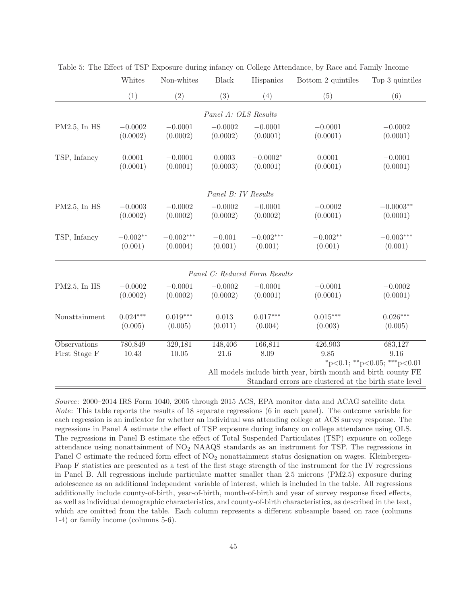|                 | Whites     | Non-whites  | <b>Black</b>         | Hispanics                     | Bottom 2 quintiles                                             | Top 3 quintiles                         |
|-----------------|------------|-------------|----------------------|-------------------------------|----------------------------------------------------------------|-----------------------------------------|
|                 | (1)        | (2)         | (3)                  | (4)                           | (5)                                                            | (6)                                     |
|                 |            |             | Panel A: OLS Results |                               |                                                                |                                         |
|                 |            |             |                      |                               |                                                                |                                         |
| PM2.5, In HS    | $-0.0002$  | $-0.0001$   | $-0.0002$            | $-0.0001$                     | $-0.0001$                                                      | $-0.0002$                               |
|                 | (0.0002)   | (0.0002)    | (0.0002)             | (0.0001)                      | (0.0001)                                                       | (0.0001)                                |
| TSP, Infancy    | 0.0001     | $-0.0001$   | 0.0003               | $-0.0002*$                    | 0.0001                                                         | $-0.0001$                               |
|                 | (0.0001)   | (0.0001)    | (0.0003)             | (0.0001)                      | (0.0001)                                                       | (0.0001)                                |
|                 |            |             |                      |                               |                                                                |                                         |
|                 |            |             | Panel B: IV Results  |                               |                                                                |                                         |
| PM2.5, In HS    | $-0.0003$  | $-0.0002$   | $-0.0002$            | $-0.0001$                     | $-0.0002$                                                      | $-0.0003**$                             |
|                 | (0.0002)   | (0.0002)    | (0.0002)             | (0.0002)                      | (0.0001)                                                       | (0.0001)                                |
|                 |            |             |                      |                               |                                                                |                                         |
| TSP, Infancy    | $-0.002**$ | $-0.002***$ | $-0.001$             | $-0.002***$                   | $-0.002**$                                                     | $-0.003***$                             |
|                 | (0.001)    | (0.0004)    | (0.001)              | (0.001)                       | (0.001)                                                        | (0.001)                                 |
|                 |            |             |                      | Panel C: Reduced Form Results |                                                                |                                         |
| $PM2.5$ , In HS | $-0.0002$  | $-0.0001$   | $-0.0002$            | $-0.0001$                     | $-0.0001$                                                      | $-0.0002$                               |
|                 | (0.0002)   | (0.0002)    | (0.0002)             | (0.0001)                      | (0.0001)                                                       | (0.0001)                                |
| Nonattainment   | $0.024***$ | $0.019***$  | 0.013                | $0.017***$                    | $0.015***$                                                     | $0.026***$                              |
|                 | (0.005)    | (0.005)     | (0.011)              | (0.004)                       | (0.003)                                                        | (0.005)                                 |
|                 |            |             |                      |                               |                                                                |                                         |
| Observations    | 780,849    | 329,181     | 148,406              | 166,811                       | 426,903                                                        | 683,127                                 |
| First Stage F   | 10.43      | 10.05       | 21.6                 | 8.09                          | 9.85                                                           | 9.16                                    |
|                 |            |             |                      |                               |                                                                | $*_{p<0.1;}$ $*_{p<0.05;}$ $*_{p<0.01}$ |
|                 |            |             |                      |                               | All models include birth year, birth month and birth county FE |                                         |
|                 |            |             |                      |                               | Standard errors are clustered at the birth state level         |                                         |

Table 5: The Effect of TSP Exposure during infancy on College Attendance, by Race and Family Income

Source: 2000–2014 IRS Form 1040, 2005 through 2015 ACS, EPA monitor data and ACAG satellite data Note: This table reports the results of 18 separate regressions (6 in each panel). The outcome variable for each regression is an indicator for whether an individual was attending college at ACS survey response. The regressions in Panel A estimate the effect of TSP exposure during infancy on college attendance using OLS. The regressions in Panel B estimate the effect of Total Suspended Particulates (TSP) exposure on college attendance using nonattainment of NO<sup>2</sup> NAAQS standards as an instrument for TSP. The regressions in Panel C estimate the reduced form effect of  $NO_2$  nonattainment status designation on wages. Kleinbergen-Paap F statistics are presented as a test of the first stage strength of the instrument for the IV regressions in Panel B. All regressions include particulate matter smaller than 2.5 microns (PM2.5) exposure during adolescence as an additional independent variable of interest, which is included in the table. All regressions additionally include county-of-birth, year-of-birth, month-of-birth and year of survey response fixed effects, as well as individual demographic characteristics, and county-of-birth characteristics, as described in the text, which are omitted from the table. Each column represents a different subsample based on race (columns 1-4) or family income (columns 5-6).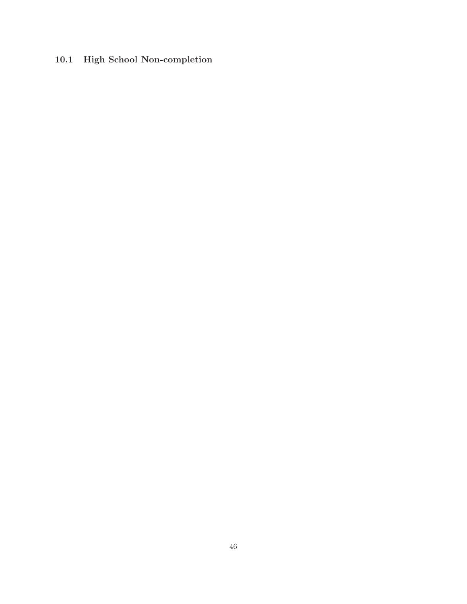# **10.1 High School Non-completion**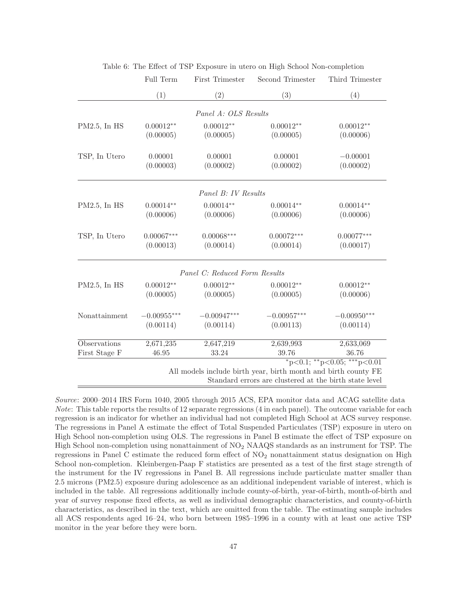|                 | Full Term     | First Trimester               | Second Trimester                                                                                                         | Third Trimester                         |
|-----------------|---------------|-------------------------------|--------------------------------------------------------------------------------------------------------------------------|-----------------------------------------|
|                 | (1)           | (2)                           | (3)                                                                                                                      | (4)                                     |
|                 |               | Panel A: OLS Results          |                                                                                                                          |                                         |
| PM2.5, In HS    | $0.00012**$   | $0.00012**$                   | $0.00012**$                                                                                                              | $0.00012**$                             |
|                 | (0.00005)     | (0.00005)                     | (0.00005)                                                                                                                | (0.00006)                               |
| TSP, In Utero   | 0.00001       | 0.00001                       | 0.00001                                                                                                                  | $-0.00001$                              |
|                 | (0.00003)     | (0.00002)                     | (0.00002)                                                                                                                | (0.00002)                               |
|                 |               | Panel B: IV Results           |                                                                                                                          |                                         |
| $PM2.5$ , In HS | $0.00014**$   | $0.00014**$                   | $0.00014**$                                                                                                              | $0.00014**$                             |
|                 | (0.00006)     | (0.00006)                     | (0.00006)                                                                                                                | (0.00006)                               |
| TSP, In Utero   | $0.00067***$  | $0.00068***$                  | $0.00072***$                                                                                                             | $0.00077***$                            |
|                 | (0.00013)     | (0.00014)                     | (0.00014)                                                                                                                | (0.00017)                               |
|                 |               | Panel C: Reduced Form Results |                                                                                                                          |                                         |
| PM2.5, In HS    | $0.00012**$   | $0.00012**$                   | $0.00012**$                                                                                                              | $0.00012**$                             |
|                 | (0.00005)     | (0.00005)                     | (0.00005)                                                                                                                | (0.00006)                               |
| Nonattainment   | $-0.00955***$ | $-0.00947***$                 | $-0.00957***$                                                                                                            | $-0.00950***$                           |
|                 | (0.00114)     | (0.00114)                     | (0.00113)                                                                                                                | (0.00114)                               |
| Observations    | 2,671,235     | 2,647,219                     | 2,639,993                                                                                                                | 2,633,069                               |
| First Stage F   | 46.95         | 33.24                         | 39.76                                                                                                                    | 36.76                                   |
|                 |               |                               | All models include birth year, birth month and birth county FE<br>Standard errors are clustered at the birth state level | $*_{p<0.1;}$ $*_{p<0.05;}$ $*_{p<0.01}$ |

Table 6: The Effect of TSP Exposure in utero on High School Non-completion

Source: 2000–2014 IRS Form 1040, 2005 through 2015 ACS, EPA monitor data and ACAG satellite data Note: This table reports the results of 12 separate regressions (4 in each panel). The outcome variable for each regression is an indicator for whether an individual had not completed High School at ACS survey response. The regressions in Panel A estimate the effect of Total Suspended Particulates (TSP) exposure in utero on High School non-completion using OLS. The regressions in Panel B estimate the effect of TSP exposure on High School non-completion using nonattainment of  $NO<sub>2</sub>$  NAAQS standards as an instrument for TSP. The regressions in Panel C estimate the reduced form effect of  $NO_2$  nonattainment status designation on High School non-completion. Kleinbergen-Paap F statistics are presented as a test of the first stage strength of the instrument for the IV regressions in Panel B. All regressions include particulate matter smaller than 2.5 microns (PM2.5) exposure during adolescence as an additional independent variable of interest, which is included in the table. All regressions additionally include county-of-birth, year-of-birth, month-of-birth and year of survey response fixed effects, as well as individual demographic characteristics, and county-of-birth characteristics, as described in the text, which are omitted from the table. The estimating sample includes all ACS respondents aged 16–24, who born between 1985–1996 in a county with at least one active TSP monitor in the year before they were born.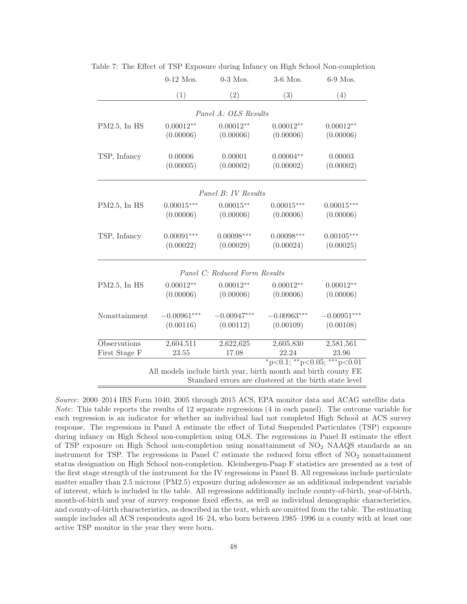|                 | $0-12$ Mos.   | $0-3$ Mos.                                             | 3-6 Mos.                                                                                                  | 6-9 Mos.      |  |
|-----------------|---------------|--------------------------------------------------------|-----------------------------------------------------------------------------------------------------------|---------------|--|
|                 | (1)           | (2)                                                    | (3)                                                                                                       | (4)           |  |
|                 |               | Panel A: OLS Results                                   |                                                                                                           |               |  |
| $PM2.5$ , In HS | $0.00012**$   | $0.00012**$                                            | $0.00012**$                                                                                               | $0.00012**$   |  |
|                 | (0.00006)     | (0.00006)                                              | (0.00006)                                                                                                 | (0.00006)     |  |
| TSP, Infancy    | 0.00006       | 0.00001                                                | $0.00004**$                                                                                               | 0.00003       |  |
|                 | (0.00005)     | (0.00002)                                              | (0.00002)                                                                                                 | (0.00002)     |  |
|                 |               | Panel B: IV Results                                    |                                                                                                           |               |  |
| $PM2.5$ , In HS | $0.00015***$  | $0.00015***$                                           | $0.00015***$                                                                                              | $0.00015***$  |  |
|                 | (0.00006)     | (0.00006)                                              | (0.00006)                                                                                                 | (0.00006)     |  |
| TSP, Infancy    | $0.00091***$  | $0.00098***$                                           | $0.00098***$                                                                                              | $0.00105***$  |  |
|                 | (0.00022)     | (0.00029)                                              | (0.00024)                                                                                                 | (0.00025)     |  |
|                 |               | Panel C: Reduced Form Results                          |                                                                                                           |               |  |
| $PM2.5$ , In HS | $0.00012**$   | $0.00012**$                                            | $0.00012**$                                                                                               | $0.00012**$   |  |
|                 | (0.00006)     | (0.00006)                                              | (0.00006)                                                                                                 | (0.00006)     |  |
| Nonattainment   | $-0.00961***$ | $-0.00947***$                                          | $-0.00963***$                                                                                             | $-0.00951***$ |  |
|                 | (0.00116)     | (0.00112)                                              | (0.00109)                                                                                                 | (0.00108)     |  |
| Observations    | 2,604,511     | 2,622,625                                              | 2,605,830                                                                                                 | 2,581,561     |  |
| First Stage F   | 23.55         | 17.08                                                  | 22.24                                                                                                     | 23.96         |  |
|                 |               | Standard errors are clustered at the birth state level | $*_{p<0.1;}$ $*_{p<0.05;}$ $*_{p<0.01}$<br>All models include birth year, birth month and birth county FE |               |  |

Table 7: The Effect of TSP Exposure during Infancy on High School Non-completion

Source: 2000–2014 IRS Form 1040, 2005 through 2015 ACS, EPA monitor data and ACAG satellite data Note: This table reports the results of 12 separate regressions (4 in each panel). The outcome variable for each regression is an indicator for whether an individual had not completed High School at ACS survey response. The regressions in Panel A estimate the effect of Total Suspended Particulates (TSP) exposure during infancy on High School non-completion using OLS. The regressions in Panel B estimate the effect of TSP exposure on High School non-completion using nonattainment of NO<sup>2</sup> NAAQS standards as an instrument for TSP. The regressions in Panel C estimate the reduced form effect of  $NO_2$  nonattainment status designation on High School non-completion. Kleinbergen-Paap F statistics are presented as a test of the first stage strength of the instrument for the IV regressions in Panel B. All regressions include particulate matter smaller than 2.5 microns (PM2.5) exposure during adolescence as an additional independent variable of interest, which is included in the table. All regressions additionally include county-of-birth, year-of-birth, month-of-birth and year of survey response fixed effects, as well as individual demographic characteristics, and county-of-birth characteristics, as described in the text, which are omitted from the table. The estimating sample includes all ACS respondents aged 16–24, who born between 1985–1996 in a county with at least one active TSP monitor in the year they were born.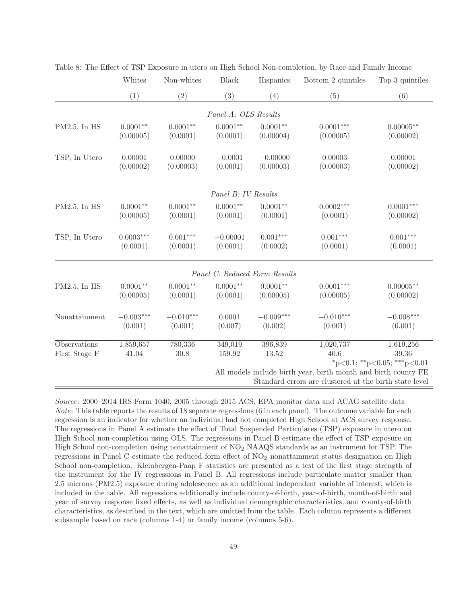|                 | Whites      | Non-whites  | <b>Black</b>         | Hispanics                     | Bottom 2 quintiles                                             | Top 3 quintiles             |
|-----------------|-------------|-------------|----------------------|-------------------------------|----------------------------------------------------------------|-----------------------------|
|                 | (1)         | (2)         | (3)                  | (4)                           | (5)                                                            | (6)                         |
|                 |             |             | Panel A: OLS Results |                               |                                                                |                             |
|                 |             |             |                      |                               |                                                                |                             |
| $PM2.5$ , In HS | $0.0001**$  | $0.0001**$  | $0.0001**$           | $0.0001**$                    | $0.0001***$                                                    | $0.00005**$                 |
|                 | (0.00005)   | (0.0001)    | (0.0001)             | (0.00004)                     | (0.00005)                                                      | (0.00002)                   |
| TSP, In Utero   | 0.00001     | 0.00000     | $-0.0001$            | $-0.00000$                    | 0.00003                                                        | 0.00001                     |
|                 | (0.00002)   | (0.00003)   | (0.0001)             | (0.00003)                     | (0.00003)                                                      | (0.00002)                   |
|                 |             |             |                      |                               |                                                                |                             |
|                 |             |             | Panel B: IV Results  |                               |                                                                |                             |
| $PM2.5$ , In HS | $0.0001**$  | $0.0001**$  | $0.0001**$           | $0.0001**$                    | $0.0002***$                                                    | $0.0001***$                 |
|                 | (0.00005)   | (0.0001)    | (0.0001)             | (0.0001)                      | (0.0001)                                                       | (0.00002)                   |
|                 |             |             |                      |                               |                                                                |                             |
| TSP, In Utero   | $0.0003***$ | $0.001***$  | $-0.00001$           | $0.001***$                    | $0.001***$                                                     | $0.001***$                  |
|                 | (0.0001)    | (0.0001)    | (0.0004)             | (0.0002)                      | (0.0001)                                                       | (0.0001)                    |
|                 |             |             |                      | Panel C: Reduced Form Results |                                                                |                             |
| $PM2.5$ , In HS | $0.0001**$  | $0.0001**$  | $0.0001**$           | $0.0001**$                    | $0.0001***$                                                    | $0.00005**$                 |
|                 | (0.00005)   | (0.0001)    | (0.0001)             | (0.00005)                     | (0.00005)                                                      | (0.00002)                   |
|                 |             |             |                      |                               |                                                                |                             |
| Nonattainment   | $-0.003***$ | $-0.010***$ | 0.0001               | $-0.009***$                   | $-0.010***$                                                    | $-0.008***$                 |
|                 | (0.001)     | (0.001)     | (0.007)              | (0.002)                       | (0.001)                                                        | (0.001)                     |
| Observations    | 1,859,657   | 780,336     | 349,019              | 396,839                       | 1,020,737                                                      | 1,619,256                   |
| First Stage F   | 41.04       | $30.8\,$    | 159.92               | 13.52                         | 40.6                                                           | 39.36                       |
|                 |             |             |                      |                               |                                                                | *p<0.1; **p<0.05; ***p<0.01 |
|                 |             |             |                      |                               | All models include birth year, birth month and birth county FE |                             |
|                 |             |             |                      |                               | Standard errors are clustered at the birth state level         |                             |

Table 8: The Effect of TSP Exposure in utero on High School Non-completion, by Race and Family Income

Source: 2000–2014 IRS Form 1040, 2005 through 2015 ACS, EPA monitor data and ACAG satellite data Note: This table reports the results of 18 separate regressions (6 in each panel). The outcome variable for each regression is an indicator for whether an individual had not completed High School at ACS survey response. The regressions in Panel A estimate the effect of Total Suspended Particulates (TSP) exposure in utero on High School non-completion using OLS. The regressions in Panel B estimate the effect of TSP exposure on High School non-completion using nonattainment of NO<sup>2</sup> NAAQS standards as an instrument for TSP. The regressions in Panel C estimate the reduced form effect of  $NO<sub>2</sub>$  nonattainment status designation on High School non-completion. Kleinbergen-Paap F statistics are presented as a test of the first stage strength of the instrument for the IV regressions in Panel B. All regressions include particulate matter smaller than 2.5 microns (PM2.5) exposure during adolescence as an additional independent variable of interest, which is included in the table. All regressions additionally include county-of-birth, year-of-birth, month-of-birth and year of survey response fixed effects, as well as individual demographic characteristics, and county-of-birth characteristics, as described in the text, which are omitted from the table. Each column represents a different subsample based on race (columns 1-4) or family income (columns 5-6).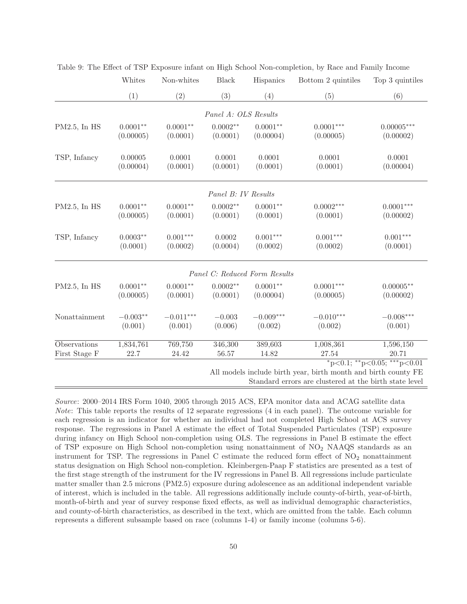|               | Whites     | Non-whites  | <b>Black</b>         | Hispanics                     | Bottom 2 quintiles                                             | Top 3 quintiles                         |
|---------------|------------|-------------|----------------------|-------------------------------|----------------------------------------------------------------|-----------------------------------------|
|               | (1)        | (2)         | (3)                  | (4)                           | (5)                                                            | (6)                                     |
|               |            |             | Panel A: OLS Results |                               |                                                                |                                         |
|               |            |             |                      |                               |                                                                |                                         |
| PM2.5, In HS  | $0.0001**$ | $0.0001**$  | $0.0002**$           | $0.0001**$                    | $0.0001***$                                                    | $0.00005***$                            |
|               | (0.00005)  | (0.0001)    | (0.0001)             | (0.00004)                     | (0.00005)                                                      | (0.00002)                               |
| TSP, Infancy  | 0.00005    | 0.0001      | 0.0001               | 0.0001                        | 0.0001                                                         | 0.0001                                  |
|               | (0.00004)  | (0.0001)    | (0.0001)             | (0.0001)                      | (0.0001)                                                       | (0.00004)                               |
|               |            |             | Panel B: IV Results  |                               |                                                                |                                         |
| PM2.5, In HS  | $0.0001**$ | $0.0001**$  | $0.0002**$           | $0.0001**$                    | $0.0002***$                                                    | $0.0001***$                             |
|               | (0.00005)  | (0.0001)    | (0.0001)             | (0.0001)                      | (0.0001)                                                       | (0.00002)                               |
|               |            |             |                      |                               |                                                                |                                         |
| TSP, Infancy  | $0.0003**$ | $0.001***$  | 0.0002               | $0.001***$                    | $0.001***$                                                     | $0.001***$                              |
|               | (0.0001)   | (0.0002)    | (0.0004)             | (0.0002)                      | (0.0002)                                                       | (0.0001)                                |
|               |            |             |                      | Panel C: Reduced Form Results |                                                                |                                         |
| PM2.5, In HS  | $0.0001**$ | $0.0001**$  | $0.0002**$           | $0.0001**$                    | $0.0001***$                                                    | $0.00005**$                             |
|               | (0.00005)  | (0.0001)    | (0.0001)             | (0.00004)                     | (0.00005)                                                      | (0.00002)                               |
| Nonattainment | $-0.003**$ | $-0.011***$ | $-0.003$             | $-0.009***$                   | $-0.010***$                                                    | $-0.008***$                             |
|               | (0.001)    | (0.001)     | (0.006)              | (0.002)                       | (0.002)                                                        | (0.001)                                 |
| Observations  | 1,834,761  | 769,750     | 346,300              | 389,603                       | 1,008,361                                                      | 1,596,150                               |
| First Stage F | 22.7       | 24.42       | 56.57                | 14.82                         | 27.54                                                          | 20.71                                   |
|               |            |             |                      |                               |                                                                | $*_{p<0.1;}$ $*_{p<0.05;}$ $*_{p<0.01}$ |
|               |            |             |                      |                               | All models include birth year, birth month and birth county FE |                                         |
|               |            |             |                      |                               | Standard errors are clustered at the birth state level         |                                         |

Table 9: The Effect of TSP Exposure infant on High School Non-completion, by Race and Family Income

Source: 2000–2014 IRS Form 1040, 2005 through 2015 ACS, EPA monitor data and ACAG satellite data Note: This table reports the results of 12 separate regressions (4 in each panel). The outcome variable for each regression is an indicator for whether an individual had not completed High School at ACS survey response. The regressions in Panel A estimate the effect of Total Suspended Particulates (TSP) exposure during infancy on High School non-completion using OLS. The regressions in Panel B estimate the effect of TSP exposure on High School non-completion using nonattainment of  $NO<sub>2</sub>$  NAAQS standards as an instrument for TSP. The regressions in Panel C estimate the reduced form effect of  $NO<sub>2</sub>$  nonattainment status designation on High School non-completion. Kleinbergen-Paap F statistics are presented as a test of the first stage strength of the instrument for the IV regressions in Panel B. All regressions include particulate matter smaller than 2.5 microns (PM2.5) exposure during adolescence as an additional independent variable of interest, which is included in the table. All regressions additionally include county-of-birth, year-of-birth, month-of-birth and year of survey response fixed effects, as well as individual demographic characteristics, and county-of-birth characteristics, as described in the text, which are omitted from the table. Each column represents a different subsample based on race (columns 1-4) or family income (columns 5-6).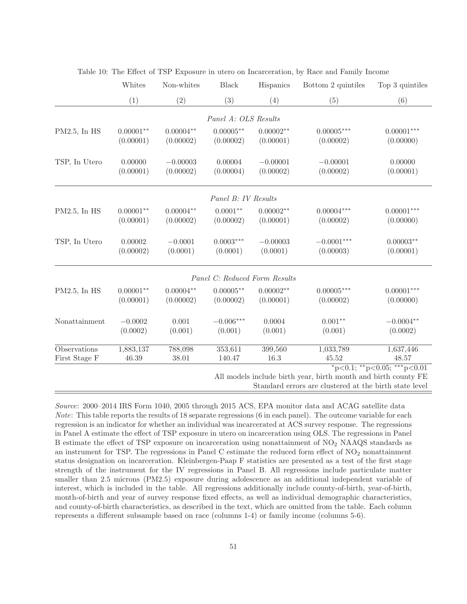|                               | Whites                   | Non-whites               | Black                         | Hispanics                                           | Bottom 2 quintiles                                             | Top 3 quintiles             |  |
|-------------------------------|--------------------------|--------------------------|-------------------------------|-----------------------------------------------------|----------------------------------------------------------------|-----------------------------|--|
|                               | (1)                      | (2)                      | (3)                           | (4)                                                 | (5)                                                            | (6)                         |  |
|                               |                          |                          | Panel A: OLS Results          |                                                     |                                                                |                             |  |
| PM2.5, In HS                  | $0.00001**$<br>(0.00001) | $0.00004**$<br>(0.00002) | $0.00005**$<br>(0.00002)      | $0.00002**$<br>(0.00001)                            | $0.00005^{***}\,$<br>(0.00002)                                 | $0.00001***$<br>(0.00000)   |  |
| TSP, In Utero                 | 0.00000<br>(0.00001)     | $-0.00003$<br>(0.00002)  | 0.00004<br>(0.00004)          | $-0.00001$<br>(0.00002)                             | $-0.00001$<br>(0.00002)                                        | 0.00000<br>(0.00001)        |  |
|                               |                          |                          | Panel B: IV Results           |                                                     |                                                                |                             |  |
| PM2.5, In HS                  | $0.00001**$<br>(0.00001) | $0.00004**$<br>(0.00002) | $0.0001**$<br>(0.00002)       | $0.00002**$<br>(0.00001)                            | $0.00004***$<br>(0.00002)                                      | $0.00001***$<br>(0.00000)   |  |
| TSP, In Utero                 | 0.00002<br>(0.00002)     | $-0.0001$<br>(0.0001)    | $0.0003***$<br>(0.0001)       | $-0.00003$<br>$-0.0001***$<br>(0.0001)<br>(0.00003) |                                                                | $0.00003**$<br>(0.00001)    |  |
|                               |                          |                          | Panel C: Reduced Form Results |                                                     |                                                                |                             |  |
| PM2.5, In HS                  | $0.00001**$<br>(0.00001) | $0.00004**$<br>(0.00002) | $0.00005***$<br>(0.00002)     | $0.00002**$<br>(0.00001)                            | $0.00005***$<br>(0.00002)                                      | $0.00001***$<br>(0.00000)   |  |
| Nonattainment                 | $-0.0002$<br>(0.0002)    | 0.001<br>(0.001)         | $-0.006***$<br>(0.001)        | 0.0004<br>(0.001)                                   | $0.001**$<br>(0.001)                                           | $-0.0004**$<br>(0.0002)     |  |
| Observations<br>First Stage F | 1,883,137<br>46.39       | 788,098<br>38.01         | 353,611<br>140.47             | 399,560<br>16.3                                     | 1,033,789<br>45.52                                             | 1,637,446<br>48.57          |  |
|                               |                          |                          |                               |                                                     | All models include birth year, birth month and birth county FE | *p<0.1; **p<0.05; ***p<0.01 |  |

|  |  |  |  |  | Table 10: The Effect of TSP Exposure in utero on Incarceration, by Race and Family Income |  |
|--|--|--|--|--|-------------------------------------------------------------------------------------------|--|
|  |  |  |  |  |                                                                                           |  |

th year, birth month and birth

Standard errors are clustered at the birth state level

Source: 2000–2014 IRS Form 1040, 2005 through 2015 ACS, EPA monitor data and ACAG satellite data Note: This table reports the results of 18 separate regressions (6 in each panel). The outcome variable for each regression is an indicator for whether an individual was incarcerated at ACS survey response. The regressions in Panel A estimate the effect of TSP exposure in utero on incarceration using OLS. The regressions in Panel B estimate the effect of TSP exposure on incarceration using nonattainment of NO<sup>2</sup> NAAQS standards as an instrument for TSP. The regressions in Panel C estimate the reduced form effect of  $NO<sub>2</sub>$  nonattainment status designation on incarceration. Kleinbergen-Paap F statistics are presented as a test of the first stage strength of the instrument for the IV regressions in Panel B. All regressions include particulate matter smaller than 2.5 microns (PM2.5) exposure during adolescence as an additional independent variable of interest, which is included in the table. All regressions additionally include county-of-birth, year-of-birth, month-of-birth and year of survey response fixed effects, as well as individual demographic characteristics, and county-of-birth characteristics, as described in the text, which are omitted from the table. Each column represents a different subsample based on race (columns 1-4) or family income (columns 5-6).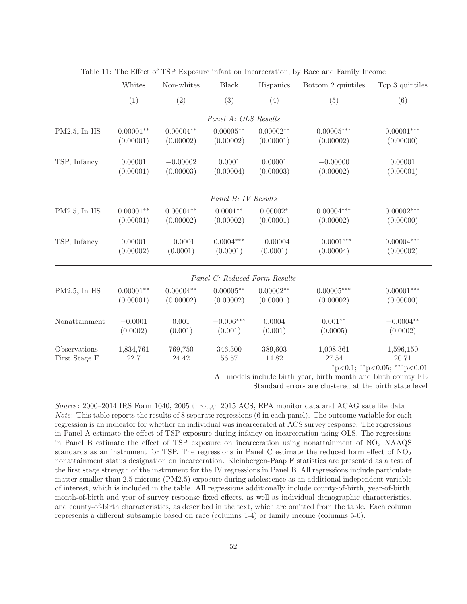|                 | Whites               | Non-whites              | <b>Black</b>                  | Hispanics            | Bottom 2 quintiles                                             | Top 3 quintiles                           |
|-----------------|----------------------|-------------------------|-------------------------------|----------------------|----------------------------------------------------------------|-------------------------------------------|
|                 | (1)                  | (2)                     | (3)                           | (4)                  | (5)                                                            | (6)                                       |
|                 |                      |                         | Panel A: OLS Results          |                      |                                                                |                                           |
| $PM2.5$ , In HS | $0.00001^{**}$       | $0.00004**$             | $0.00005**$                   | $0.00002**$          | $0.00005***$                                                   | $0.00001***$                              |
|                 | (0.00001)            | (0.00002)               | (0.00002)                     | (0.00001)            | (0.00002)                                                      | (0.00000)                                 |
|                 |                      |                         |                               |                      |                                                                |                                           |
| TSP, Infancy    | 0.00001<br>(0.00001) | $-0.00002$<br>(0.00003) | 0.0001<br>(0.00004)           | 0.00001<br>(0.00003) | $-0.00000$<br>(0.00002)                                        | 0.00001<br>(0.00001)                      |
|                 |                      |                         |                               |                      |                                                                |                                           |
|                 |                      |                         | Panel B: IV Results           |                      |                                                                |                                           |
| $PM2.5$ , In HS | $0.00001**$          | $0.00004**$             | $0.0001**$                    | $0.00002*$           | $0.00004***$                                                   | $0.00002***$                              |
|                 | (0.00001)            | (0.00002)               | (0.00002)                     | (0.00001)            | (0.00002)                                                      | (0.00000)                                 |
| TSP, Infancy    | 0.00001              | $-0.0001$               | $0.0004***$                   | $-0.00004$           | $-0.0001***$                                                   | $0.00004***$                              |
|                 | (0.00002)            | (0.0001)                | (0.0001)                      | (0.0001)             | (0.00004)                                                      | (0.00002)                                 |
|                 |                      |                         | Panel C: Reduced Form Results |                      |                                                                |                                           |
| PM2.5, In HS    | $0.00001**$          | $0.00004**$             | $0.00005**$                   | $0.00002**$          | $0.00005***$                                                   | $0.00001***$                              |
|                 | (0.00001)            | (0.00002)               | (0.00002)                     | (0.00001)            | (0.00002)                                                      | (0.00000)                                 |
| Nonattainment   | $-0.0001$            | 0.001                   | $-0.006***$                   | 0.0004               | $0.001**$                                                      | $-0.0004**$                               |
|                 | (0.0002)             | (0.001)                 | (0.001)                       | (0.001)              | (0.0005)                                                       | (0.0002)                                  |
| Observations    | 1,834,761            | 769,750                 | 346,300                       | 389,603              | 1,008,361                                                      | 1,596,150                                 |
| First Stage F   | 22.7                 | 24.42                   | 56.57                         | 14.82                | 27.54                                                          | 20.71                                     |
|                 |                      |                         |                               |                      |                                                                | $*_{p<0.1}$ ; $*_{p<0.05}$ ; $*_{p<0.01}$ |
|                 |                      |                         |                               |                      | All models include birth year, birth month and birth county FE |                                           |

Standard errors are clustered at the birth state level

Source: 2000–2014 IRS Form 1040, 2005 through 2015 ACS, EPA monitor data and ACAG satellite data Note: This table reports the results of 8 separate regressions (6 in each panel). The outcome variable for each regression is an indicator for whether an individual was incarcerated at ACS survey response. The regressions in Panel A estimate the effect of TSP exposure during infancy on incarceration using OLS. The regressions in Panel B estimate the effect of TSP exposure on incarceration using nonattainment of  $NO<sub>2</sub> NAAQS$ standards as an instrument for TSP. The regressions in Panel C estimate the reduced form effect of  $NO<sub>2</sub>$ nonattainment status designation on incarceration. Kleinbergen-Paap F statistics are presented as a test of the first stage strength of the instrument for the IV regressions in Panel B. All regressions include particulate matter smaller than 2.5 microns (PM2.5) exposure during adolescence as an additional independent variable of interest, which is included in the table. All regressions additionally include county-of-birth, year-of-birth, month-of-birth and year of survey response fixed effects, as well as individual demographic characteristics, and county-of-birth characteristics, as described in the text, which are omitted from the table. Each column represents a different subsample based on race (columns 1-4) or family income (columns 5-6).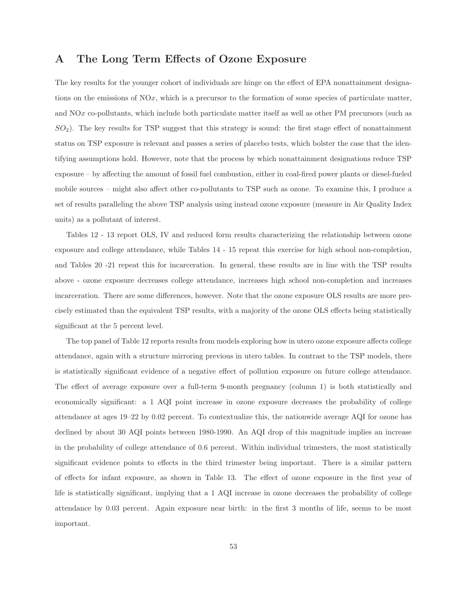## **A The Long Term Effects of Ozone Exposure**

The key results for the younger cohort of individuals are hinge on the effect of EPA nonattainment designations on the emissions of NOx, which is a precursor to the formation of some species of particulate matter, and NOx co-pollutants, which include both particulate matter itself as well as other PM precursors (such as  $SO_2$ ). The key results for TSP suggest that this strategy is sound: the first stage effect of nonattainment status on TSP exposure is relevant and passes a series of placebo tests, which bolster the case that the identifying assumptions hold. However, note that the process by which nonattainment designations reduce TSP exposure – by affecting the amount of fossil fuel combustion, either in coal-fired power plants or diesel-fueled mobile sources – might also affect other co-pollutants to TSP such as ozone. To examine this, I produce a set of results paralleling the above TSP analysis using instead ozone exposure (measure in Air Quality Index units) as a pollutant of interest.

Tables 12 - 13 report OLS, IV and reduced form results characterizing the relationship between ozone exposure and college attendance, while Tables 14 - 15 repeat this exercise for high school non-completion, and Tables 20 -21 repeat this for incarceration. In general, these results are in line with the TSP results above - ozone exposure decreases college attendance, increases high school non-completion and increases incarceration. There are some differences, however. Note that the ozone exposure OLS results are more precisely estimated than the equivalent TSP results, with a majority of the ozone OLS effects being statistically significant at the 5 percent level.

The top panel of Table 12 reports results from models exploring how in utero ozone exposure affects college attendance, again with a structure mirroring previous in utero tables. In contrast to the TSP models, there is statistically significant evidence of a negative effect of pollution exposure on future college attendance. The effect of average exposure over a full-term 9-month pregnancy (column 1) is both statistically and economically significant: a 1 AQI point increase in ozone exposure decreases the probability of college attendance at ages 19–22 by 0.02 percent. To contextualize this, the nationwide average AQI for ozone has declined by about 30 AQI points between 1980-1990. An AQI drop of this magnitude implies an increase in the probability of college attendance of 0.6 percent. Within individual trimesters, the most statistically significant evidence points to effects in the third trimester being important. There is a similar pattern of effects for infant exposure, as shown in Table 13. The effect of ozone exposure in the first year of life is statistically significant, implying that a 1 AQI increase in ozone decreases the probability of college attendance by 0.03 percent. Again exposure near birth: in the first 3 months of life, seems to be most important.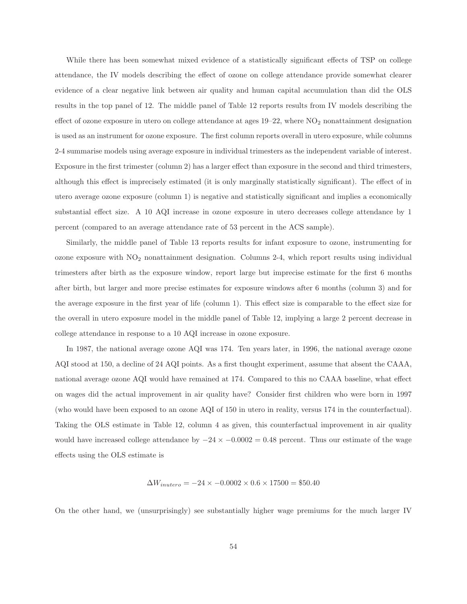While there has been somewhat mixed evidence of a statistically significant effects of TSP on college attendance, the IV models describing the effect of ozone on college attendance provide somewhat clearer evidence of a clear negative link between air quality and human capital accumulation than did the OLS results in the top panel of 12. The middle panel of Table 12 reports results from IV models describing the effect of ozone exposure in utero on college attendance at ages  $19-22$ , where  $NO<sub>2</sub>$  nonattainment designation is used as an instrument for ozone exposure. The first column reports overall in utero exposure, while columns 2-4 summarise models using average exposure in individual trimesters as the independent variable of interest. Exposure in the first trimester (column 2) has a larger effect than exposure in the second and third trimesters, although this effect is imprecisely estimated (it is only marginally statistically significant). The effect of in utero average ozone exposure (column 1) is negative and statistically significant and implies a economically substantial effect size. A 10 AQI increase in ozone exposure in utero decreases college attendance by 1 percent (compared to an average attendance rate of 53 percent in the ACS sample).

Similarly, the middle panel of Table 13 reports results for infant exposure to ozone, instrumenting for ozone exposure with  $NO<sub>2</sub>$  nonattainment designation. Columns 2-4, which report results using individual trimesters after birth as the exposure window, report large but imprecise estimate for the first 6 months after birth, but larger and more precise estimates for exposure windows after 6 months (column 3) and for the average exposure in the first year of life (column 1). This effect size is comparable to the effect size for the overall in utero exposure model in the middle panel of Table 12, implying a large 2 percent decrease in college attendance in response to a 10 AQI increase in ozone exposure.

In 1987, the national average ozone AQI was 174. Ten years later, in 1996, the national average ozone AQI stood at 150, a decline of 24 AQI points. As a first thought experiment, assume that absent the CAAA, national average ozone AQI would have remained at 174. Compared to this no CAAA baseline, what effect on wages did the actual improvement in air quality have? Consider first children who were born in 1997 (who would have been exposed to an ozone AQI of 150 in utero in reality, versus 174 in the counterfactual). Taking the OLS estimate in Table 12, column 4 as given, this counterfactual improvement in air quality would have increased college attendance by  $-24 \times -0.0002 = 0.48$  percent. Thus our estimate of the wage effects using the OLS estimate is

$$
\Delta W_{inutero} = -24 \times -0.0002 \times 0.6 \times 17500 = $50.40
$$

On the other hand, we (unsurprisingly) see substantially higher wage premiums for the much larger IV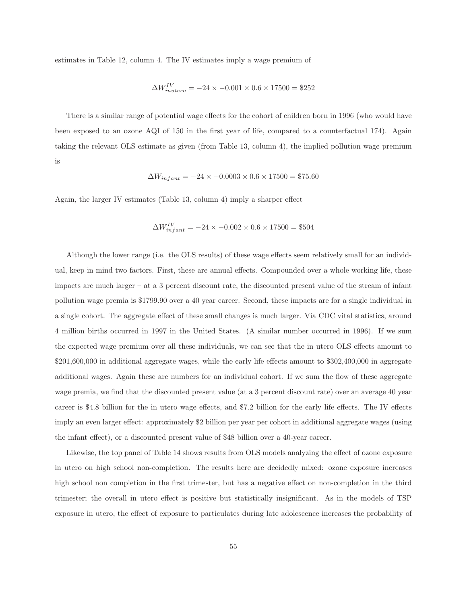estimates in Table 12, column 4. The IV estimates imply a wage premium of

$$
\Delta W_{inutero}^{IV} = -24 \times -0.001 \times 0.6 \times 17500 = $252
$$

There is a similar range of potential wage effects for the cohort of children born in 1996 (who would have been exposed to an ozone AQI of 150 in the first year of life, compared to a counterfactual 174). Again taking the relevant OLS estimate as given (from Table 13, column 4), the implied pollution wage premium is

$$
\Delta W_{infant} = -24 \times -0.0003 \times 0.6 \times 17500 = $75.60
$$

Again, the larger IV estimates (Table 13, column 4) imply a sharper effect

$$
\Delta W_{infant}^{IV} = -24 \times -0.002 \times 0.6 \times 17500 = $504
$$

Although the lower range (i.e. the OLS results) of these wage effects seem relatively small for an individual, keep in mind two factors. First, these are annual effects. Compounded over a whole working life, these impacts are much larger – at a 3 percent discount rate, the discounted present value of the stream of infant pollution wage premia is \$1799.90 over a 40 year career. Second, these impacts are for a single individual in a single cohort. The aggregate effect of these small changes is much larger. Via CDC vital statistics, around 4 million births occurred in 1997 in the United States. (A similar number occurred in 1996). If we sum the expected wage premium over all these individuals, we can see that the in utero OLS effects amount to \$201,600,000 in additional aggregate wages, while the early life effects amount to \$302,400,000 in aggregate additional wages. Again these are numbers for an individual cohort. If we sum the flow of these aggregate wage premia, we find that the discounted present value (at a 3 percent discount rate) over an average 40 year career is \$4.8 billion for the in utero wage effects, and \$7.2 billion for the early life effects. The IV effects imply an even larger effect: approximately \$2 billion per year per cohort in additional aggregate wages (using the infant effect), or a discounted present value of \$48 billion over a 40-year career.

Likewise, the top panel of Table 14 shows results from OLS models analyzing the effect of ozone exposure in utero on high school non-completion. The results here are decidedly mixed: ozone exposure increases high school non completion in the first trimester, but has a negative effect on non-completion in the third trimester; the overall in utero effect is positive but statistically insignificant. As in the models of TSP exposure in utero, the effect of exposure to particulates during late adolescence increases the probability of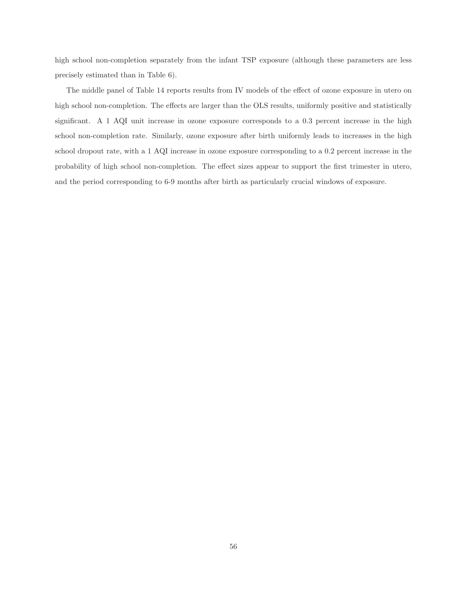high school non-completion separately from the infant TSP exposure (although these parameters are less precisely estimated than in Table 6).

The middle panel of Table 14 reports results from IV models of the effect of ozone exposure in utero on high school non-completion. The effects are larger than the OLS results, uniformly positive and statistically significant. A 1 AQI unit increase in ozone exposure corresponds to a 0.3 percent increase in the high school non-completion rate. Similarly, ozone exposure after birth uniformly leads to increases in the high school dropout rate, with a 1 AQI increase in ozone exposure corresponding to a 0.2 percent increase in the probability of high school non-completion. The effect sizes appear to support the first trimester in utero, and the period corresponding to 6-9 months after birth as particularly crucial windows of exposure.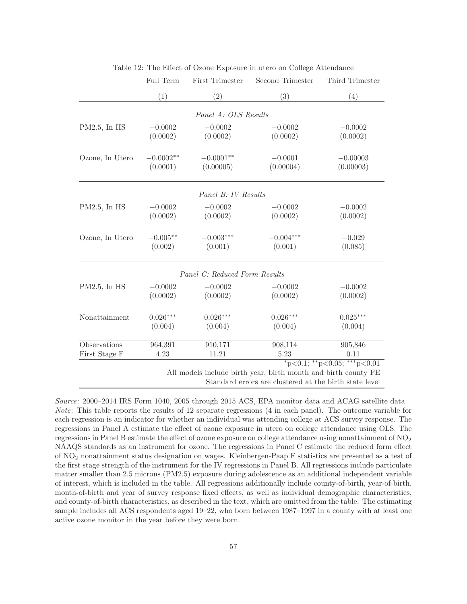|                 | Full Term   | First Trimester               | Second Trimester                                                                                                         | Third Trimester                         |
|-----------------|-------------|-------------------------------|--------------------------------------------------------------------------------------------------------------------------|-----------------------------------------|
|                 | (1)         | (2)                           | (3)                                                                                                                      | (4)                                     |
|                 |             | Panel A: OLS Results          |                                                                                                                          |                                         |
| $PM2.5$ , In HS | $-0.0002$   | $-0.0002$                     | $-0.0002$                                                                                                                | $-0.0002$                               |
|                 | (0.0002)    | (0.0002)                      | (0.0002)                                                                                                                 | (0.0002)                                |
| Ozone, In Utero | $-0.0002**$ | $-0.0001**$                   | $-0.0001$                                                                                                                | $-0.00003$                              |
|                 | (0.0001)    | (0.00005)                     | (0.00004)                                                                                                                | (0.00003)                               |
|                 |             | Panel B: IV Results           |                                                                                                                          |                                         |
| PM2.5, In HS    | $-0.0002$   | $-0.0002$                     | $-0.0002$                                                                                                                | $-0.0002$                               |
|                 | (0.0002)    | (0.0002)                      | (0.0002)                                                                                                                 | (0.0002)                                |
| Ozone, In Utero | $-0.005**$  | $-0.003***$                   | $-0.004***$                                                                                                              | $-0.029$                                |
|                 | (0.002)     | (0.001)                       | (0.001)                                                                                                                  | (0.085)                                 |
|                 |             | Panel C: Reduced Form Results |                                                                                                                          |                                         |
| PM2.5, In HS    | $-0.0002$   | $-0.0002$                     | $-0.0002$                                                                                                                | $-0.0002$                               |
|                 | (0.0002)    | (0.0002)                      | (0.0002)                                                                                                                 | (0.0002)                                |
| Nonattainment   | $0.026***$  | $0.026***$                    | $0.026***$                                                                                                               | $0.025***$                              |
|                 | (0.004)     | (0.004)                       | (0.004)                                                                                                                  | (0.004)                                 |
| Observations    | 964,391     | 910, 171                      | 908,114                                                                                                                  | 905,846                                 |
| First Stage F   | 4.23        | 11.21                         | 5.23                                                                                                                     | 0.11                                    |
|                 |             |                               | All models include birth year, birth month and birth county FE<br>Standard errors are clustered at the birth state level | $*_{p<0.1;}$ $*_{p<0.05;}$ $*_{p<0.01}$ |

Table 12: The Effect of Ozone Exposure in utero on College Attendance

Source: 2000–2014 IRS Form 1040, 2005 through 2015 ACS, EPA monitor data and ACAG satellite data Note: This table reports the results of 12 separate regressions (4 in each panel). The outcome variable for each regression is an indicator for whether an individual was attending college at ACS survey response. The regressions in Panel A estimate the effect of ozone exposure in utero on college attendance using OLS. The regressions in Panel B estimate the effect of ozone exposure on college attendance using nonattainment of NO<sub>2</sub> NAAQS standards as an instrument for ozone. The regressions in Panel C estimate the reduced form effect of NO<sup>2</sup> nonattainment status designation on wages. Kleinbergen-Paap F statistics are presented as a test of the first stage strength of the instrument for the IV regressions in Panel B. All regressions include particulate matter smaller than 2.5 microns (PM2.5) exposure during adolescence as an additional independent variable of interest, which is included in the table. All regressions additionally include county-of-birth, year-of-birth, month-of-birth and year of survey response fixed effects, as well as individual demographic characteristics, and county-of-birth characteristics, as described in the text, which are omitted from the table. The estimating sample includes all ACS respondents aged 19–22, who born between 1987–1997 in a county with at least one active ozone monitor in the year before they were born.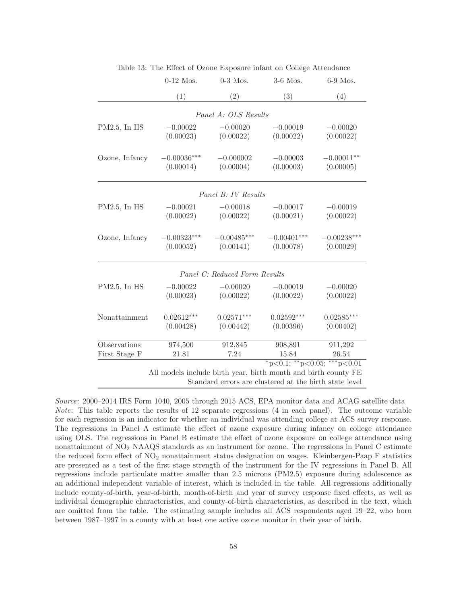|                 | $0-12$ Mos.   | $0-3$ Mos.                    | $3-6$ Mos.                                                                                                                                                          | 6-9 Mos.      |
|-----------------|---------------|-------------------------------|---------------------------------------------------------------------------------------------------------------------------------------------------------------------|---------------|
|                 | (1)           | (2)                           | (3)                                                                                                                                                                 | (4)           |
|                 |               | Panel A: OLS Results          |                                                                                                                                                                     |               |
| $PM2.5$ , In HS | $-0.00022$    | $-0.00020$                    | $-0.00019$                                                                                                                                                          | $-0.00020$    |
|                 | (0.00023)     | (0.00022)                     | (0.00022)                                                                                                                                                           | (0.00022)     |
| Ozone, Infancy  | $-0.00036***$ | $-0.000002$                   | $-0.00003$                                                                                                                                                          | $-0.00011**$  |
|                 | (0.00014)     | (0.00004)                     | (0.00003)                                                                                                                                                           | (0.00005)     |
|                 |               | Panel B: IV Results           |                                                                                                                                                                     |               |
| $PM2.5$ , In HS | $-0.00021$    | $-0.00018$                    | $-0.00017$                                                                                                                                                          | $-0.00019$    |
|                 | (0.00022)     | (0.00022)                     | (0.00021)                                                                                                                                                           | (0.00022)     |
| Ozone, Infancy  | $-0.00323***$ | $-0.00485***$                 | $-0.00401***$                                                                                                                                                       | $-0.00238***$ |
|                 | (0.00052)     | (0.00141)                     | (0.00078)                                                                                                                                                           | (0.00029)     |
|                 |               | Panel C: Reduced Form Results |                                                                                                                                                                     |               |
| $PM2.5$ , In HS | $-0.00022$    | $-0.00020$                    | $-0.00019$                                                                                                                                                          | $-0.00020$    |
|                 | (0.00023)     | (0.00022)                     | (0.00022)                                                                                                                                                           | (0.00022)     |
| Nonattainment   | $0.02612***$  | $0.02571***$                  | $0.02592***$                                                                                                                                                        | $0.02585***$  |
|                 | (0.00428)     | (0.00442)                     | (0.00396)                                                                                                                                                           | (0.00402)     |
| Observations    | 974,500       | 912,845                       | 908,891                                                                                                                                                             | 911,292       |
| First Stage F   | 21.81         | 7.24                          | 15.84                                                                                                                                                               | 26.54         |
|                 |               |                               | $*_{p<0.1;}$ $*_{p<0.05;}$ $*_{p<0.01}$<br>All models include birth year, birth month and birth county FE<br>Standard errors are clustered at the birth state level |               |

Table 13: The Effect of Ozone Exposure infant on College Attendance

Source: 2000–2014 IRS Form 1040, 2005 through 2015 ACS, EPA monitor data and ACAG satellite data Note: This table reports the results of 12 separate regressions (4 in each panel). The outcome variable for each regression is an indicator for whether an individual was attending college at ACS survey response. The regressions in Panel A estimate the effect of ozone exposure during infancy on college attendance using OLS. The regressions in Panel B estimate the effect of ozone exposure on college attendance using nonattainment of NO<sup>2</sup> NAAQS standards as an instrument for ozone. The regressions in Panel C estimate the reduced form effect of NO<sup>2</sup> nonattainment status designation on wages. Kleinbergen-Paap F statistics are presented as a test of the first stage strength of the instrument for the IV regressions in Panel B. All regressions include particulate matter smaller than 2.5 microns (PM2.5) exposure during adolescence as an additional independent variable of interest, which is included in the table. All regressions additionally include county-of-birth, year-of-birth, month-of-birth and year of survey response fixed effects, as well as individual demographic characteristics, and county-of-birth characteristics, as described in the text, which are omitted from the table. The estimating sample includes all ACS respondents aged 19–22, who born between 1987–1997 in a county with at least one active ozone monitor in their year of birth.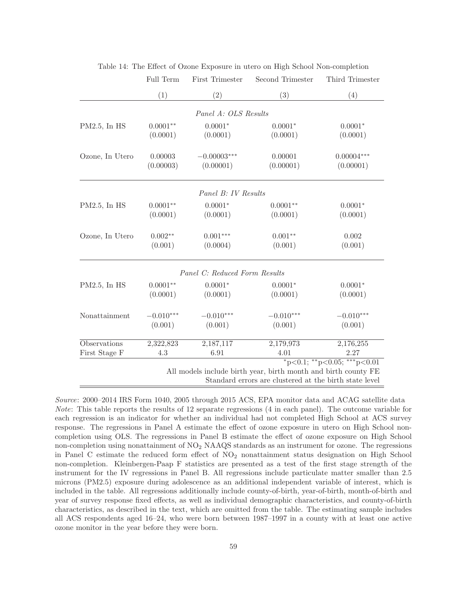|                 | Full Term   | First Trimester               | Second Trimester                                               | Third Trimester                         |
|-----------------|-------------|-------------------------------|----------------------------------------------------------------|-----------------------------------------|
|                 | (1)         | (2)                           | (3)                                                            | (4)                                     |
|                 |             | Panel A: OLS Results          |                                                                |                                         |
| PM2.5, In HS    | $0.0001**$  | $0.0001*$                     | $0.0001*$                                                      | $0.0001*$                               |
|                 | (0.0001)    | (0.0001)                      | (0.0001)                                                       | (0.0001)                                |
| Ozone, In Utero | 0.00003     | $-0.00003***$                 | 0.00001                                                        | $0.00004***$                            |
|                 | (0.00003)   | (0.00001)                     | (0.00001)                                                      | (0.00001)                               |
|                 |             | Panel B: IV Results           |                                                                |                                         |
|                 | $0.0001**$  | $0.0001*$                     |                                                                | $0.0001*$                               |
| PM2.5, In HS    | (0.0001)    | (0.0001)                      | $0.0001**$<br>(0.0001)                                         | (0.0001)                                |
|                 |             |                               |                                                                |                                         |
| Ozone, In Utero | $0.002**$   | $0.001***$                    | $0.001**$                                                      | 0.002                                   |
|                 | (0.001)     | (0.0004)                      | (0.001)                                                        | (0.001)                                 |
|                 |             | Panel C: Reduced Form Results |                                                                |                                         |
| PM2.5, In HS    | $0.0001**$  | $0.0001*$                     | $0.0001*$                                                      | $0.0001*$                               |
|                 | (0.0001)    | (0.0001)                      | (0.0001)                                                       | (0.0001)                                |
| Nonattainment   | $-0.010***$ | $-0.010***$                   | $-0.010***$                                                    | $-0.010***$                             |
|                 | (0.001)     | (0.001)                       | (0.001)                                                        | (0.001)                                 |
| Observations    | 2,322,823   | 2,187,117                     | 2,179,973                                                      | 2,176,255                               |
| First Stage F   | 4.3         | 6.91                          | 4.01                                                           | 2.27                                    |
|                 |             |                               |                                                                | $*_{p<0.1;}$ $*_{p<0.05;}$ $*_{p<0.01}$ |
|                 |             |                               | All models include birth year, birth month and birth county FE |                                         |
|                 |             |                               | Standard errors are clustered at the birth state level         |                                         |

Table 14: The Effect of Ozone Exposure in utero on High School Non-completion

Source: 2000–2014 IRS Form 1040, 2005 through 2015 ACS, EPA monitor data and ACAG satellite data Note: This table reports the results of 12 separate regressions (4 in each panel). The outcome variable for each regression is an indicator for whether an individual had not completed High School at ACS survey response. The regressions in Panel A estimate the effect of ozone exposure in utero on High School noncompletion using OLS. The regressions in Panel B estimate the effect of ozone exposure on High School non-completion using nonattainment of NO<sup>2</sup> NAAQS standards as an instrument for ozone. The regressions in Panel C estimate the reduced form effect of  $NO<sub>2</sub>$  nonattainment status designation on High School non-completion. Kleinbergen-Paap F statistics are presented as a test of the first stage strength of the instrument for the IV regressions in Panel B. All regressions include particulate matter smaller than 2.5 microns (PM2.5) exposure during adolescence as an additional independent variable of interest, which is included in the table. All regressions additionally include county-of-birth, year-of-birth, month-of-birth and year of survey response fixed effects, as well as individual demographic characteristics, and county-of-birth characteristics, as described in the text, which are omitted from the table. The estimating sample includes all ACS respondents aged 16–24, who were born between 1987–1997 in a county with at least one active ozone monitor in the year before they were born.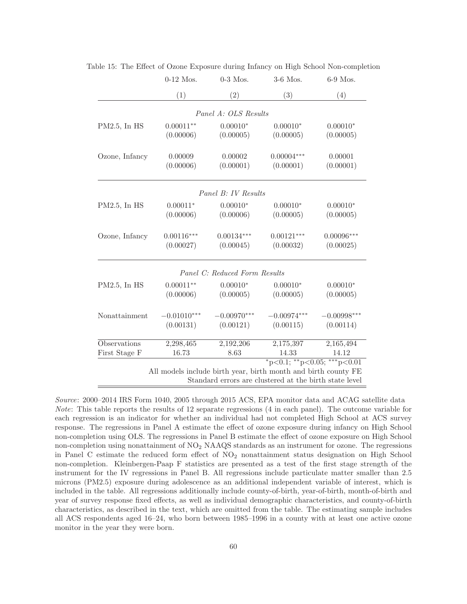|                     | $0-12$ Mos.   | $0-3$ Mos.                    | 3-6 Mos.                                                                                                                                                            | 6-9 Mos.      |
|---------------------|---------------|-------------------------------|---------------------------------------------------------------------------------------------------------------------------------------------------------------------|---------------|
|                     | (1)           | (2)                           | (3)                                                                                                                                                                 | (4)           |
|                     |               | Panel A: OLS Results          |                                                                                                                                                                     |               |
| PM2.5, In HS        | $0.00011**$   | $0.00010*$                    | $0.00010*$                                                                                                                                                          | $0.00010*$    |
|                     | (0.00006)     | (0.00005)                     | (0.00005)                                                                                                                                                           | (0.00005)     |
| Ozone, Infancy      | 0.00009       | 0.00002                       | $0.00004***$                                                                                                                                                        | 0.00001       |
|                     | (0.00006)     | (0.00001)                     | (0.00001)                                                                                                                                                           | (0.00001)     |
|                     |               | Panel B: IV Results           |                                                                                                                                                                     |               |
| $PM2.5$ , In HS     | $0.00011*$    | $0.00010*$                    | $0.00010*$                                                                                                                                                          | $0.00010*$    |
|                     | (0.00006)     | (0.00006)                     | (0.00005)                                                                                                                                                           | (0.00005)     |
| Ozone, Infancy      | $0.00116***$  | $0.00134***$                  | $0.00121***$                                                                                                                                                        | $0.00096***$  |
|                     | (0.00027)     | (0.00045)                     | (0.00032)                                                                                                                                                           | (0.00025)     |
|                     |               | Panel C: Reduced Form Results |                                                                                                                                                                     |               |
| $PM2.5$ , In HS     | $0.00011**$   | $0.00010*$                    | $0.00010*$                                                                                                                                                          | $0.00010*$    |
|                     | (0.00006)     | (0.00005)                     | (0.00005)                                                                                                                                                           | (0.00005)     |
| Nonattainment       | $-0.01010***$ | $-0.00970***$                 | $-0.00974***$                                                                                                                                                       | $-0.00998***$ |
|                     | (0.00131)     | (0.00121)                     | (0.00115)                                                                                                                                                           | (0.00114)     |
| <b>Observations</b> | 2,298,465     | 2,192,206                     | 2,175,397                                                                                                                                                           | 2,165,494     |
| First Stage F       | 16.73         | 8.63                          | 14.33                                                                                                                                                               | 14.12         |
|                     |               |                               | $*_{p<0.1;}$ $*_{p<0.05;}$ $*_{p<0.01}$<br>All models include birth year, birth month and birth county FE<br>Standard errors are clustered at the birth state level |               |

Table 15: The Effect of Ozone Exposure during Infancy on High School Non-completion

Source: 2000–2014 IRS Form 1040, 2005 through 2015 ACS, EPA monitor data and ACAG satellite data Note: This table reports the results of 12 separate regressions (4 in each panel). The outcome variable for each regression is an indicator for whether an individual had not completed High School at ACS survey response. The regressions in Panel A estimate the effect of ozone exposure during infancy on High School non-completion using OLS. The regressions in Panel B estimate the effect of ozone exposure on High School non-completion using nonattainment of NO<sup>2</sup> NAAQS standards as an instrument for ozone. The regressions in Panel C estimate the reduced form effect of  $NO<sub>2</sub>$  nonattainment status designation on High School non-completion. Kleinbergen-Paap F statistics are presented as a test of the first stage strength of the instrument for the IV regressions in Panel B. All regressions include particulate matter smaller than 2.5 microns (PM2.5) exposure during adolescence as an additional independent variable of interest, which is included in the table. All regressions additionally include county-of-birth, year-of-birth, month-of-birth and year of survey response fixed effects, as well as individual demographic characteristics, and county-of-birth characteristics, as described in the text, which are omitted from the table. The estimating sample includes all ACS respondents aged 16–24, who born between 1985–1996 in a county with at least one active ozone monitor in the year they were born.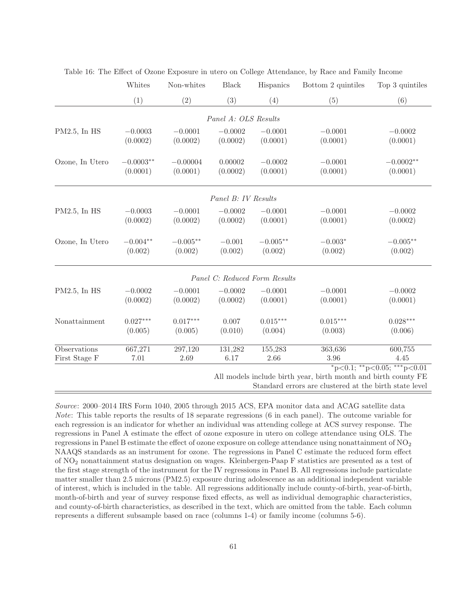|                 | Whites      | Non-whites | <b>Black</b>         | Hispanics                     | Bottom 2 quintiles                                             | Top 3 quintiles             |
|-----------------|-------------|------------|----------------------|-------------------------------|----------------------------------------------------------------|-----------------------------|
|                 | (1)         | (2)        | (3)                  | (4)                           | (5)                                                            | (6)                         |
|                 |             |            | Panel A: OLS Results |                               |                                                                |                             |
| PM2.5, In HS    | $-0.0003$   | $-0.0001$  | $-0.0002$            | $-0.0001$                     | $-0.0001$                                                      | $-0.0002$                   |
|                 | (0.0002)    | (0.0002)   | (0.0002)             | (0.0001)                      | (0.0001)                                                       | (0.0001)                    |
| Ozone, In Utero | $-0.0003**$ | $-0.00004$ | 0.00002              | $-0.0002$                     | $-0.0001$                                                      | $-0.0002**$                 |
|                 | (0.0001)    | (0.0001)   | (0.0002)             | (0.0001)                      | (0.0001)                                                       | (0.0001)                    |
|                 |             |            | Panel B: IV Results  |                               |                                                                |                             |
| PM2.5, In HS    | $-0.0003$   | $-0.0001$  | $-0.0002$            | $-0.0001$                     | $-0.0001$                                                      | $-0.0002$                   |
|                 | (0.0002)    | (0.0002)   | (0.0002)             | (0.0001)                      | (0.0001)                                                       | (0.0002)                    |
| Ozone, In Utero | $-0.004**$  | $-0.005**$ | $-0.001$             | $-0.005**$                    | $-0.003*$                                                      | $-0.005**$                  |
|                 | (0.002)     | (0.002)    | (0.002)              | (0.002)                       | (0.002)                                                        | (0.002)                     |
|                 |             |            |                      | Panel C: Reduced Form Results |                                                                |                             |
| PM2.5, In HS    | $-0.0002$   | $-0.0001$  | $-0.0002$            | $-0.0001$                     | $-0.0001$                                                      | $-0.0002$                   |
|                 | (0.0002)    | (0.0002)   | (0.0002)             | (0.0001)                      | (0.0001)                                                       | (0.0001)                    |
| Nonattainment   | $0.027***$  | $0.017***$ | 0.007                | $0.015***$                    | $0.015***$                                                     | $0.028***$                  |
|                 | (0.005)     | (0.005)    | (0.010)              | (0.004)                       | (0.003)                                                        | (0.006)                     |
| Observations    | 667,271     | 297,120    | 131,282              | 155,283                       | 363,636                                                        | 600,755                     |
| First Stage F   | 7.01        | 2.69       | 6.17                 | 2.66                          | 3.96                                                           | 4.45                        |
|                 |             |            |                      |                               | All models include birth year, birth month and birth county FE | *p<0.1; **p<0.05; ***p<0.01 |

| Table 16: The Effect of Ozone Exposure in utero on College Attendance, by Race and Family Income |  |
|--------------------------------------------------------------------------------------------------|--|
|--------------------------------------------------------------------------------------------------|--|

Standard errors are clustered at the birth state level

Source: 2000–2014 IRS Form 1040, 2005 through 2015 ACS, EPA monitor data and ACAG satellite data Note: This table reports the results of 18 separate regressions (6 in each panel). The outcome variable for each regression is an indicator for whether an individual was attending college at ACS survey response. The regressions in Panel A estimate the effect of ozone exposure in utero on college attendance using OLS. The regressions in Panel B estimate the effect of ozone exposure on college attendance using nonattainment of NO<sub>2</sub> NAAQS standards as an instrument for ozone. The regressions in Panel C estimate the reduced form effect of NO<sup>2</sup> nonattainment status designation on wages. Kleinbergen-Paap F statistics are presented as a test of the first stage strength of the instrument for the IV regressions in Panel B. All regressions include particulate matter smaller than 2.5 microns (PM2.5) exposure during adolescence as an additional independent variable of interest, which is included in the table. All regressions additionally include county-of-birth, year-of-birth, month-of-birth and year of survey response fixed effects, as well as individual demographic characteristics, and county-of-birth characteristics, as described in the text, which are omitted from the table. Each column represents a different subsample based on race (columns 1-4) or family income (columns 5-6).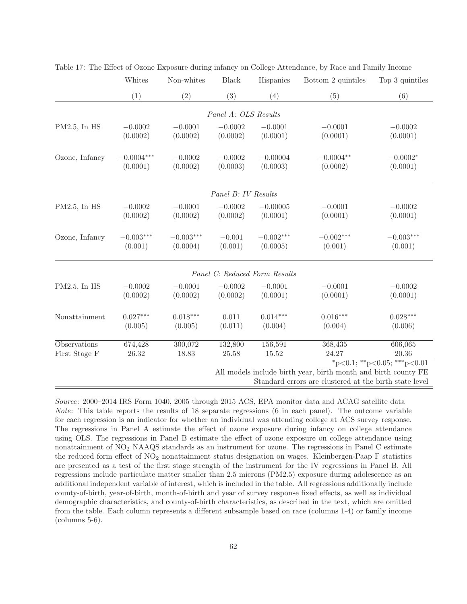|                 | Whites       | Non-whites  | ${\rm Black}$        | Hispanics                     | Bottom 2 quintiles                                             | Top 3 quintiles                         |
|-----------------|--------------|-------------|----------------------|-------------------------------|----------------------------------------------------------------|-----------------------------------------|
|                 | (1)          | (2)         | (3)                  | (4)                           | (5)                                                            | (6)                                     |
|                 |              |             | Panel A: OLS Results |                               |                                                                |                                         |
| $PM2.5$ , In HS | $-0.0002$    | $-0.0001$   | $-0.0002$            | $-0.0001$                     | $-0.0001$                                                      | $-0.0002$                               |
|                 | (0.0002)     | (0.0002)    | (0.0002)             | (0.0001)                      | (0.0001)                                                       | (0.0001)                                |
|                 |              |             |                      |                               |                                                                |                                         |
| Ozone, Infancy  | $-0.0004***$ | $-0.0002$   | $-0.0002$            | $-0.00004$                    | $-0.0004**$                                                    | $-0.0002*$                              |
|                 | (0.0001)     | (0.0002)    | (0.0003)             | (0.0003)                      | (0.0002)                                                       | (0.0001)                                |
|                 |              |             |                      |                               |                                                                |                                         |
|                 |              |             | Panel B: IV Results  |                               |                                                                |                                         |
| $PM2.5$ , In HS | $-0.0002$    | $-0.0001$   | $-0.0002$            | $-0.00005$                    | $-0.0001$                                                      | $-0.0002$                               |
|                 | (0.0002)     | (0.0002)    | (0.0002)             | (0.0001)                      | (0.0001)                                                       | (0.0001)                                |
| Ozone, Infancy  | $-0.003***$  | $-0.003***$ | $-0.001$             | $-0.002***$                   | $-0.002***$                                                    | $-0.003***$                             |
|                 | (0.001)      | (0.0004)    | (0.001)              | (0.0005)                      | (0.001)                                                        | (0.001)                                 |
|                 |              |             |                      | Panel C: Reduced Form Results |                                                                |                                         |
| $PM2.5$ , In HS | $-0.0002$    | $-0.0001$   | $-0.0002$            | $-0.0001$                     | $-0.0001$                                                      | $-0.0002$                               |
|                 | (0.0002)     | (0.0002)    | (0.0002)             | (0.0001)                      | (0.0001)                                                       | (0.0001)                                |
| Nonattainment   | $0.027***$   | $0.018***$  | 0.011                | $0.014***$                    | $0.016***$                                                     | $0.028***$                              |
|                 | (0.005)      | (0.005)     | (0.011)              | (0.004)                       | (0.004)                                                        | (0.006)                                 |
| Observations    | 674,428      | 300,072     | 132,800              | 156,591                       | 368,435                                                        | 606,065                                 |
| First Stage F   | 26.32        | 18.83       | 25.58                | 15.52                         | 24.27                                                          | 20.36                                   |
|                 |              |             |                      |                               |                                                                | $*_{p<0.1;}$ $*_{p<0.05;}$ $*_{p<0.01}$ |
|                 |              |             |                      |                               | All models include birth year, birth month and birth county FE |                                         |
|                 |              |             |                      |                               | Standard errors are clustered at the birth state level         |                                         |

Table 17: The Effect of Ozone Exposure during infancy on College Attendance, by Race and Family Income

Source: 2000–2014 IRS Form 1040, 2005 through 2015 ACS, EPA monitor data and ACAG satellite data Note: This table reports the results of 18 separate regressions (6 in each panel). The outcome variable for each regression is an indicator for whether an individual was attending college at ACS survey response. The regressions in Panel A estimate the effect of ozone exposure during infancy on college attendance using OLS. The regressions in Panel B estimate the effect of ozone exposure on college attendance using nonattainment of NO<sub>2</sub> NAAQS standards as an instrument for ozone. The regressions in Panel C estimate the reduced form effect of NO<sup>2</sup> nonattainment status designation on wages. Kleinbergen-Paap F statistics are presented as a test of the first stage strength of the instrument for the IV regressions in Panel B. All regressions include particulate matter smaller than 2.5 microns (PM2.5) exposure during adolescence as an additional independent variable of interest, which is included in the table. All regressions additionally include county-of-birth, year-of-birth, month-of-birth and year of survey response fixed effects, as well as individual demographic characteristics, and county-of-birth characteristics, as described in the text, which are omitted from the table. Each column represents a different subsample based on race (columns 1-4) or family income (columns 5-6).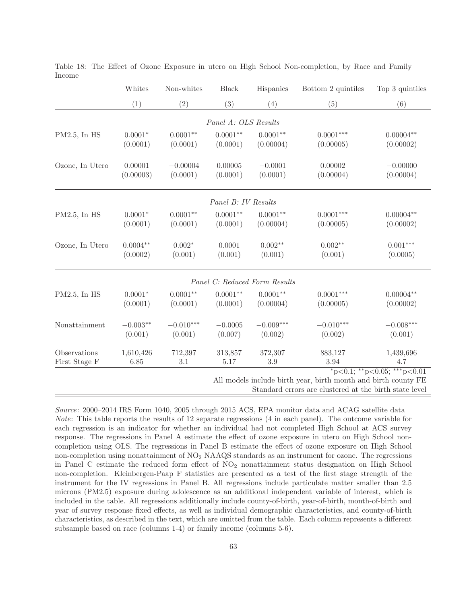|                     | Whites     | Non-whites  | <b>Black</b>         | Hispanics                     | Bottom 2 quintiles                                             | Top 3 quintiles                         |
|---------------------|------------|-------------|----------------------|-------------------------------|----------------------------------------------------------------|-----------------------------------------|
|                     | (1)        | (2)         | (3)                  | (4)                           | (5)                                                            | (6)                                     |
|                     |            |             | Panel A: OLS Results |                               |                                                                |                                         |
| $PM2.5$ , In HS     | $0.0001*$  | $0.0001**$  | $0.0001**$           | $0.0001**$                    | $0.0001***$                                                    | $0.00004**$                             |
|                     | (0.0001)   | (0.0001)    | (0.0001)             | (0.00004)                     | (0.00005)                                                      | (0.00002)                               |
| Ozone, In Utero     | 0.00001    | $-0.00004$  | 0.00005              | $-0.0001$                     | 0.00002                                                        | $-0.00000$                              |
|                     | (0.00003)  | (0.0001)    | (0.0001)             | (0.0001)                      | (0.00004)                                                      | (0.00004)                               |
|                     |            |             | Panel B: IV Results  |                               |                                                                |                                         |
| PM2.5, In HS        | $0.0001*$  | $0.0001**$  | $0.0001**$           | $0.0001**$                    | $0.0001***$                                                    | $0.00004**$                             |
|                     | (0.0001)   | (0.0001)    | (0.0001)             | (0.00004)                     | (0.00005)                                                      | (0.00002)                               |
| Ozone, In Utero     | $0.0004**$ | $0.002*$    | 0.0001               | $0.002**$                     | $0.002**$                                                      | $0.001***$                              |
|                     | (0.0002)   | (0.001)     | (0.001)              | (0.001)                       | (0.001)                                                        | (0.0005)                                |
|                     |            |             |                      | Panel C: Reduced Form Results |                                                                |                                         |
| PM2.5, In HS        | $0.0001*$  | $0.0001**$  | $0.0001**$           | $0.0001**$                    | $0.0001***$                                                    | $0.00004**$                             |
|                     | (0.0001)   | (0.0001)    | (0.0001)             | (0.00004)                     | (0.00005)                                                      | (0.00002)                               |
| Nonattainment       | $-0.003**$ | $-0.010***$ | $-0.0005$            | $-0.009***$                   | $-0.010***$                                                    | $-0.008***$                             |
|                     | (0.001)    | (0.001)     | (0.007)              | (0.002)                       | (0.002)                                                        | (0.001)                                 |
| <b>Observations</b> | 1,610,426  | 712, 397    | 313,857              | 372,307                       | 883,127                                                        | 1,439,696                               |
| First Stage F       | 6.85       | 3.1         | 5.17                 | $3.9\,$                       | 3.94                                                           | 4.7                                     |
|                     |            |             |                      |                               | All models include birth year, birth month and birth county FE | $*_{p<0.1;}$ $*_{p<0.05;}$ $*_{p<0.01}$ |

Table 18: The Effect of Ozone Exposure in utero on High School Non-completion, by Race and Family Income

Standard errors are clustered at the birth state level

Source: 2000–2014 IRS Form 1040, 2005 through 2015 ACS, EPA monitor data and ACAG satellite data Note: This table reports the results of 12 separate regressions (4 in each panel). The outcome variable for each regression is an indicator for whether an individual had not completed High School at ACS survey response. The regressions in Panel A estimate the effect of ozone exposure in utero on High School noncompletion using OLS. The regressions in Panel B estimate the effect of ozone exposure on High School non-completion using nonattainment of NO<sup>2</sup> NAAQS standards as an instrument for ozone. The regressions in Panel C estimate the reduced form effect of  $NO<sub>2</sub>$  nonattainment status designation on High School non-completion. Kleinbergen-Paap F statistics are presented as a test of the first stage strength of the instrument for the IV regressions in Panel B. All regressions include particulate matter smaller than 2.5 microns (PM2.5) exposure during adolescence as an additional independent variable of interest, which is included in the table. All regressions additionally include county-of-birth, year-of-birth, month-of-birth and year of survey response fixed effects, as well as individual demographic characteristics, and county-of-birth characteristics, as described in the text, which are omitted from the table. Each column represents a different subsample based on race (columns 1-4) or family income (columns 5-6).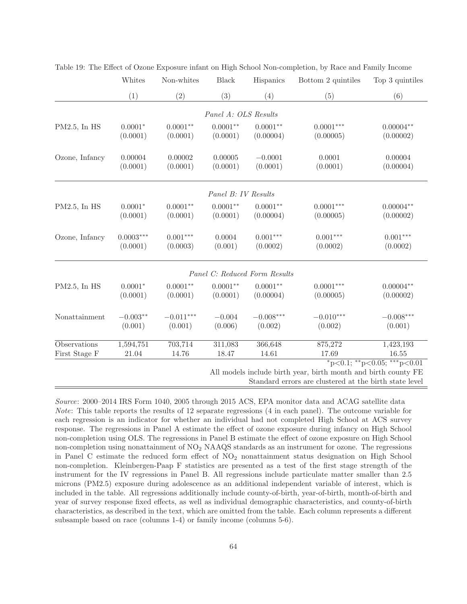|                 | Whites      | Non-whites  | <b>Black</b>         | Hispanics                     | Bottom 2 quintiles                                             | Top 3 quintiles                         |
|-----------------|-------------|-------------|----------------------|-------------------------------|----------------------------------------------------------------|-----------------------------------------|
|                 | (1)         | (2)         | (3)                  | (4)                           | (5)                                                            | (6)                                     |
|                 |             |             | Panel A: OLS Results |                               |                                                                |                                         |
|                 |             |             |                      |                               |                                                                |                                         |
| $PM2.5$ , In HS | $0.0001*$   | $0.0001**$  | $0.0001**$           | $0.0001**$                    | $0.0001***$                                                    | $0.00004**$                             |
|                 | (0.0001)    | (0.0001)    | (0.0001)             | (0.00004)                     | (0.00005)                                                      | (0.00002)                               |
| Ozone, Infancy  | 0.00004     | 0.00002     | 0.00005              | $-0.0001$                     | 0.0001                                                         | 0.00004                                 |
|                 | (0.0001)    | (0.0001)    | (0.0001)             | (0.0001)                      | (0.0001)                                                       | (0.00004)                               |
|                 |             |             |                      |                               |                                                                |                                         |
|                 |             |             | Panel B: IV Results  |                               |                                                                |                                         |
| $PM2.5$ , In HS | $0.0001*$   | $0.0001**$  | $0.0001**$           | $0.0001**$                    | $0.0001***$                                                    | $0.00004**$                             |
|                 | (0.0001)    | (0.0001)    | (0.0001)             | (0.00004)                     | (0.00005)                                                      | (0.00002)                               |
| Ozone, Infancy  | $0.0003***$ | $0.001***$  | 0.0004               | $0.001***$                    | $0.001***$                                                     | $0.001***$                              |
|                 | (0.0001)    | (0.0003)    | (0.001)              | (0.0002)                      | (0.0002)                                                       | (0.0002)                                |
|                 |             |             |                      | Panel C: Reduced Form Results |                                                                |                                         |
| $PM2.5$ , In HS | $0.0001*$   | $0.0001**$  | $0.0001**$           | $0.0001**$                    | $0.0001***$                                                    | $0.00004**$                             |
|                 | (0.0001)    | (0.0001)    | (0.0001)             | (0.00004)                     | (0.00005)                                                      | (0.00002)                               |
| Nonattainment   | $-0.003**$  | $-0.011***$ | $-0.004$             | $-0.008***$                   | $-0.010***$                                                    | $-0.008***$                             |
|                 | (0.001)     | (0.001)     | (0.006)              | (0.002)                       | (0.002)                                                        | (0.001)                                 |
| Observations    | 1,594,751   | 703,714     | 311,083              | 366,648                       | 875,272                                                        | 1,423,193                               |
| First Stage F   | 21.04       | 14.76       | 18.47                | 14.61                         | 17.69                                                          | 16.55                                   |
|                 |             |             |                      |                               |                                                                | $*_{p<0.1;}$ $*_{p<0.05;}$ $*_{p<0.01}$ |
|                 |             |             |                      |                               | All models include birth year, birth month and birth county FE |                                         |
|                 |             |             |                      |                               | Standard errors are clustered at the birth state level         |                                         |

Table 19: The Effect of Ozone Exposure infant on High School Non-completion, by Race and Family Income

Source: 2000–2014 IRS Form 1040, 2005 through 2015 ACS, EPA monitor data and ACAG satellite data Note: This table reports the results of 12 separate regressions (4 in each panel). The outcome variable for each regression is an indicator for whether an individual had not completed High School at ACS survey response. The regressions in Panel A estimate the effect of ozone exposure during infancy on High School non-completion using OLS. The regressions in Panel B estimate the effect of ozone exposure on High School non-completion using nonattainment of NO<sup>2</sup> NAAQS standards as an instrument for ozone. The regressions in Panel C estimate the reduced form effect of  $NO<sub>2</sub>$  nonattainment status designation on High School non-completion. Kleinbergen-Paap F statistics are presented as a test of the first stage strength of the instrument for the IV regressions in Panel B. All regressions include particulate matter smaller than 2.5 microns (PM2.5) exposure during adolescence as an additional independent variable of interest, which is included in the table. All regressions additionally include county-of-birth, year-of-birth, month-of-birth and year of survey response fixed effects, as well as individual demographic characteristics, and county-of-birth characteristics, as described in the text, which are omitted from the table. Each column represents a different subsample based on race (columns 1-4) or family income (columns 5-6).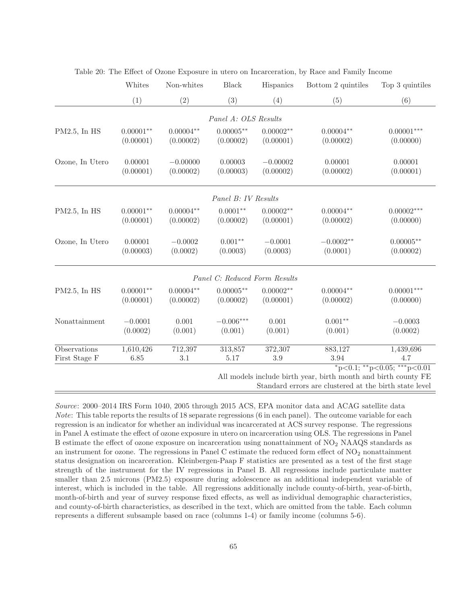|                     | Whites      | Non-whites  | <b>Black</b>                  | Hispanics   | Bottom 2 quintiles | Top 3 quintiles                         |
|---------------------|-------------|-------------|-------------------------------|-------------|--------------------|-----------------------------------------|
|                     | (1)         | (2)         | (3)                           | (4)         | (5)                | (6)                                     |
|                     |             |             | Panel A: OLS Results          |             |                    |                                         |
| PM2.5, In HS        | $0.00001**$ | $0.00004**$ | $0.00005**$                   | $0.00002**$ | $0.00004**$        | $0.00001***$                            |
|                     | (0.00001)   | (0.00002)   | (0.00002)                     | (0.00001)   | (0.00002)          | (0.00000)                               |
| Ozone, In Utero     | 0.00001     | $-0.00000$  | 0.00003                       | $-0.00002$  | 0.00001            | 0.00001                                 |
|                     | (0.00001)   | (0.00002)   | (0.00003)                     | (0.00002)   | (0.00002)          | (0.00001)                               |
|                     |             |             | Panel B: IV Results           |             |                    |                                         |
| $PM2.5$ , In HS     | $0.00001**$ | $0.00004**$ | $0.0001**$                    | $0.00002**$ | $0.00004**$        | $0.00002***$                            |
|                     | (0.00001)   | (0.00002)   | (0.00002)                     | (0.00001)   | (0.00002)          | (0.00000)                               |
| Ozone, In Utero     | 0.00001     | $-0.0002$   | $0.001**$                     | $-0.0001$   | $-0.0002**$        | $0.00005**$                             |
|                     | (0.00003)   | (0.0002)    | (0.0003)                      | (0.0003)    | (0.0001)           | (0.00002)                               |
|                     |             |             | Panel C: Reduced Form Results |             |                    |                                         |
| PM2.5, In HS        | $0.00001**$ | $0.00004**$ | $0.00005**$                   | $0.00002**$ | $0.00004**$        | $0.00001***$                            |
|                     | (0.00001)   | (0.00002)   | (0.00002)                     | (0.00001)   | (0.00002)          | (0.00000)                               |
| Nonattainment       | $-0.0001$   | 0.001       | $-0.006***$                   | 0.001       | $0.001**$          | $-0.0003$                               |
|                     | (0.0002)    | (0.001)     | (0.001)                       | (0.001)     | (0.001)            | (0.0002)                                |
| <b>Observations</b> | 1,610,426   | 712,397     | 313,857                       | 372,307     | 883,127            | 1,439,696                               |
| First Stage F       | 6.85        | 3.1         | 5.17                          | 3.9         | 3.94               | 4.7                                     |
|                     |             |             |                               |             |                    | $*_{p<0.1;}$ $*_{p<0.05;}$ $*_{p<0.01}$ |

| Table 20: The Effect of Ozone Exposure in utero on Incarceration, by Race and Family Income |  |  |  |
|---------------------------------------------------------------------------------------------|--|--|--|
|---------------------------------------------------------------------------------------------|--|--|--|

All models include birth year, birth month and birth county FE

Standard errors are clustered at the birth state level

Source: 2000–2014 IRS Form 1040, 2005 through 2015 ACS, EPA monitor data and ACAG satellite data Note: This table reports the results of 18 separate regressions (6 in each panel). The outcome variable for each regression is an indicator for whether an individual was incarcerated at ACS survey response. The regressions in Panel A estimate the effect of ozone exposure in utero on incarceration using OLS. The regressions in Panel B estimate the effect of ozone exposure on incarceration using nonattainment of NO<sup>2</sup> NAAQS standards as an instrument for ozone. The regressions in Panel C estimate the reduced form effect of  $NO_2$  nonattainment status designation on incarceration. Kleinbergen-Paap F statistics are presented as a test of the first stage strength of the instrument for the IV regressions in Panel B. All regressions include particulate matter smaller than 2.5 microns (PM2.5) exposure during adolescence as an additional independent variable of interest, which is included in the table. All regressions additionally include county-of-birth, year-of-birth, month-of-birth and year of survey response fixed effects, as well as individual demographic characteristics, and county-of-birth characteristics, as described in the text, which are omitted from the table. Each column represents a different subsample based on race (columns 1-4) or family income (columns 5-6).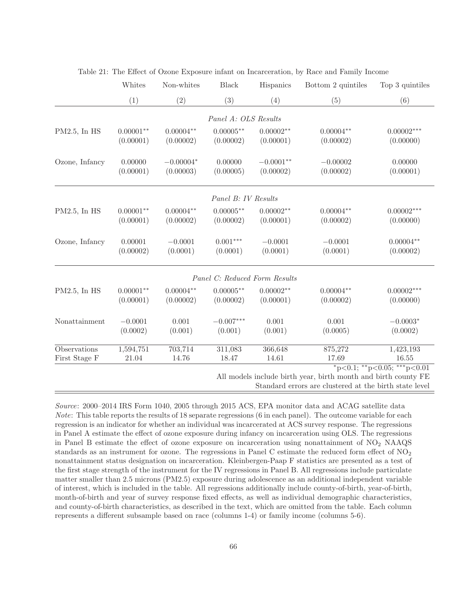|                               | Whites                   | Non-whites               | Black                         | Hispanics                | Bottom 2 quintiles       | Top 3 quintiles                                                            |
|-------------------------------|--------------------------|--------------------------|-------------------------------|--------------------------|--------------------------|----------------------------------------------------------------------------|
|                               | (1)                      | (2)                      | (3)                           | (4)                      | (5)                      | (6)                                                                        |
|                               |                          |                          | Panel A: OLS Results          |                          |                          |                                                                            |
| $PM2.5$ , In HS               | $0.00001**$<br>(0.00001) | $0.00004**$<br>(0.00002) | $0.00005**$<br>(0.00002)      | $0.00002**$<br>(0.00001) | $0.00004**$<br>(0.00002) | $0.00002***$<br>(0.00000)                                                  |
| Ozone, Infancy                | 0.00000<br>(0.00001)     | $-0.00004*$<br>(0.00003) | 0.00000<br>(0.00005)          | $-0.0001**$<br>(0.00002) | $-0.00002$<br>(0.00002)  | 0.00000<br>(0.00001)                                                       |
|                               |                          |                          | Panel B: IV Results           |                          |                          |                                                                            |
| $PM2.5$ , In HS               | $0.00001**$<br>(0.00001) | $0.00004**$<br>(0.00002) | $0.00005***$<br>(0.00002)     | $0.00002**$<br>(0.00001) | $0.00004**$<br>(0.00002) | $0.00002***$<br>(0.00000)                                                  |
| Ozone, Infancy                | 0.00001<br>(0.00002)     | $-0.0001$<br>(0.0001)    | $0.001***$<br>(0.0001)        | $-0.0001$<br>(0.0001)    | $-0.0001$<br>(0.0001)    | $0.00004**$<br>(0.00002)                                                   |
|                               |                          |                          | Panel C: Reduced Form Results |                          |                          |                                                                            |
| PM2.5, In HS                  | $0.00001**$<br>(0.00001) | $0.00004**$<br>(0.00002) | $0.00005**$<br>(0.00002)      | $0.00002**$<br>(0.00001) | $0.00004**$<br>(0.00002) | $0.00002***$<br>(0.00000)                                                  |
| Nonattainment                 | $-0.0001$<br>(0.0002)    | 0.001<br>(0.001)         | $-0.007***$<br>(0.001)        | 0.001<br>(0.001)         | 0.001<br>(0.0005)        | $-0.0003*$<br>(0.0002)                                                     |
| Observations<br>First Stage F | 1,594,751<br>21.04       | 703,714<br>14.76         | 311,083<br>18.47              | 366,648<br>14.61         | 875,272<br>17.69         | 1,423,193<br>16.55<br>*p<0.1; **p<0.05; ***p<0.01                          |
|                               |                          |                          |                               |                          |                          | $1.3.41$ , $1.4.41$ , $1.4.41$ , $1.4.41$ , $1.4.41$ , $1.4.41$ , $1.4.41$ |

|  |  | Table 21: The Effect of Ozone Exposure infant on Incarceration, by Race and Family Income |  |  |  |  |
|--|--|-------------------------------------------------------------------------------------------|--|--|--|--|
|--|--|-------------------------------------------------------------------------------------------|--|--|--|--|

All models include birth year, birth month and birth county FE

Standard errors are clustered at the birth state level

Source: 2000–2014 IRS Form 1040, 2005 through 2015 ACS, EPA monitor data and ACAG satellite data Note: This table reports the results of 18 separate regressions (6 in each panel). The outcome variable for each regression is an indicator for whether an individual was incarcerated at ACS survey response. The regressions in Panel A estimate the effect of ozone exposure during infancy on incarceration using OLS. The regressions in Panel B estimate the effect of ozone exposure on incarceration using nonattainment of  $NO<sub>2</sub> NAAQS$ standards as an instrument for ozone. The regressions in Panel C estimate the reduced form effect of  $NO<sub>2</sub>$ nonattainment status designation on incarceration. Kleinbergen-Paap F statistics are presented as a test of the first stage strength of the instrument for the IV regressions in Panel B. All regressions include particulate matter smaller than 2.5 microns (PM2.5) exposure during adolescence as an additional independent variable of interest, which is included in the table. All regressions additionally include county-of-birth, year-of-birth, month-of-birth and year of survey response fixed effects, as well as individual demographic characteristics, and county-of-birth characteristics, as described in the text, which are omitted from the table. Each column represents a different subsample based on race (columns 1-4) or family income (columns 5-6).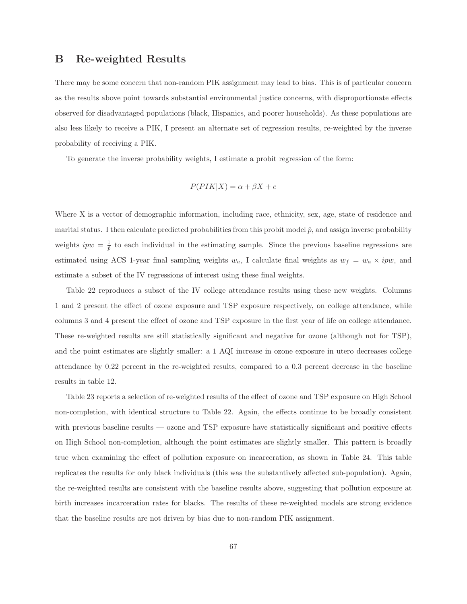### **B Re-weighted Results**

There may be some concern that non-random PIK assignment may lead to bias. This is of particular concern as the results above point towards substantial environmental justice concerns, with disproportionate effects observed for disadvantaged populations (black, Hispanics, and poorer households). As these populations are also less likely to receive a PIK, I present an alternate set of regression results, re-weighted by the inverse probability of receiving a PIK.

To generate the inverse probability weights, I estimate a probit regression of the form:

$$
P(PIK|X) = \alpha + \beta X + e
$$

Where X is a vector of demographic information, including race, ethnicity, sex, age, state of residence and marital status. I then calculate predicted probabilities from this probit model  $\hat{p}$ , and assign inverse probability weights  $ipw = \frac{1}{p}$  to each individual in the estimating sample. Since the previous baseline regressions are estimated using ACS 1-year final sampling weights  $w_a$ , I calculate final weights as  $w_f = w_a \times ipw$ , and estimate a subset of the IV regressions of interest using these final weights.

Table 22 reproduces a subset of the IV college attendance results using these new weights. Columns 1 and 2 present the effect of ozone exposure and TSP exposure respectively, on college attendance, while columns 3 and 4 present the effect of ozone and TSP exposure in the first year of life on college attendance. These re-weighted results are still statistically significant and negative for ozone (although not for TSP), and the point estimates are slightly smaller: a 1 AQI increase in ozone exposure in utero decreases college attendance by 0.22 percent in the re-weighted results, compared to a 0.3 percent decrease in the baseline results in table 12.

Table 23 reports a selection of re-weighted results of the effect of ozone and TSP exposure on High School non-completion, with identical structure to Table 22. Again, the effects continue to be broadly consistent with previous baseline results — ozone and TSP exposure have statistically significant and positive effects on High School non-completion, although the point estimates are slightly smaller. This pattern is broadly true when examining the effect of pollution exposure on incarceration, as shown in Table 24. This table replicates the results for only black individuals (this was the substantively affected sub-population). Again, the re-weighted results are consistent with the baseline results above, suggesting that pollution exposure at birth increases incarceration rates for blacks. The results of these re-weighted models are strong evidence that the baseline results are not driven by bias due to non-random PIK assignment.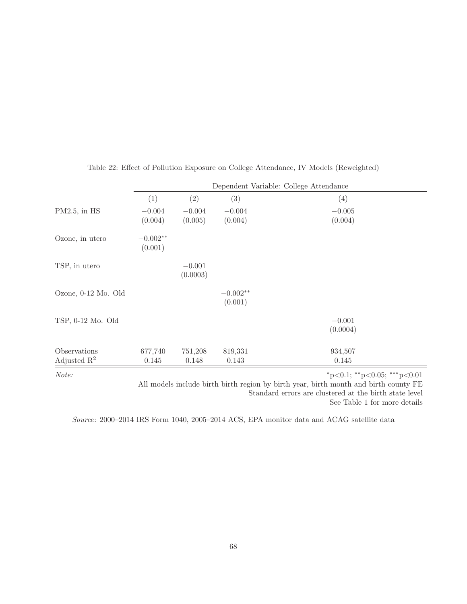|                                         | Dependent Variable: College Attendance |                      |                       |                             |  |
|-----------------------------------------|----------------------------------------|----------------------|-----------------------|-----------------------------|--|
|                                         | (1)                                    | (2)                  | (3)                   | $\left(4\right)$            |  |
| $PM2.5$ , in $HS$                       | $-0.004$<br>(0.004)                    | $-0.004$<br>(0.005)  | $-0.004$<br>(0.004)   | $-0.005$<br>(0.004)         |  |
| Ozone, in utero                         | $-0.002**$<br>(0.001)                  |                      |                       |                             |  |
| TSP, in utero                           |                                        | $-0.001$<br>(0.0003) |                       |                             |  |
| Ozone, 0-12 Mo. Old                     |                                        |                      | $-0.002**$<br>(0.001) |                             |  |
| TSP, 0-12 Mo. Old                       |                                        |                      |                       | $-0.001$<br>(0.0004)        |  |
| Observations<br>Adjusted $\mathbb{R}^2$ | 677,740<br>0.145                       | 751,208<br>0.148     | 819,331<br>0.143      | 934,507<br>0.145            |  |
| Note:                                   |                                        |                      |                       | *p<0.1; **p<0.05; ***p<0.01 |  |

Table 22: Effect of Pollution Exposure on College Attendance, IV Models (Reweighted)

All models include birth birth region by birth year, birth month and birth county FE Standard errors are clustered at the birth state level

See Table 1 for more details

Source: 2000–2014 IRS Form 1040, 2005–2014 ACS, EPA monitor data and ACAG satellite data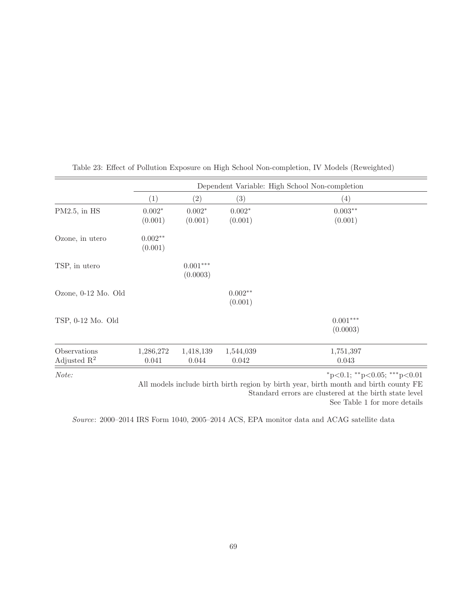|                                         | Dependent Variable: High School Non-completion |                        |                      |                                         |  |
|-----------------------------------------|------------------------------------------------|------------------------|----------------------|-----------------------------------------|--|
|                                         | (1)                                            | $\left( 2\right)$      | $\left( 3\right)$    | $\left( 4\right)$                       |  |
| $PM2.5$ , in $HS$                       | $0.002*$<br>(0.001)                            | $0.002*$<br>(0.001)    | $0.002*$<br>(0.001)  | $0.003**$<br>(0.001)                    |  |
| Ozone, in utero                         | $0.002**$<br>(0.001)                           |                        |                      |                                         |  |
| TSP, in utero                           |                                                | $0.001***$<br>(0.0003) |                      |                                         |  |
| Ozone, 0-12 Mo. Old                     |                                                |                        | $0.002**$<br>(0.001) |                                         |  |
| TSP, 0-12 Mo. Old                       |                                                |                        |                      | $0.001***$<br>(0.0003)                  |  |
| Observations<br>Adjusted $\mathbb{R}^2$ | 1,286,272<br>0.041                             | 1,418,139<br>0.044     | 1,544,039<br>0.042   | 1,751,397<br>0.043                      |  |
| Note:                                   |                                                |                        |                      | $*_{p<0.1;}$ $*_{p<0.05;}$ $*_{p<0.01}$ |  |

Table 23: Effect of Pollution Exposure on High School Non-completion, IV Models (Reweighted)

All models include birth birth region by birth year, birth month and birth county FE Standard errors are clustered at the birth state level

See Table 1 for more details

Source: 2000–2014 IRS Form 1040, 2005–2014 ACS, EPA monitor data and ACAG satellite data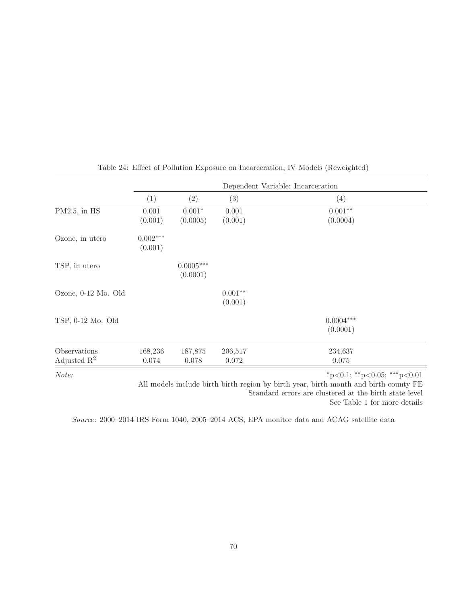|                                         | Dependent Variable: Incarceration |                         |                      |                                         |  |  |
|-----------------------------------------|-----------------------------------|-------------------------|----------------------|-----------------------------------------|--|--|
|                                         | (1)                               | (2)                     | (3)                  | (4)                                     |  |  |
| $PM2.5$ , in $HS$                       | 0.001<br>(0.001)                  | $0.001*$<br>(0.0005)    | 0.001<br>(0.001)     | $0.001**$<br>(0.0004)                   |  |  |
| Ozone, in utero                         | $0.002***$<br>(0.001)             |                         |                      |                                         |  |  |
| TSP, in utero                           |                                   | $0.0005***$<br>(0.0001) |                      |                                         |  |  |
| Ozone, 0-12 Mo. Old                     |                                   |                         | $0.001**$<br>(0.001) |                                         |  |  |
| TSP, 0-12 Mo. Old                       |                                   |                         |                      | $0.0004***$<br>(0.0001)                 |  |  |
| Observations<br>Adjusted $\mathbb{R}^2$ | 168,236<br>0.074                  | 187,875<br>0.078        | 206,517<br>0.072     | 234,637<br>0.075                        |  |  |
| Note:                                   |                                   |                         |                      | $*_{p<0.1;}$ $*_{p<0.05;}$ $*_{p<0.01}$ |  |  |

Table 24: Effect of Pollution Exposure on Incarceration, IV Models (Reweighted)

All models include birth birth region by birth year, birth month and birth county FE Standard errors are clustered at the birth state level See Table 1 for more details

Source: 2000–2014 IRS Form 1040, 2005–2014 ACS, EPA monitor data and ACAG satellite data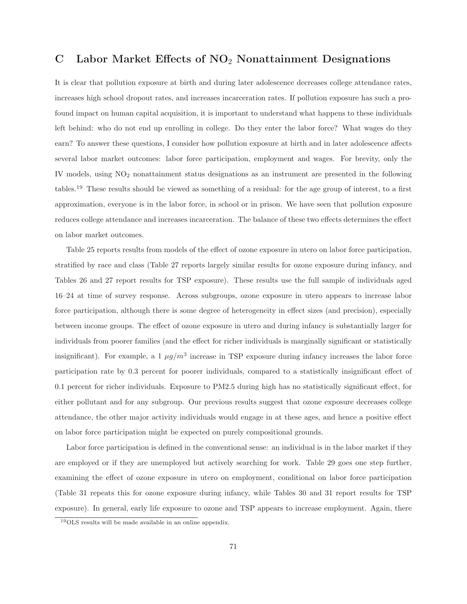### **C Labor Market Effects of NO**<sup>2</sup> **Nonattainment Designations**

It is clear that pollution exposure at birth and during later adolescence decreases college attendance rates, increases high school dropout rates, and increases incarceration rates. If pollution exposure has such a profound impact on human capital acquisition, it is important to understand what happens to these individuals left behind: who do not end up enrolling in college. Do they enter the labor force? What wages do they earn? To answer these questions, I consider how pollution exposure at birth and in later adolescence affects several labor market outcomes: labor force participation, employment and wages. For brevity, only the IV models, using NO<sup>2</sup> nonattainment status designations as an instrument are presented in the following tables.<sup>19</sup> These results should be viewed as something of a residual: for the age group of interest, to a first approximation, everyone is in the labor force, in school or in prison. We have seen that pollution exposure reduces college attendance and increases incarceration. The balance of these two effects determines the effect on labor market outcomes.

Table 25 reports results from models of the effect of ozone exposure in utero on labor force participation, stratified by race and class (Table 27 reports largely similar results for ozone exposure during infancy, and Tables 26 and 27 report results for TSP exposure). These results use the full sample of individuals aged 16–24 at time of survey response. Across subgroups, ozone exposure in utero appears to increase labor force participation, although there is some degree of heterogeneity in effect sizes (and precision), especially between income groups. The effect of ozone exposure in utero and during infancy is substantially larger for individuals from poorer families (and the effect for richer individuals is marginally significant or statistically insignificant). For example, a 1  $\mu g/m^3$  increase in TSP exposure during infancy increases the labor force participation rate by 0.3 percent for poorer individuals, compared to a statistically insignificant effect of 0.1 percent for richer individuals. Exposure to PM2.5 during high has no statistically significant effect, for either pollutant and for any subgroup. Our previous results suggest that ozone exposure decreases college attendance, the other major activity individuals would engage in at these ages, and hence a positive effect on labor force participation might be expected on purely compositional grounds.

Labor force participation is defined in the conventional sense: an individual is in the labor market if they are employed or if they are unemployed but actively searching for work. Table 29 goes one step further, examining the effect of ozone exposure in utero on employment, conditional on labor force participation (Table 31 repeats this for ozone exposure during infancy, while Tables 30 and 31 report results for TSP exposure). In general, early life exposure to ozone and TSP appears to increase employment. Again, there

<sup>19</sup>OLS results will be made available in an online appendix.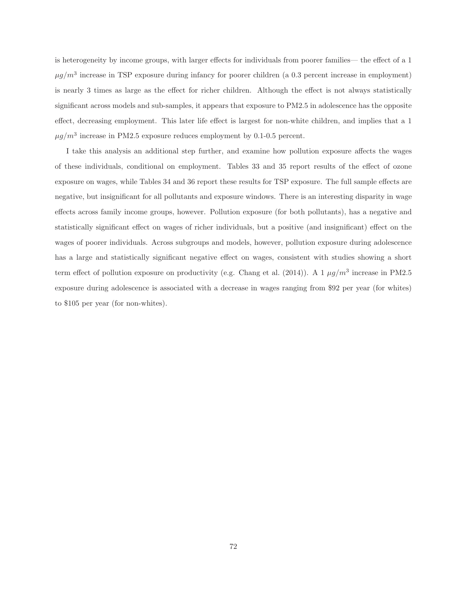is heterogeneity by income groups, with larger effects for individuals from poorer families— the effect of a 1  $\mu g/m^3$  increase in TSP exposure during infancy for poorer children (a 0.3 percent increase in employment) is nearly 3 times as large as the effect for richer children. Although the effect is not always statistically significant across models and sub-samples, it appears that exposure to PM2.5 in adolescence has the opposite effect, decreasing employment. This later life effect is largest for non-white children, and implies that a 1  $\mu g/m^3$  increase in PM2.5 exposure reduces employment by 0.1-0.5 percent.

I take this analysis an additional step further, and examine how pollution exposure affects the wages of these individuals, conditional on employment. Tables 33 and 35 report results of the effect of ozone exposure on wages, while Tables 34 and 36 report these results for TSP exposure. The full sample effects are negative, but insignificant for all pollutants and exposure windows. There is an interesting disparity in wage effects across family income groups, however. Pollution exposure (for both pollutants), has a negative and statistically significant effect on wages of richer individuals, but a positive (and insignificant) effect on the wages of poorer individuals. Across subgroups and models, however, pollution exposure during adolescence has a large and statistically significant negative effect on wages, consistent with studies showing a short term effect of pollution exposure on productivity (e.g. Chang et al. (2014)). A 1  $\mu g/m^3$  increase in PM2.5 exposure during adolescence is associated with a decrease in wages ranging from \$92 per year (for whites) to \$105 per year (for non-whites).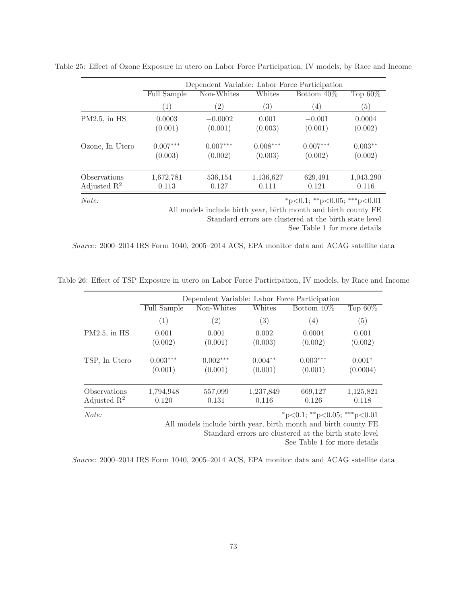|                         |                    | Dependent Variable: Labor Force Participation |            |                             |            |  |  |  |
|-------------------------|--------------------|-----------------------------------------------|------------|-----------------------------|------------|--|--|--|
|                         | <b>Full Sample</b> | Non-Whites                                    | Whites     | Bottom 40\%                 | Top $60\%$ |  |  |  |
|                         | (1)                | $\left( 2\right)$                             | (3)        | (4)                         | (5)        |  |  |  |
| $PM2.5$ , in HS         | 0.0003             | $-0.0002$                                     | 0.001      | $-0.001$                    | 0.0004     |  |  |  |
|                         | (0.001)            | (0.001)                                       | (0.003)    | (0.001)                     | (0.002)    |  |  |  |
| Ozone, In Utero         | $0.007***$         | $0.007***$                                    | $0.008***$ | $0.007***$                  | $0.003**$  |  |  |  |
|                         | (0.003)            | (0.002)                                       | (0.003)    | (0.002)                     | (0.002)    |  |  |  |
| Observations            | 1,672,781          | 536,154                                       | 1,136,627  | 629,491                     | 1,043,290  |  |  |  |
| Adjusted $\mathbb{R}^2$ | 0.113              | 0.127                                         | 0.111      | 0.121                       | 0.116      |  |  |  |
| Note:                   |                    |                                               |            | *p<0.1; **p<0.05; ***p<0.01 |            |  |  |  |

Table 25: Effect of Ozone Exposure in utero on Labor Force Participation, IV models, by Race and Income

All models include birth year, birth month and birth county FE Standard errors are clustered at the birth state level See Table 1 for more details

Source: 2000–2014 IRS Form 1040, 2005–2014 ACS, EPA monitor data and ACAG satellite data

|                         | Full Sample | Non-Whites        | Whites    | Bottom 40\%       | Top $60\%$ |
|-------------------------|-------------|-------------------|-----------|-------------------|------------|
|                         | (1)         | $\left( 2\right)$ | (3)       | $\left( 4\right)$ | (5)        |
| $PM2.5$ , in HS         | 0.001       | 0.001             | 0.002     | 0.0004            | 0.001      |
|                         | (0.002)     | (0.001)           | (0.003)   | (0.002)           | (0.002)    |
| TSP, In Utero           | $0.003***$  | $0.002***$        | $0.004**$ | $0.003***$        | $0.001*$   |
|                         | (0.001)     | (0.001)           | (0.001)   | (0.001)           | (0.0004)   |
| Observations            | 1,794,948   | 557,099           | 1,237,849 | 669,127           | 1,125,821  |
| Adjusted $\mathbb{R}^2$ | 0.120       | 0.131             | 0.116     | 0.126             | 0.118      |

Table 26: Effect of TSP Exposure in utero on Labor Force Participation, IV models, by Race and Income

Standard errors are clustered at the birth state level See Table 1 for more details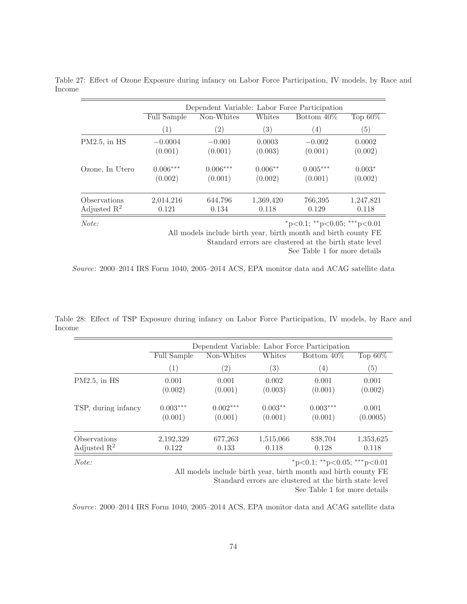|                         |             | Dependent Variable: Labor Force Participation |           |             |            |  |  |  |  |
|-------------------------|-------------|-----------------------------------------------|-----------|-------------|------------|--|--|--|--|
|                         | Full Sample | Non-Whites                                    | Whites    | Bottom 40\% | Top $60\%$ |  |  |  |  |
|                         | (1)         | $\left( 2\right)$                             | (3)       | (4)         | (5)        |  |  |  |  |
| $PM2.5$ , in HS         | $-0.0004$   | $-0.001$                                      | 0.0003    | $-0.002$    | 0.0002     |  |  |  |  |
|                         | (0.001)     | (0.001)                                       | (0.003)   | (0.001)     | (0.002)    |  |  |  |  |
| Ozone, In Utero         | $0.006***$  | $0.006***$                                    | $0.006**$ | $0.005***$  | $0.003*$   |  |  |  |  |
|                         | (0.002)     | (0.001)                                       | (0.002)   | (0.001)     | (0.002)    |  |  |  |  |
| Observations            | 2,014,216   | 644,796                                       | 1,369,420 | 766,395     | 1,247,821  |  |  |  |  |
| Adjusted $\mathbb{R}^2$ | 0.121       | 0.134                                         | 0.118     | 0.129       | 0.118      |  |  |  |  |

Table 27: Effect of Ozone Exposure during infancy on Labor Force Participation, IV models, by Race and Income

 $Note:$   $*_{p<0.1; *_{p<0.05; **_{p<0.01}}$ 

All models include birth year, birth month and birth county FE Standard errors are clustered at the birth state level

See Table 1 for more details

Source: 2000–2014 IRS Form 1040, 2005–2014 ACS, EPA monitor data and ACAG satellite data

Table 28: Effect of TSP Exposure during infancy on Labor Force Participation, IV models, by Race and Income

|                         |             | Dependent Variable: Labor Force Participation |           |             |                   |  |  |  |  |  |
|-------------------------|-------------|-----------------------------------------------|-----------|-------------|-------------------|--|--|--|--|--|
|                         | Full Sample | Non-Whites                                    |           | Bottom 40\% | Top $60\%$        |  |  |  |  |  |
|                         | (1)         | $\left( 2\right)$                             | (3)       | (4)         | $\left( 5\right)$ |  |  |  |  |  |
| $PM2.5$ , in HS         | 0.001       | 0.001                                         | 0.002     | 0.001       | 0.001             |  |  |  |  |  |
|                         | (0.002)     | (0.001)                                       | (0.003)   | (0.001)     | (0.002)           |  |  |  |  |  |
| TSP, during infancy     | $0.003***$  | $0.002***$                                    | $0.003**$ | $0.003***$  | 0.001             |  |  |  |  |  |
|                         | (0.001)     | (0.001)                                       | (0.001)   | (0.001)     | (0.0005)          |  |  |  |  |  |
| Observations            | 2,192,329   | 677,263                                       | 1,515,066 | 838,704     | 1,353,625         |  |  |  |  |  |
| Adjusted $\mathbb{R}^2$ | 0.122       | 0.133                                         | 0.118     | 0.128       | 0.118             |  |  |  |  |  |

 $Note:$   $*_{p<0.1; *_{p<0.05; **_{p<0.01}}$ 

All models include birth year, birth month and birth county FE

Standard errors are clustered at the birth state level

See Table 1 for more details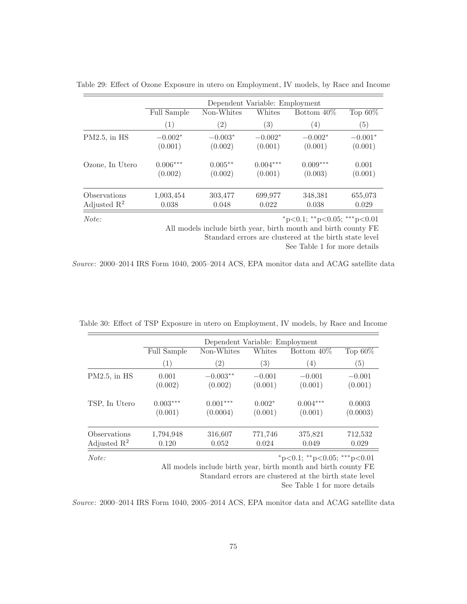|                         |                    | Dependent Variable: Employment |                   |             |            |  |  |  |  |  |
|-------------------------|--------------------|--------------------------------|-------------------|-------------|------------|--|--|--|--|--|
|                         | <b>Full Sample</b> | Non-Whites                     | Whites            | Bottom 40\% | Top $60\%$ |  |  |  |  |  |
|                         | (1)                | $\left( 2\right)$              | $\left( 3\right)$ | (4)         | (5)        |  |  |  |  |  |
| $PM2.5$ , in HS         | $-0.002*$          | $-0.003*$                      | $-0.002*$         | $-0.002*$   | $-0.001*$  |  |  |  |  |  |
|                         | (0.001)            | (0.002)                        | (0.001)           | (0.001)     | (0.001)    |  |  |  |  |  |
| Ozone, In Utero         | $0.006***$         | $0.005**$                      | $0.004***$        | $0.009***$  | 0.001      |  |  |  |  |  |
|                         | (0.002)            | (0.002)                        | (0.001)           | (0.003)     | (0.001)    |  |  |  |  |  |
| Observations            | 1,003,454          | 303,477                        | 699,977           | 348,381     | 655,073    |  |  |  |  |  |
| Adjusted $\mathbb{R}^2$ | 0.038              | 0.048                          | 0.022             | 0.038       | 0.029      |  |  |  |  |  |

Table 29: Effect of Ozone Exposure in utero on Employment, IV models, by Race and Income

 $Note:$   $*_{p<0.1; *_{p<0.05; **_{p<0.01}}$ 

All models include birth year, birth month and birth county FE Standard errors are clustered at the birth state level

See Table 1 for more details

Source: 2000–2014 IRS Form 1040, 2005–2014 ACS, EPA monitor data and ACAG satellite data

|                         |             | Dependent Variable: Employment |                   |             |                  |  |  |  |  |  |
|-------------------------|-------------|--------------------------------|-------------------|-------------|------------------|--|--|--|--|--|
|                         | Full Sample | Non-Whites                     | Whites            | Bottom 40\% | Top $60\%$       |  |  |  |  |  |
|                         | (1)         | $\left( 2\right)$              | $\left( 3\right)$ | (4)         | $\left(5\right)$ |  |  |  |  |  |
| $PM2.5$ , in $HS$       | 0.001       | $-0.003**$                     | $-0.001$          | $-0.001$    | $-0.001$         |  |  |  |  |  |
|                         | (0.002)     | (0.002)                        | (0.001)           | (0.001)     | (0.001)          |  |  |  |  |  |
| TSP, In Utero           | $0.003***$  | $0.001***$                     | $0.002*$          | $0.004***$  | 0.0003           |  |  |  |  |  |
|                         | (0.001)     | (0.0004)                       | (0.001)           | (0.001)     | (0.0003)         |  |  |  |  |  |
| Observations            | 1,794,948   | 316,607                        | 771,746           | 375,821     | 712,532          |  |  |  |  |  |
| Adjusted $\mathbb{R}^2$ | 0.120       | 0.052                          | 0.024             | 0.049       | 0.029            |  |  |  |  |  |

Table 30: Effect of TSP Exposure in utero on Employment, IV models, by Race and Income

 $Note:$   $*_{p<0.1; *_{p<0.05; **_{p<0.01}}$ 

All models include birth year, birth month and birth county FE Standard errors are clustered at the birth state level

See Table 1 for more details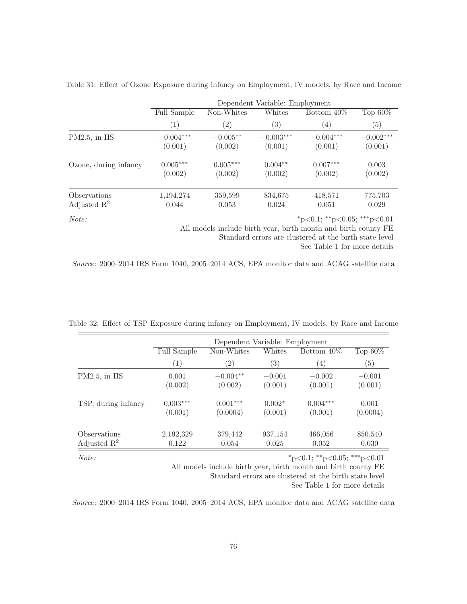|                         | Dependent Variable: Employment |                   |                   |                  |             |  |  |  |  |
|-------------------------|--------------------------------|-------------------|-------------------|------------------|-------------|--|--|--|--|
|                         | Full Sample                    | Non-Whites        | Whites            | Bottom 40\%      | Top $60\%$  |  |  |  |  |
|                         | (1)                            | $\left( 2\right)$ | $\left( 3\right)$ | $\left(4\right)$ | (5)         |  |  |  |  |
| $PM2.5$ , in HS         | $-0.004***$                    | $-0.005**$        | $-0.003***$       | $-0.004***$      | $-0.002***$ |  |  |  |  |
|                         | (0.001)                        | (0.002)           | (0.001)           | (0.001)          | (0.001)     |  |  |  |  |
| Ozone, during infancy   | $0.005***$                     | $0.005***$        | $0.004**$         | $0.007***$       | 0.003       |  |  |  |  |
|                         | (0.002)                        | (0.002)           | (0.002)           | (0.002)          | (0.002)     |  |  |  |  |
| Observations            | 1,194,274                      | 359,599           | 834,675           | 418,571          | 775,703     |  |  |  |  |
| Adjusted $\mathbb{R}^2$ | 0.044                          | 0.053             | 0.024             | 0.051            | 0.029       |  |  |  |  |

Table 31: Effect of Ozone Exposure during infancy on Employment, IV models, by Race and Income

 $Note:$   $*_{p<0.1; *_{p<0.05; **_{p<0.01}}$ 

All models include birth year, birth month and birth county FE

Standard errors are clustered at the birth state level

See Table 1 for more details

Source: 2000–2014 IRS Form 1040, 2005–2014 ACS, EPA monitor data and ACAG satellite data

|                         |                    | Dependent Variable: Employment      |                  |            |                   |  |  |  |  |  |
|-------------------------|--------------------|-------------------------------------|------------------|------------|-------------------|--|--|--|--|--|
|                         | <b>Full Sample</b> | Whites<br>Non-Whites<br>Bottom 40\% |                  |            |                   |  |  |  |  |  |
|                         | $\left(1\right)$   | $\left( 2\right)$                   | $\left(3\right)$ | (4)        | $\left( 5\right)$ |  |  |  |  |  |
| $PM2.5$ , in $HS$       | 0.001              | $-0.004**$                          | $-0.001$         | $-0.002$   | $-0.001$          |  |  |  |  |  |
|                         | (0.002)            | (0.002)                             | (0.001)          | (0.001)    | (0.001)           |  |  |  |  |  |
| TSP, during infancy     | $0.003***$         | $0.001***$                          | $0.002*$         | $0.004***$ | 0.001             |  |  |  |  |  |
|                         | (0.001)            | (0.0004)                            | (0.001)          | (0.001)    | (0.0004)          |  |  |  |  |  |
| Observations            | 2,192,329          | 379,442                             | 937,154          | 466,056    | 850,540           |  |  |  |  |  |
| Adjusted $\mathbb{R}^2$ | 0.122              | 0.054                               | 0.025            | 0.052      | 0.030             |  |  |  |  |  |

Table 32: Effect of TSP Exposure during infancy on Employment, IV models, by Race and Income

 $Note:$   $*_{p<0.1; *_{p<0.05; * *_{p<0.01}}$ 

All models include birth year, birth month and birth county FE Standard errors are clustered at the birth state level

See Table 1 for more details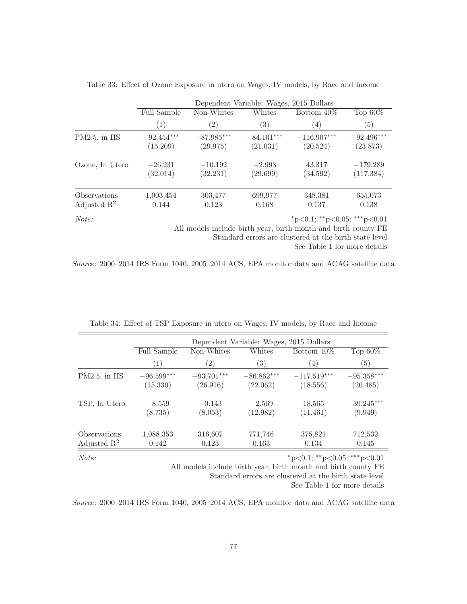|                         |                    | Dependent Variable: Wages, 2015 Dollars |              |               |              |  |  |  |  |
|-------------------------|--------------------|-----------------------------------------|--------------|---------------|--------------|--|--|--|--|
|                         | <b>Full Sample</b> | Non-Whites                              | Whites       | Bottom $40\%$ | Top $60\%$   |  |  |  |  |
|                         | (1)                | $\left( 2\right)$                       | (3)          | (4)           | (5)          |  |  |  |  |
| $PM2.5$ , in $HS$       | $-92.454***$       | $-87.985***$                            | $-84.101***$ | $-116.907***$ | $-92.496***$ |  |  |  |  |
|                         | (15.209)           | (29.975)                                | (21.031)     | (20.524)      | (23.873)     |  |  |  |  |
| Ozone, In Utero         | $-26.231$          | $-10.192$                               | $-2.993$     | 43.317        | $-179.289$   |  |  |  |  |
|                         | (32.014)           | (32.231)                                | (29.699)     | (34.592)      | (117.384)    |  |  |  |  |
| Observations            | 1,003,454          | 303,477                                 | 699,977      | 348,381       | 655,073      |  |  |  |  |
| Adjusted $\mathbb{R}^2$ | 0.144              | 0.123                                   | 0.168        | 0.137         | 0.138        |  |  |  |  |

Table 33: Effect of Ozone Exposure in utero on Wages, IV models, by Race and Income

 $Note:$   $*_{p<0.1; *_{p<0.05; * * *_{p<0.01}}$ 

All models include birth year, birth month and birth county FE

Standard errors are clustered at the birth state level

See Table 1 for more details

Source: 2000–2014 IRS Form 1040, 2005–2014 ACS, EPA monitor data and ACAG satellite data

|                                         |                          | Dependent Variable: Wages, 2015 Dollars |                          |                           |                          |  |  |  |  |
|-----------------------------------------|--------------------------|-----------------------------------------|--------------------------|---------------------------|--------------------------|--|--|--|--|
|                                         | <b>Full Sample</b>       | Non-Whites                              | Whites                   | Bottom 40\%               | Top $60\%$               |  |  |  |  |
|                                         | (1)                      | $\left( 2\right)$                       | $\left( 3\right)$        | (4)                       | (5)                      |  |  |  |  |
| $PM2.5$ , in $HS$                       | $-96.599***$<br>(15.330) | $-93.701***$<br>(26.916)                | $-86.862***$<br>(22.062) | $-117.519***$<br>(18.556) | $-95.358***$<br>(20.485) |  |  |  |  |
| TSP, In Utero                           | $-8.559$<br>(8.735)      | $-0.143$<br>(8.053)                     | $-2.569$<br>(12.982)     | 18.565<br>(11.461)        | $-39.245***$<br>(9.949)  |  |  |  |  |
| Observations<br>Adjusted $\mathbb{R}^2$ | 1,088,353<br>0.142       | 316,607<br>0.123                        | 771,746<br>0.163         | 375,821<br>0.134          | 712,532<br>0.145         |  |  |  |  |

|  | Table 34: Effect of TSP Exposure in utero on Wages, IV models, by Race and Income |  |  |  |  |
|--|-----------------------------------------------------------------------------------|--|--|--|--|
|  |                                                                                   |  |  |  |  |

 $Note:$   $*_{p<0.1; *_{p<0.05; * *_{p<0.01}}$ 

All models include birth year, birth month and birth county FE

Standard errors are clustered at the birth state level

See Table 1 for more details